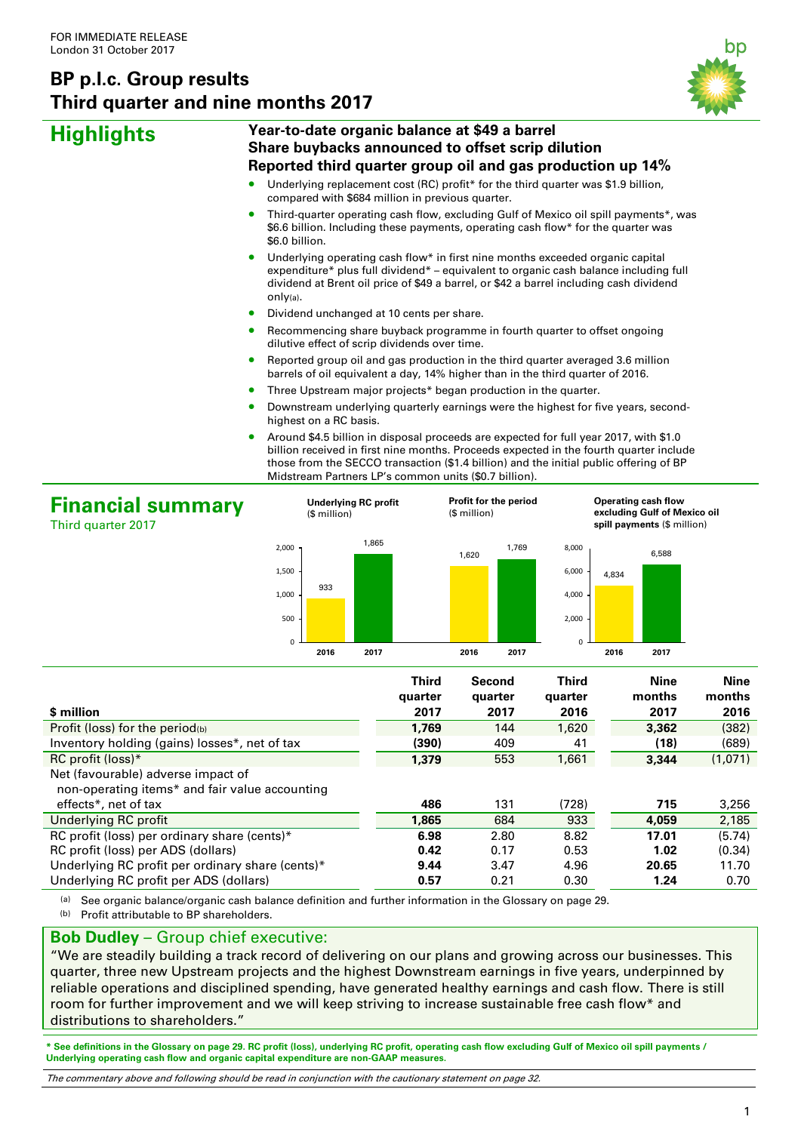

| <b>Highlights</b> | Year-to-date organic balance at \$49 a barrel<br>Share buybacks announced to offset scrip dilution                                                                                                                                                                              |
|-------------------|---------------------------------------------------------------------------------------------------------------------------------------------------------------------------------------------------------------------------------------------------------------------------------|
|                   | Reported third quarter group oil and gas production up 14%                                                                                                                                                                                                                      |
|                   | Underlying replacement cost (RC) profit* for the third quarter was \$1.9 billion,<br>compared with \$684 million in previous quarter.                                                                                                                                           |
|                   | Third-quarter operating cash flow, excluding Gulf of Mexico oil spill payments*, was<br>\$6.6 billion. Including these payments, operating cash flow* for the quarter was<br>\$6.0 billion.                                                                                     |
|                   | Underlying operating cash flow* in first nine months exceeded organic capital<br>expenditure* plus full dividend* – equivalent to organic cash balance including full<br>dividend at Brent oil price of \$49 a barrel, or \$42 a barrel including cash dividend<br>only $(a)$ . |
|                   | Dividend unchanged at 10 cents per share.                                                                                                                                                                                                                                       |
|                   | Recommencing share buyback programme in fourth quarter to offset ongoing<br>dilutive effect of scrip dividends over time.                                                                                                                                                       |
|                   | Reported group oil and gas production in the third quarter averaged 3.6 million<br>barrels of oil equivalent a day, 14% higher than in the third quarter of 2016.                                                                                                               |
|                   | Three Upstream major projects* began production in the quarter.                                                                                                                                                                                                                 |
|                   | Downstream underlying quarterly earnings were the highest for five years, second-<br>highest on a RC basis.                                                                                                                                                                     |
|                   | Around \$4.5 billion in disposal proceeds are expected for full year 2017, with \$1.0<br>billion received in first nine months. Proceeds expected in the fourth quarter include                                                                                                 |

|                                                            |          |              |                             | Midstream Partners LP's common units (\$0.7 billion). |                                       |         |              |       |                                                                                           |             |
|------------------------------------------------------------|----------|--------------|-----------------------------|-------------------------------------------------------|---------------------------------------|---------|--------------|-------|-------------------------------------------------------------------------------------------|-------------|
| <b>Financial summary</b><br>Third quarter 2017             |          | (\$ million) | <b>Underlying RC profit</b> |                                                       | Profit for the period<br>$$$ million) |         |              |       | <b>Operating cash flow</b><br>excluding Gulf of Mexico oil<br>spill payments (\$ million) |             |
|                                                            | 2,000    |              | 1,865                       |                                                       | 1,620                                 | 1,769   | 8,000        |       | 6,588                                                                                     |             |
|                                                            | 1,500    |              |                             |                                                       |                                       |         | 6,000        | 4,834 |                                                                                           |             |
|                                                            |          | 933          |                             |                                                       |                                       |         |              |       |                                                                                           |             |
|                                                            | 1,000    |              |                             |                                                       |                                       |         | 4,000        |       |                                                                                           |             |
|                                                            | 500      |              |                             |                                                       |                                       |         | 2,000        |       |                                                                                           |             |
|                                                            | $\Omega$ |              |                             |                                                       |                                       |         | $\Omega$     |       |                                                                                           |             |
|                                                            |          | 2016         | 2017                        |                                                       | 2016                                  | 2017    |              | 2016  | 2017                                                                                      |             |
|                                                            |          |              |                             | <b>Third</b>                                          |                                       | Second  | <b>Third</b> |       | <b>Nine</b>                                                                               | <b>Nine</b> |
|                                                            |          |              |                             | quarter                                               |                                       | quarter | quarter      |       | months                                                                                    | months      |
| \$ million                                                 |          |              |                             | 2017                                                  |                                       | 2017    | 2016         |       | 2017                                                                                      | 2016        |
| Profit (loss) for the period(b)                            |          |              |                             | 1,769                                                 |                                       | 144     | 1,620        |       | 3,362                                                                                     | (382)       |
| Inventory holding (gains) losses <sup>*</sup> , net of tax |          |              |                             | (390)                                                 |                                       | 409     | 41           |       | (18)                                                                                      | (689)       |
| RC profit (loss)*                                          |          |              |                             | 1,379                                                 |                                       | 553     | 1,661        |       | 3.344                                                                                     | (1,071)     |
| Net (favourable) adverse impact of                         |          |              |                             |                                                       |                                       |         |              |       |                                                                                           |             |
| non-operating items* and fair value accounting             |          |              |                             |                                                       |                                       |         |              |       |                                                                                           |             |
| effects*, net of tax                                       |          |              |                             | 486                                                   |                                       | 131     | (728)        |       | 715                                                                                       | 3,256       |
| Underlying RC profit                                       |          |              |                             | 1,865                                                 |                                       | 684     | 933          |       | 4,059                                                                                     | 2,185       |
| RC profit (loss) per ordinary share (cents)*               |          |              |                             | 6.98                                                  |                                       | 2.80    | 8.82         |       | 17.01                                                                                     | (5.74)      |
| RC profit (loss) per ADS (dollars)                         |          |              |                             | 0.42                                                  |                                       | 0.17    | 0.53         |       | 1.02                                                                                      | (0.34)      |
| Underlying RC profit per ordinary share (cents)*           |          |              |                             | 9.44                                                  |                                       | 3.47    | 4.96         |       | 20.65                                                                                     | 11.70       |
| Underlying RC profit per ADS (dollars)                     |          |              |                             | 0.57                                                  |                                       | 0.21    | 0.30         |       | 1.24                                                                                      | 0.70        |

those from the SECCO transaction (\$1.4 billion) and the initial public offering of BP

(a) See organic balance/organic cash balance definition and further information in the Glossary on page 29.

(b) Profit attributable to BP shareholders.

### **Bob Dudley** – Group chief executive:

"We are steadily building a track record of delivering on our plans and growing across our businesses. This quarter, three new Upstream projects and the highest Downstream earnings in five years, underpinned by reliable operations and disciplined spending, have generated healthy earnings and cash flow. There is still room for further improvement and we will keep striving to increase sustainable free cash flow\* and distributions to shareholders."

**\* See definitions in the Glossary on page 29. RC profit (loss), underlying RC profit, operating cash flow excluding Gulf of Mexico oil spill payments / Underlying operating cash flow and organic capital expenditure are non-GAAP measures.**

The commentary above and following should be read in conjunction with the cautionary statement on page 32.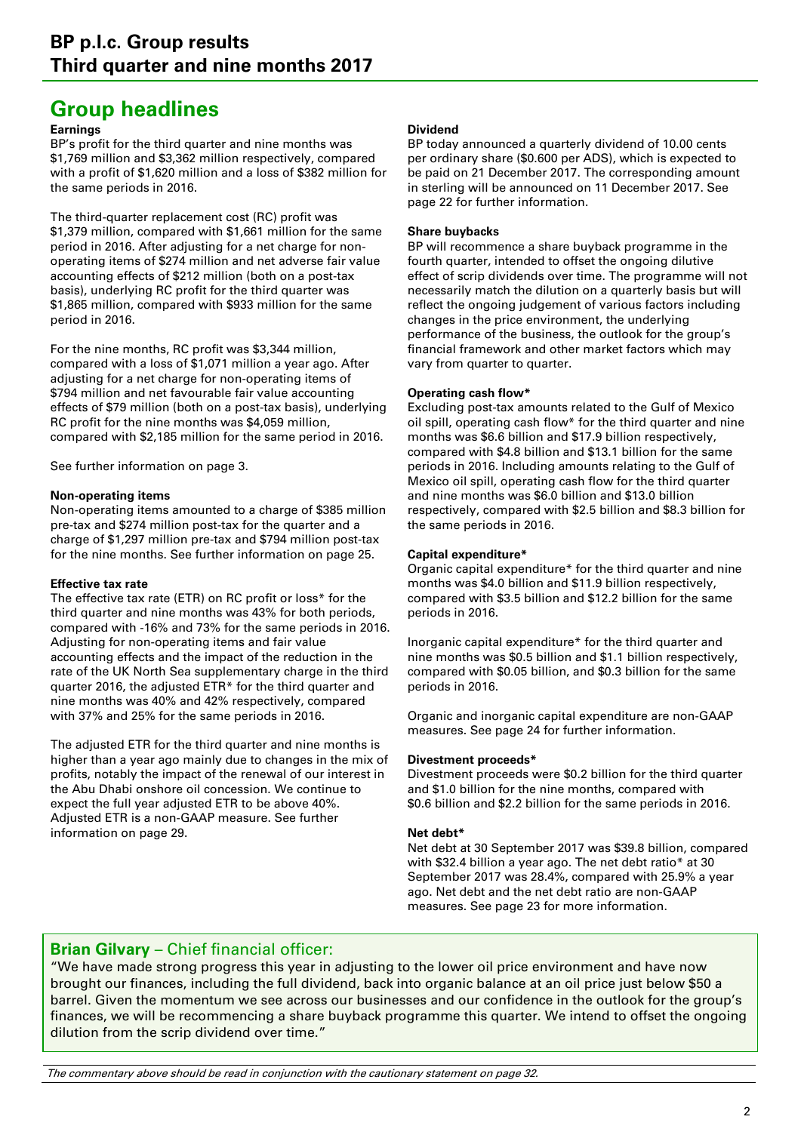## **Group headlines**

### **Earnings**

BP's profit for the third quarter and nine months was \$1,769 million and \$3,362 million respectively, compared with a profit of \$1,620 million and a loss of \$382 million for the same periods in 2016.

The third-quarter replacement cost (RC) profit was \$1,379 million, compared with \$1,661 million for the same period in 2016. After adjusting for a net charge for nonoperating items of \$274 million and net adverse fair value accounting effects of \$212 million (both on a post-tax basis), underlying RC profit for the third quarter was \$1,865 million, compared with \$933 million for the same period in 2016.

For the nine months, RC profit was \$3,344 million, compared with a loss of \$1,071 million a year ago. After adjusting for a net charge for non-operating items of \$794 million and net favourable fair value accounting effects of \$79 million (both on a post-tax basis), underlying RC profit for the nine months was \$4,059 million, compared with \$2,185 million for the same period in 2016.

See further information on page 3.

### **Non-operating items**

Non-operating items amounted to a charge of \$385 million pre-tax and \$274 million post-tax for the quarter and a charge of \$1,297 million pre-tax and \$794 million post-tax for the nine months. See further information on page 25.

### **Effective tax rate**

The effective tax rate (ETR) on RC profit or loss\* for the third quarter and nine months was 43% for both periods, compared with -16% and 73% for the same periods in 2016. Adjusting for non-operating items and fair value accounting effects and the impact of the reduction in the rate of the UK North Sea supplementary charge in the third quarter 2016, the adjusted ETR\* for the third quarter and nine months was 40% and 42% respectively, compared with 37% and 25% for the same periods in 2016.

The adjusted ETR for the third quarter and nine months is higher than a year ago mainly due to changes in the mix of profits, notably the impact of the renewal of our interest in the Abu Dhabi onshore oil concession. We continue to expect the full year adjusted ETR to be above 40%. Adjusted ETR is a non-GAAP measure. See further information on page 29.

#### **Dividend**

BP today announced a quarterly dividend of 10.00 cents per ordinary share (\$0.600 per ADS), which is expected to be paid on 21 December 2017. The corresponding amount in sterling will be announced on 11 December 2017. See page 22 for further information.

#### **Share buybacks**

BP will recommence a share buyback programme in the fourth quarter, intended to offset the ongoing dilutive effect of scrip dividends over time. The programme will not necessarily match the dilution on a quarterly basis but will reflect the ongoing judgement of various factors including changes in the price environment, the underlying performance of the business, the outlook for the group's financial framework and other market factors which may vary from quarter to quarter.

#### **Operating cash flow\***

Excluding post-tax amounts related to the Gulf of Mexico oil spill, operating cash flow\* for the third quarter and nine months was \$6.6 billion and \$17.9 billion respectively, compared with \$4.8 billion and \$13.1 billion for the same periods in 2016. Including amounts relating to the Gulf of Mexico oil spill, operating cash flow for the third quarter and nine months was \$6.0 billion and \$13.0 billion respectively, compared with \$2.5 billion and \$8.3 billion for the same periods in 2016.

#### **Capital expenditure\***

Organic capital expenditure\* for the third quarter and nine months was \$4.0 billion and \$11.9 billion respectively, compared with \$3.5 billion and \$12.2 billion for the same periods in 2016.

Inorganic capital expenditure\* for the third quarter and nine months was \$0.5 billion and \$1.1 billion respectively, compared with \$0.05 billion, and \$0.3 billion for the same periods in 2016.

Organic and inorganic capital expenditure are non-GAAP measures. See page 24 for further information.

### **Divestment proceeds\***

Divestment proceeds were \$0.2 billion for the third quarter and \$1.0 billion for the nine months, compared with \$0.6 billion and \$2.2 billion for the same periods in 2016.

#### **Net debt\***

Net debt at 30 September 2017 was \$39.8 billion, compared with \$32.4 billion a year ago. The net debt ratio\* at 30 September 2017 was 28.4%, compared with 25.9% a year ago. Net debt and the net debt ratio are non-GAAP measures. See page 23 for more information.

### **Brian Gilvary** – Chief financial officer:

"We have made strong progress this year in adjusting to the lower oil price environment and have now brought our finances, including the full dividend, back into organic balance at an oil price just below \$50 a barrel. Given the momentum we see across our businesses and our confidence in the outlook for the group's finances, we will be recommencing a share buyback programme this quarter. We intend to offset the ongoing dilution from the scrip dividend over time."

The commentary above should be read in conjunction with the cautionary statement on page 32.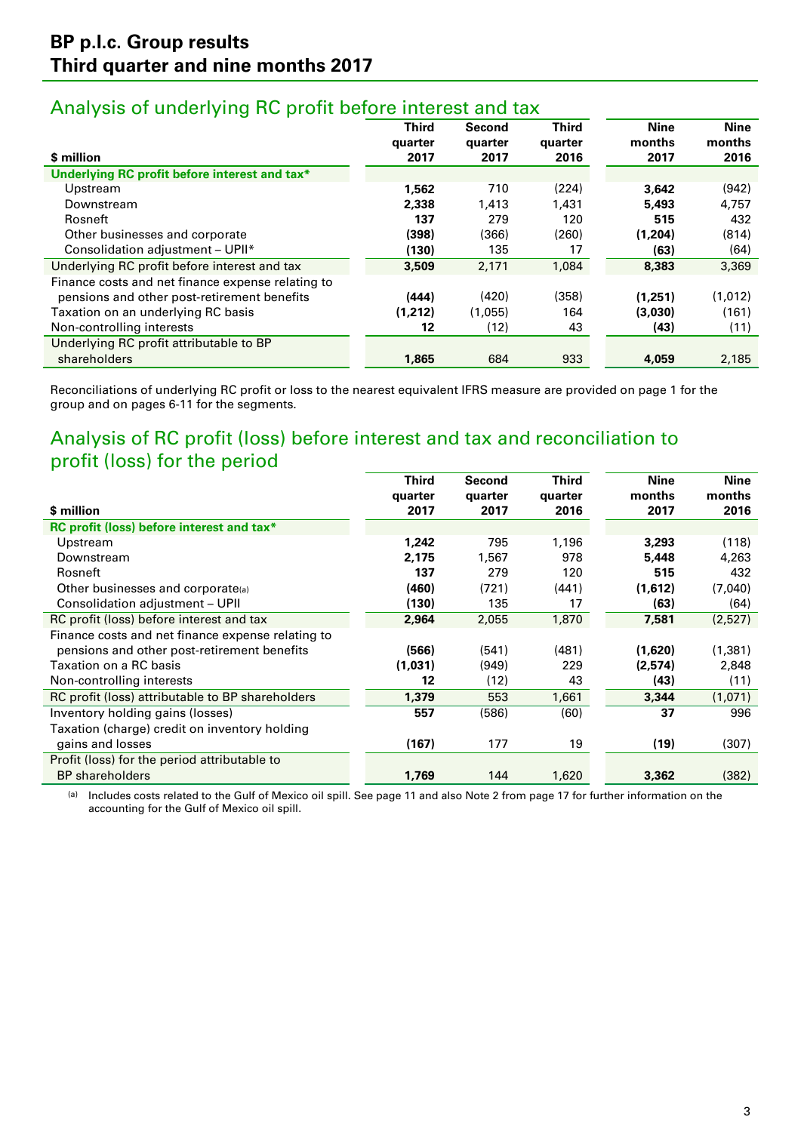## Analysis of underlying RC profit before interest and tax

|                                                   | <b>Third</b> | Second  | <b>Third</b> | <b>Nine</b> | <b>Nine</b> |
|---------------------------------------------------|--------------|---------|--------------|-------------|-------------|
|                                                   | quarter      | quarter | quarter      | months      | months      |
| \$ million                                        | 2017         | 2017    | 2016         | 2017        | 2016        |
| Underlying RC profit before interest and tax*     |              |         |              |             |             |
| Upstream                                          | 1,562        | 710     | (224)        | 3,642       | (942)       |
| Downstream                                        | 2,338        | 1,413   | 1,431        | 5,493       | 4,757       |
| Rosneft                                           | 137          | 279     | 120          | 515         | 432         |
| Other businesses and corporate                    | (398)        | (366)   | (260)        | (1.204)     | (814)       |
| Consolidation adjustment - UPII*                  | (130)        | 135     | 17           | (63)        | (64)        |
| Underlying RC profit before interest and tax      | 3,509        | 2,171   | 1,084        | 8,383       | 3,369       |
| Finance costs and net finance expense relating to |              |         |              |             |             |
| pensions and other post-retirement benefits       | (444)        | (420)   | (358)        | (1,251)     | (1,012)     |
| Taxation on an underlying RC basis                | (1.212)      | (1,055) | 164          | (3,030)     | (161)       |
| Non-controlling interests                         | 12           | (12)    | 43           | (43)        | (11)        |
| Underlying RC profit attributable to BP           |              |         |              |             |             |
| shareholders                                      | 1,865        | 684     | 933          | 4,059       | 2,185       |

Reconciliations of underlying RC profit or loss to the nearest equivalent IFRS measure are provided on page 1 for the group and on pages 6-11 for the segments.

## Analysis of RC profit (loss) before interest and tax and reconciliation to profit (loss) for the period

|                                                   | <b>Third</b> | Second  | Third   | <b>Nine</b> | <b>Nine</b> |
|---------------------------------------------------|--------------|---------|---------|-------------|-------------|
|                                                   | quarter      | quarter | quarter | months      | months      |
| \$ million                                        | 2017         | 2017    | 2016    | 2017        | 2016        |
| RC profit (loss) before interest and tax*         |              |         |         |             |             |
| Upstream                                          | 1,242        | 795     | 1,196   | 3,293       | (118)       |
| Downstream                                        | 2,175        | 1,567   | 978     | 5,448       | 4,263       |
| Rosneft                                           | 137          | 279     | 120     | 515         | 432         |
| Other businesses and corporate(a)                 | (460)        | (721)   | (441)   | (1,612)     | (7,040)     |
| Consolidation adjustment - UPII                   | (130)        | 135     | 17      | (63)        | (64)        |
| RC profit (loss) before interest and tax          | 2,964        | 2,055   | 1,870   | 7,581       | (2,527)     |
| Finance costs and net finance expense relating to |              |         |         |             |             |
| pensions and other post-retirement benefits       | (566)        | (541)   | (481)   | (1,620)     | (1,381)     |
| Taxation on a RC basis                            | (1,031)      | (949)   | 229     | (2,574)     | 2,848       |
| Non-controlling interests                         | 12           | (12)    | 43      | (43)        | (11)        |
| RC profit (loss) attributable to BP shareholders  | 1,379        | 553     | 1,661   | 3,344       | (1,071)     |
| Inventory holding gains (losses)                  | 557          | (586)   | (60)    | 37          | 996         |
| Taxation (charge) credit on inventory holding     |              |         |         |             |             |
| gains and losses                                  | (167)        | 177     | 19      | (19)        | (307)       |
| Profit (loss) for the period attributable to      |              |         |         |             |             |
| <b>BP</b> shareholders                            | 1,769        | 144     | 1,620   | 3,362       | (382)       |

(a) Includes costs related to the Gulf of Mexico oil spill. See page 11 and also Note 2 from page 17 for further information on the accounting for the Gulf of Mexico oil spill.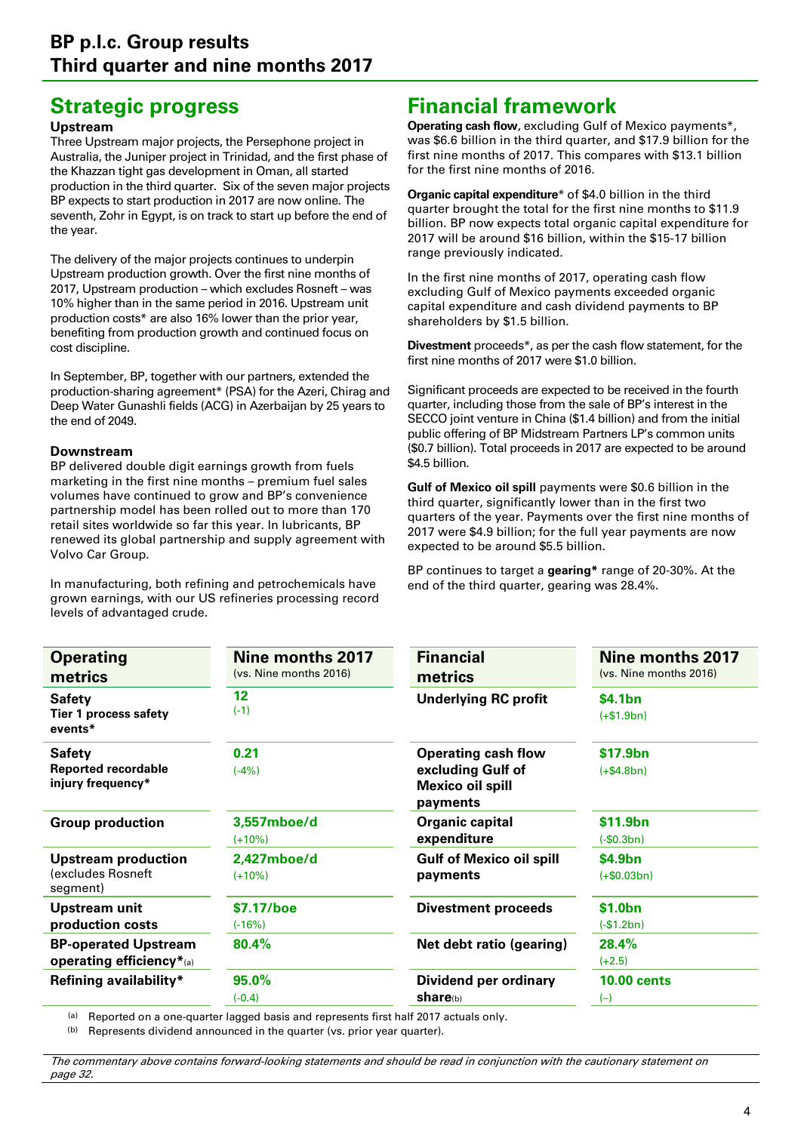### **Upstream**

Three Upstream major projects, the Persephone project in Australia, the Juniper project in Trinidad, and the first phase of the Khazzan tight gas development in Oman, all started production in the third quarter. Six of the seven major projects BP expects to start production in 2017 are now online. The seventh, Zohr in Egypt, is on track to start up before the end of the year.

The delivery of the major projects continues to underpin Upstream production growth. Over the first nine months of 2017, Upstream production – which excludes Rosneft – was 10% higher than in the same period in 2016. Upstream unit production costs\* are also 16% lower than the prior year, benefiting from production growth and continued focus on cost discipline.

In September, BP, together with our partners, extended the production-sharing agreement\* (PSA) for the Azeri, Chirag and Deep Water Gunashli fields (ACG) in Azerbaijan by 25 years to the end of 2049.

### **Downstream**

BP delivered double digit earnings growth from fuels marketing in the first nine months – premium fuel sales volumes have continued to grow and BP's convenience partnership model has been rolled out to more than 170 retail sites worldwide so far this year. In lubricants, BP renewed its global partnership and supply agreement with Volvo Car Group.

In manufacturing, both refining and petrochemicals have grown earnings, with our US refineries processing record levels of advantaged crude.

## **Strategic progress Financial framework**

**Operating cash flow**, excluding Gulf of Mexico payments\*, was \$6.6 billion in the third quarter, and \$17.9 billion for the first nine months of 2017. This compares with \$13.1 billion for the first nine months of 2016.

**Organic capital expenditure**\* of \$4.0 billion in the third quarter brought the total for the first nine months to \$11.9 billion. BP now expects total organic capital expenditure for 2017 will be around \$16 billion, within the \$15-17 billion range previously indicated.

In the first nine months of 2017, operating cash flow excluding Gulf of Mexico payments exceeded organic capital expenditure and cash dividend payments to BP shareholders by \$1.5 billion.

**Divestment** proceeds\*, as per the cash flow statement, for the first nine months of 2017 were \$1.0 billion.

Significant proceeds are expected to be received in the fourth quarter, including those from the sale of BP's interest in the SECCO joint venture in China (\$1.4 billion) and from the initial public offering of BP Midstream Partners LP's common units (\$0.7 billion). Total proceeds in 2017 are expected to be around \$4.5 billion.

**Gulf of Mexico oil spill** payments were \$0.6 billion in the third quarter, significantly lower than in the first two quarters of the year. Payments over the first nine months of 2017 were \$4.9 billion; for the full year payments are now expected to be around \$5.5 billion.

BP continues to target a **gearing\*** range of 20-30%. At the end of the third quarter, gearing was 28.4%.

| <b>Operating</b>                                               | Nine months 2017            | <b>Financial</b>                                                                | Nine months 2017         |
|----------------------------------------------------------------|-----------------------------|---------------------------------------------------------------------------------|--------------------------|
| metrics                                                        | (vs. Nine months 2016)      | metrics                                                                         | (vs. Nine months 2016)   |
| <b>Safety</b><br><b>Tier 1 process safety</b><br>events*       | $12 \overline{ }$<br>$(-1)$ | <b>Underlying RC profit</b>                                                     | \$4.1bn<br>$(+\$1.9bn)$  |
| <b>Safety</b><br>Reported recordable<br>injury frequency*      | 0.21<br>$(-4%)$             | <b>Operating cash flow</b><br>excluding Gulf of<br>Mexico oil spill<br>payments | \$17.9bn<br>$(+\$4.8bn)$ |
| <b>Group production</b>                                        | 3,557mboe/d                 | Organic capital                                                                 | \$11.9bn                 |
|                                                                | $(+10%)$                    | expenditure                                                                     | (-\$0.3bn)               |
| <b>Upstream production</b><br>(excludes Rosneft)<br>segment)   | 2,427mboe/d<br>$(+10%)$     | <b>Gulf of Mexico oil spill</b><br>payments                                     | \$4.9bn<br>$(+\$0.03bn)$ |
| Upstream unit                                                  | \$7.17/boe                  | <b>Divestment proceeds</b>                                                      | \$1.0 <sub>bn</sub>      |
| production costs                                               | $(-16%)$                    |                                                                                 | $(-$1.2bn)$              |
| <b>BP-operated Upstream</b><br><b>operating efficiency*(a)</b> | 80.4%                       | Net debt ratio (gearing)                                                        | 28.4%<br>$(+2.5)$        |
| Refining availability*                                         | $95.0\%$                    | Dividend per ordinary                                                           | <b>10.00 cents</b>       |
|                                                                | $(-0.4)$                    | share(b)                                                                        | $(-)$                    |

 $(a)$  Reported on a one-quarter lagged basis and represents first half 2017 actuals only.

(b) Represents dividend announced in the quarter (vs. prior year quarter).

The commentary above contains forward-looking statements and should be read in conjunction with the cautionary statement on page 32.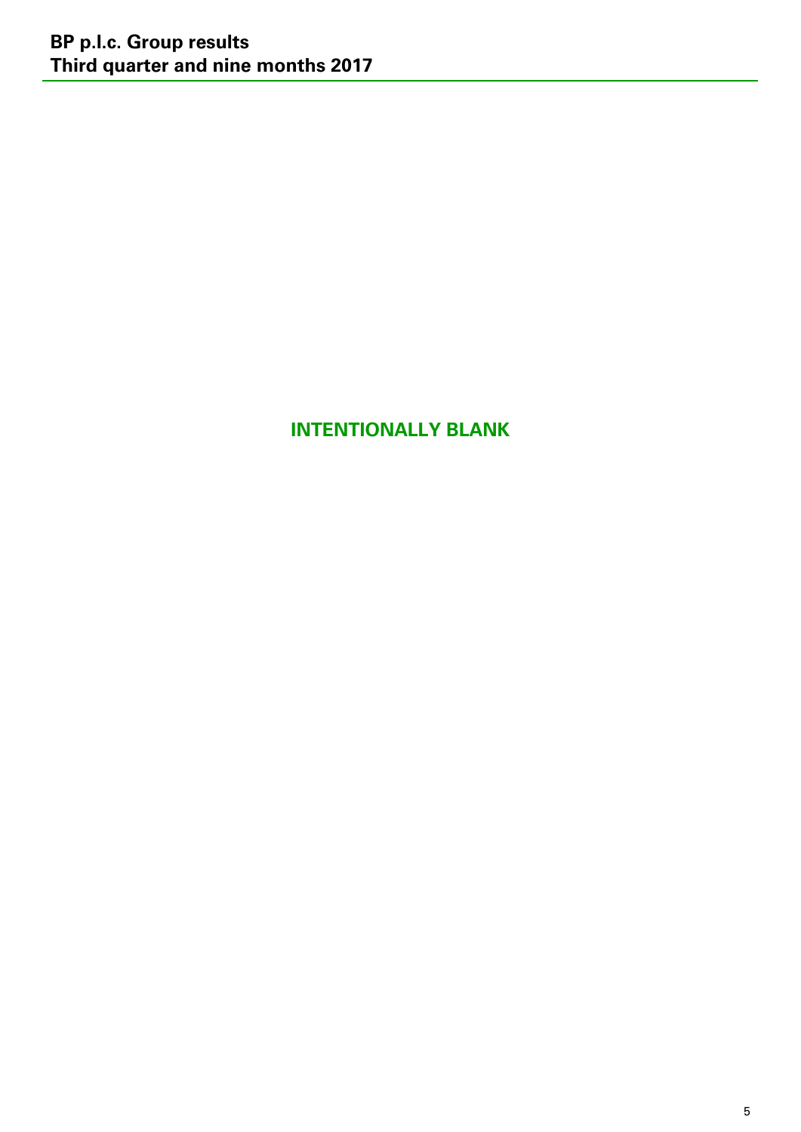## **INTENTIONALLY BLANK**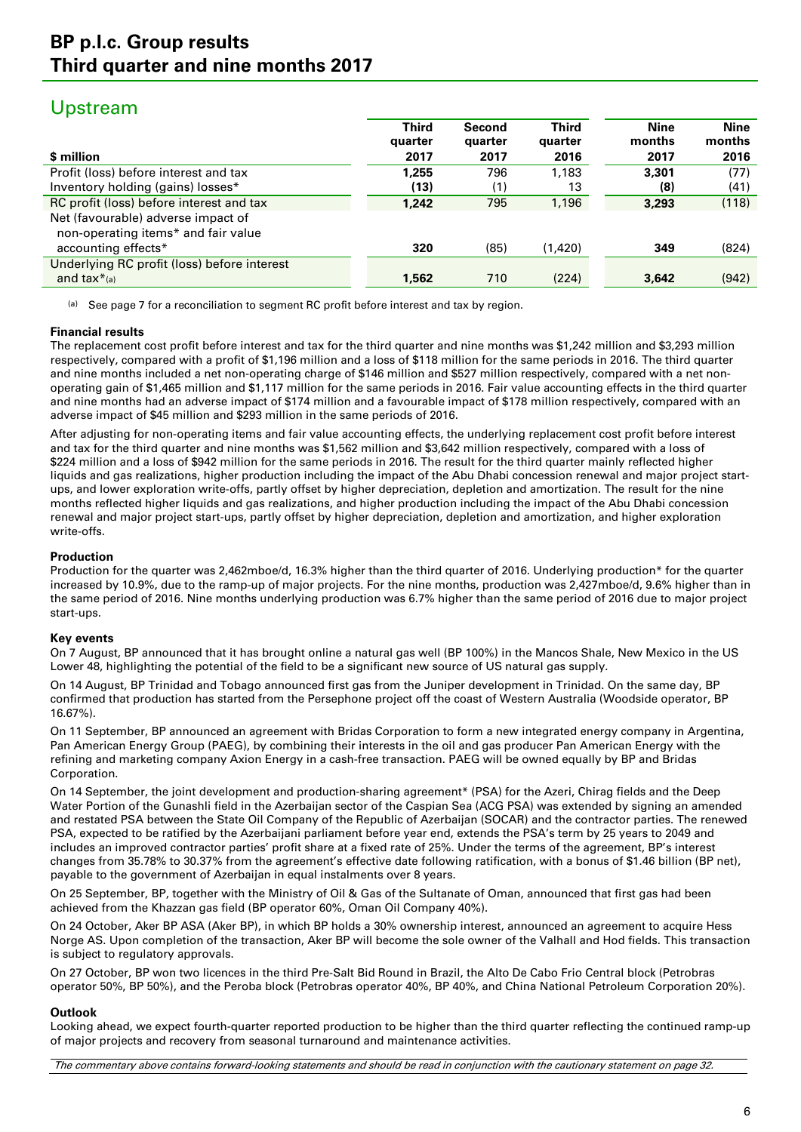## Upstream

| \$ million                                                                | <b>Third</b><br>quarter<br>2017 | Second<br>quarter<br>2017 | <b>Third</b><br>quarter<br>2016 | <b>Nine</b><br>months<br>2017 | <b>Nine</b><br>months<br>2016 |
|---------------------------------------------------------------------------|---------------------------------|---------------------------|---------------------------------|-------------------------------|-------------------------------|
| Profit (loss) before interest and tax                                     | 1,255                           | 796                       | 1,183                           | 3,301                         | (77)                          |
| Inventory holding (gains) losses*                                         | (13)                            | (1)                       | 13                              | (8)                           | (41)                          |
| RC profit (loss) before interest and tax                                  | 1,242                           | 795                       | 1,196                           | 3,293                         | (118)                         |
| Net (favourable) adverse impact of<br>non-operating items* and fair value |                                 |                           |                                 |                               |                               |
| accounting effects*                                                       | 320                             | (85)                      | (1,420)                         | 349                           | (824)                         |
| Underlying RC profit (loss) before interest<br>and $\text{tax*}_{(a)}$    | 1,562                           | 710                       | (224)                           | 3,642                         | (942)                         |

 $(a)$  See page 7 for a reconciliation to segment RC profit before interest and tax by region.

### **Financial results**

The replacement cost profit before interest and tax for the third quarter and nine months was \$1,242 million and \$3,293 million respectively, compared with a profit of \$1,196 million and a loss of \$118 million for the same periods in 2016. The third quarter and nine months included a net non-operating charge of \$146 million and \$527 million respectively, compared with a net nonoperating gain of \$1,465 million and \$1,117 million for the same periods in 2016. Fair value accounting effects in the third quarter and nine months had an adverse impact of \$174 million and a favourable impact of \$178 million respectively, compared with an adverse impact of \$45 million and \$293 million in the same periods of 2016.

After adjusting for non-operating items and fair value accounting effects, the underlying replacement cost profit before interest and tax for the third quarter and nine months was \$1,562 million and \$3,642 million respectively, compared with a loss of \$224 million and a loss of \$942 million for the same periods in 2016. The result for the third quarter mainly reflected higher liquids and gas realizations, higher production including the impact of the Abu Dhabi concession renewal and major project startups, and lower exploration write-offs, partly offset by higher depreciation, depletion and amortization. The result for the nine months reflected higher liquids and gas realizations, and higher production including the impact of the Abu Dhabi concession renewal and major project start-ups, partly offset by higher depreciation, depletion and amortization, and higher exploration write-offs.

### **Production**

Production for the quarter was 2,462mboe/d, 16.3% higher than the third quarter of 2016. Underlying production\* for the quarter increased by 10.9%, due to the ramp-up of major projects. For the nine months, production was 2,427mboe/d, 9.6% higher than in the same period of 2016. Nine months underlying production was 6.7% higher than the same period of 2016 due to major project start-ups.

### **Key events**

On 7 August, BP announced that it has brought online a natural gas well (BP 100%) in the Mancos Shale, New Mexico in the US Lower 48, highlighting the potential of the field to be a significant new source of US natural gas supply.

On 14 August, BP Trinidad and Tobago announced first gas from the Juniper development in Trinidad. On the same day, BP confirmed that production has started from the Persephone project off the coast of Western Australia (Woodside operator, BP 16.67%).

On 11 September, BP announced an agreement with Bridas Corporation to form a new integrated energy company in Argentina, Pan American Energy Group (PAEG), by combining their interests in the oil and gas producer Pan American Energy with the refining and marketing company Axion Energy in a cash-free transaction. PAEG will be owned equally by BP and Bridas Corporation.

On 14 September, the joint development and production-sharing agreement\* (PSA) for the Azeri, Chirag fields and the Deep Water Portion of the Gunashli field in the Azerbaijan sector of the Caspian Sea (ACG PSA) was extended by signing an amended and restated PSA between the State Oil Company of the Republic of Azerbaijan (SOCAR) and the contractor parties. The renewed PSA, expected to be ratified by the Azerbaijani parliament before year end, extends the PSA's term by 25 years to 2049 and includes an improved contractor parties' profit share at a fixed rate of 25%. Under the terms of the agreement, BP's interest changes from 35.78% to 30.37% from the agreement's effective date following ratification, with a bonus of \$1.46 billion (BP net), payable to the government of Azerbaijan in equal instalments over 8 years.

On 25 September, BP, together with the Ministry of Oil & Gas of the Sultanate of Oman, announced that first gas had been achieved from the Khazzan gas field (BP operator 60%, Oman Oil Company 40%).

On 24 October, Aker BP ASA (Aker BP), in which BP holds a 30% ownership interest, announced an agreement to acquire Hess Norge AS. Upon completion of the transaction, Aker BP will become the sole owner of the Valhall and Hod fields. This transaction is subject to regulatory approvals.

On 27 October, BP won two licences in the third Pre-Salt Bid Round in Brazil, the Alto De Cabo Frio Central block (Petrobras operator 50%, BP 50%), and the Peroba block (Petrobras operator 40%, BP 40%, and China National Petroleum Corporation 20%).

### **Outlook**

Looking ahead, we expect fourth-quarter reported production to be higher than the third quarter reflecting the continued ramp-up of major projects and recovery from seasonal turnaround and maintenance activities.

The commentary above contains forward-looking statements and should be read in conjunction with the cautionary statement on page 32.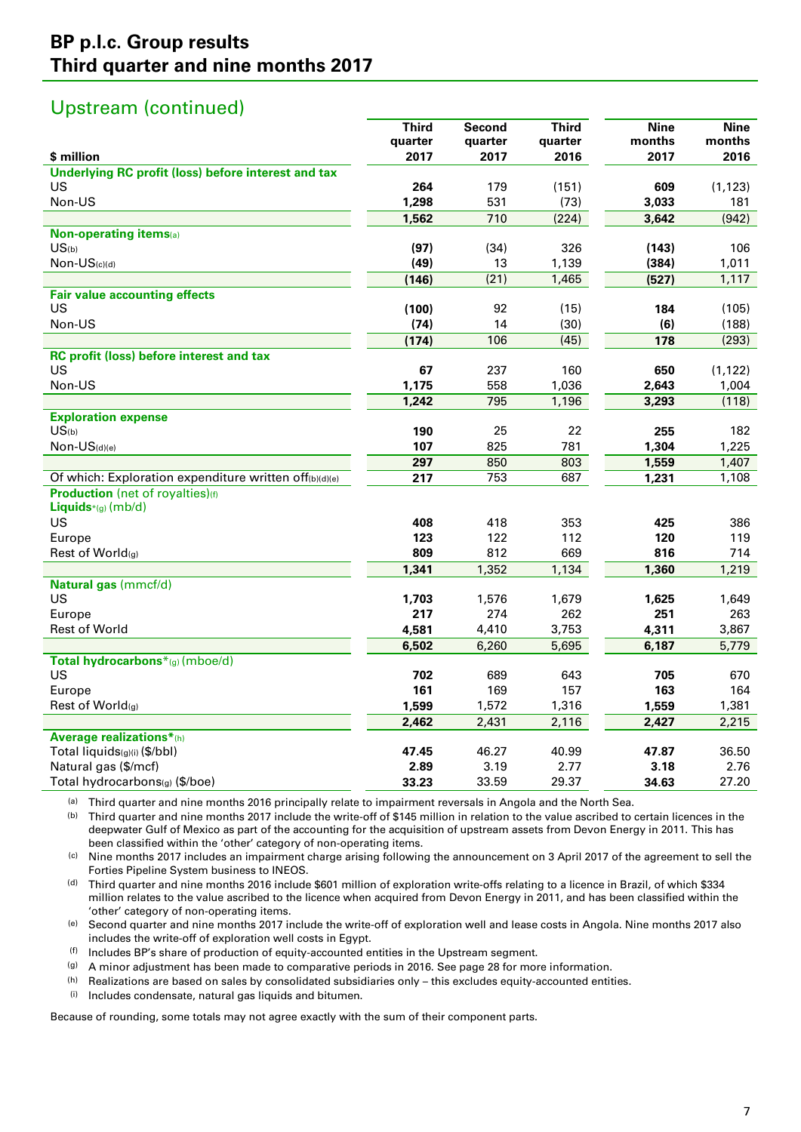### Upstream (continued)

|                                                            | <b>Third</b> | Second  | <b>Third</b> | <b>Nine</b> | <b>Nine</b> |
|------------------------------------------------------------|--------------|---------|--------------|-------------|-------------|
|                                                            | quarter      | quarter | quarter      | months      | months      |
| \$ million                                                 | 2017         | 2017    | 2016         | 2017        | 2016        |
| <b>Underlying RC profit (loss) before interest and tax</b> |              |         |              |             |             |
| US                                                         | 264          | 179     | (151)        | 609         | (1, 123)    |
| Non-US                                                     | 1,298        | 531     | (73)         | 3,033       | 181         |
|                                                            | 1,562        | 710     | (224)        | 3,642       | (942)       |
| <b>Non-operating items(a)</b>                              |              |         |              |             |             |
| US <sub>(b)</sub>                                          | (97)         | (34)    | 326          | (143)       | 106         |
| $Non-US(c)(d)$                                             | (49)         | 13      | 1,139        | (384)       | 1,011       |
|                                                            | (146)        | (21)    | 1,465        | (527)       | 1,117       |
| <b>Fair value accounting effects</b>                       |              |         |              |             |             |
| US                                                         | (100)        | 92      | (15)         | 184         | (105)       |
| Non-US                                                     | (74)         | 14      | (30)         | (6)         | (188)       |
|                                                            | (174)        | 106     | (45)         | 178         | (293)       |
| <b>RC profit (loss) before interest and tax</b>            |              |         |              |             |             |
| US                                                         | 67           | 237     | 160          | 650         | (1, 122)    |
| Non-US                                                     | 1,175        | 558     | 1,036        | 2,643       | 1,004       |
|                                                            | 1,242        | 795     | 1,196        | 3,293       | (118)       |
| <b>Exploration expense</b>                                 |              |         |              |             |             |
| US(b)                                                      | 190          | 25      | 22           | 255         | 182         |
| $Non-US_{(d)(e)}$                                          | 107          | 825     | 781          | 1,304       | 1,225       |
|                                                            | 297          | 850     | 803          | 1,559       | 1,407       |
| Of which: Exploration expenditure written off(b)(d)(e)     | 217          | 753     | 687          | 1,231       | 1,108       |
| Production (net of royalties)(f)<br>Liquids $*(g)$ (mb/d)  |              |         |              |             |             |
| US                                                         | 408          | 418     | 353          | 425         | 386         |
| Europe                                                     | 123          | 122     | 112          | 120         | 119         |
| Rest of World(g)                                           | 809          | 812     | 669          | 816         | 714         |
|                                                            | 1,341        | 1,352   | 1,134        | 1,360       | 1,219       |
| Natural gas (mmcf/d)                                       |              |         |              |             |             |
| US                                                         | 1,703        | 1,576   | 1,679        | 1,625       | 1,649       |
| Europe                                                     | 217          | 274     | 262          | 251         | 263         |
| <b>Rest of World</b>                                       | 4,581        | 4,410   | 3,753        | 4,311       | 3,867       |
|                                                            | 6,502        | 6,260   | 5,695        | 6,187       | 5,779       |
| Total hydrocarbons*(g) (mboe/d)                            |              |         |              |             |             |
| US.                                                        | 702          | 689     | 643          | 705         | 670         |
| Europe                                                     | 161          | 169     | 157          | 163         | 164         |
| Rest of World $(q)$                                        | 1,599        | 1,572   | 1,316        | 1,559       | 1,381       |
|                                                            | 2,462        | 2,431   | 2,116        | 2,427       | 2,215       |
| <b>Average realizations*</b> (h)                           |              |         |              |             |             |
| Total liquids(g)(i) (\$/bbl)                               | 47.45        | 46.27   | 40.99        | 47.87       | 36.50       |
| Natural gas (\$/mcf)                                       | 2.89         | 3.19    | 2.77         | 3.18        | 2.76        |
| Total hydrocarbons(g) (\$/boe)                             | 33.23        | 33.59   | 29.37        | 34.63       | 27.20       |

(a) Third quarter and nine months 2016 principally relate to impairment reversals in Angola and the North Sea.

(b) Third quarter and nine months 2017 include the write-off of \$145 million in relation to the value ascribed to certain licences in the deepwater Gulf of Mexico as part of the accounting for the acquisition of upstream assets from Devon Energy in 2011. This has been classified within the 'other' category of non-operating items.

(c) Nine months 2017 includes an impairment charge arising following the announcement on 3 April 2017 of the agreement to sell the Forties Pipeline System business to INEOS.

(d) Third quarter and nine months 2016 include \$601 million of exploration write-offs relating to a licence in Brazil, of which \$334 million relates to the value ascribed to the licence when acquired from Devon Energy in 2011, and has been classified within the 'other' category of non-operating items.

(e) Second quarter and nine months 2017 include the write-off of exploration well and lease costs in Angola. Nine months 2017 also includes the write-off of exploration well costs in Egypt.

(f) Includes BP's share of production of equity-accounted entities in the Upstream segment.

- $(9)$  A minor adjustment has been made to comparative periods in 2016. See page 28 for more information.
- $(h)$  Realizations are based on sales by consolidated subsidiaries only this excludes equity-accounted entities.

(i) Includes condensate, natural gas liquids and bitumen.

Because of rounding, some totals may not agree exactly with the sum of their component parts.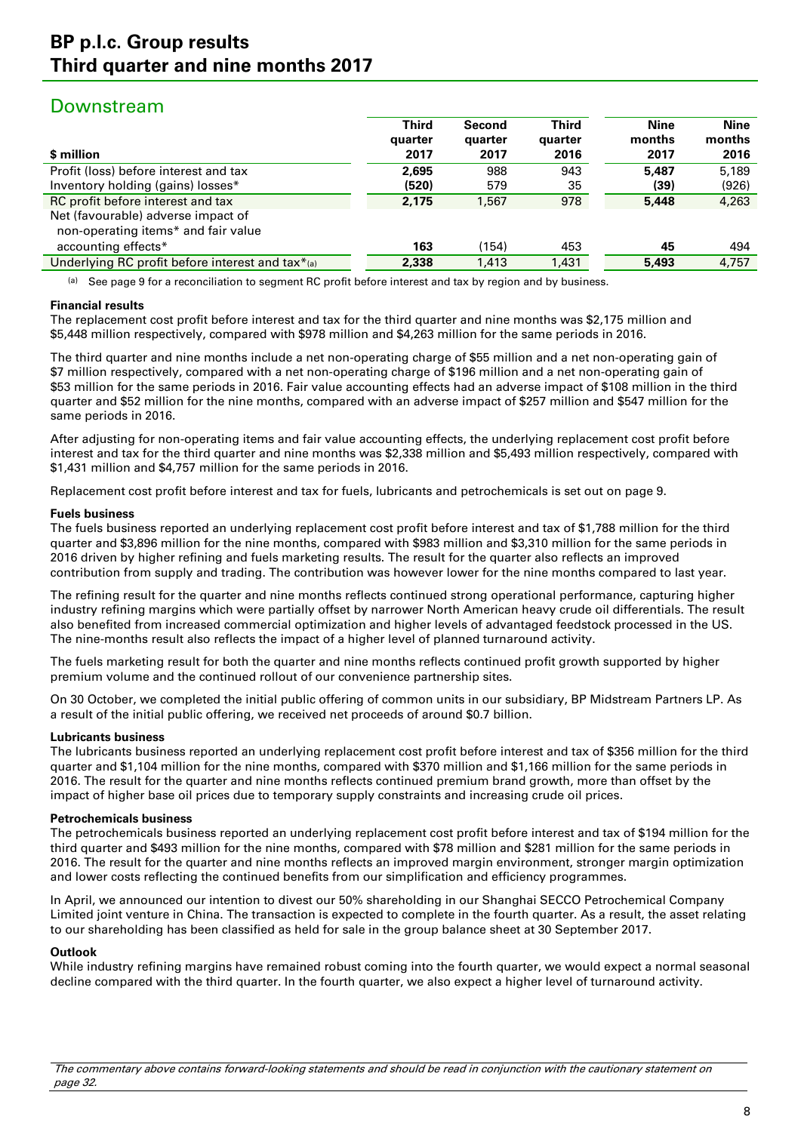## Downstream

|                                                              | Third<br>quarter | Second<br>quarter | Third<br>quarter | <b>Nine</b><br>months | <b>Nine</b><br>months |
|--------------------------------------------------------------|------------------|-------------------|------------------|-----------------------|-----------------------|
| \$ million                                                   | 2017             | 2017              | 2016             | 2017                  | 2016                  |
| Profit (loss) before interest and tax                        | 2,695            | 988               | 943              | 5,487                 | 5.189                 |
| Inventory holding (gains) losses*                            | (520)            | 579               | 35               | (39)                  | (926)                 |
| RC profit before interest and tax                            | 2.175            | 1.567             | 978              | 5,448                 | 4,263                 |
| Net (favourable) adverse impact of                           |                  |                   |                  |                       |                       |
| non-operating items* and fair value                          |                  |                   |                  |                       |                       |
| accounting effects*                                          | 163              | (154)             | 453              | 45                    | 494                   |
| Underlying RC profit before interest and $\text{tax*}_{(a)}$ | 2,338            | 1,413             | 1,431            | 5,493                 | 4,757                 |
|                                                              |                  |                   |                  |                       |                       |

(a) See page 9 for a reconciliation to segment RC profit before interest and tax by region and by business.

### **Financial results**

The replacement cost profit before interest and tax for the third quarter and nine months was \$2,175 million and \$5,448 million respectively, compared with \$978 million and \$4,263 million for the same periods in 2016.

The third quarter and nine months include a net non-operating charge of \$55 million and a net non-operating gain of \$7 million respectively, compared with a net non-operating charge of \$196 million and a net non-operating gain of \$53 million for the same periods in 2016. Fair value accounting effects had an adverse impact of \$108 million in the third quarter and \$52 million for the nine months, compared with an adverse impact of \$257 million and \$547 million for the same periods in 2016.

After adjusting for non-operating items and fair value accounting effects, the underlying replacement cost profit before interest and tax for the third quarter and nine months was \$2,338 million and \$5,493 million respectively, compared with \$1,431 million and \$4,757 million for the same periods in 2016.

Replacement cost profit before interest and tax for fuels, lubricants and petrochemicals is set out on page 9.

#### **Fuels business**

The fuels business reported an underlying replacement cost profit before interest and tax of \$1,788 million for the third quarter and \$3,896 million for the nine months, compared with \$983 million and \$3,310 million for the same periods in 2016 driven by higher refining and fuels marketing results. The result for the quarter also reflects an improved contribution from supply and trading. The contribution was however lower for the nine months compared to last year.

The refining result for the quarter and nine months reflects continued strong operational performance, capturing higher industry refining margins which were partially offset by narrower North American heavy crude oil differentials. The result also benefited from increased commercial optimization and higher levels of advantaged feedstock processed in the US. The nine-months result also reflects the impact of a higher level of planned turnaround activity.

The fuels marketing result for both the quarter and nine months reflects continued profit growth supported by higher premium volume and the continued rollout of our convenience partnership sites.

On 30 October, we completed the initial public offering of common units in our subsidiary, BP Midstream Partners LP. As a result of the initial public offering, we received net proceeds of around \$0.7 billion.

### **Lubricants business**

The lubricants business reported an underlying replacement cost profit before interest and tax of \$356 million for the third quarter and \$1,104 million for the nine months, compared with \$370 million and \$1,166 million for the same periods in 2016. The result for the quarter and nine months reflects continued premium brand growth, more than offset by the impact of higher base oil prices due to temporary supply constraints and increasing crude oil prices.

### **Petrochemicals business**

The petrochemicals business reported an underlying replacement cost profit before interest and tax of \$194 million for the third quarter and \$493 million for the nine months, compared with \$78 million and \$281 million for the same periods in 2016. The result for the quarter and nine months reflects an improved margin environment, stronger margin optimization and lower costs reflecting the continued benefits from our simplification and efficiency programmes.

In April, we announced our intention to divest our 50% shareholding in our Shanghai SECCO Petrochemical Company Limited joint venture in China. The transaction is expected to complete in the fourth quarter. As a result, the asset relating to our shareholding has been classified as held for sale in the group balance sheet at 30 September 2017.

### **Outlook**

While industry refining margins have remained robust coming into the fourth quarter, we would expect a normal seasonal decline compared with the third quarter. In the fourth quarter, we also expect a higher level of turnaround activity.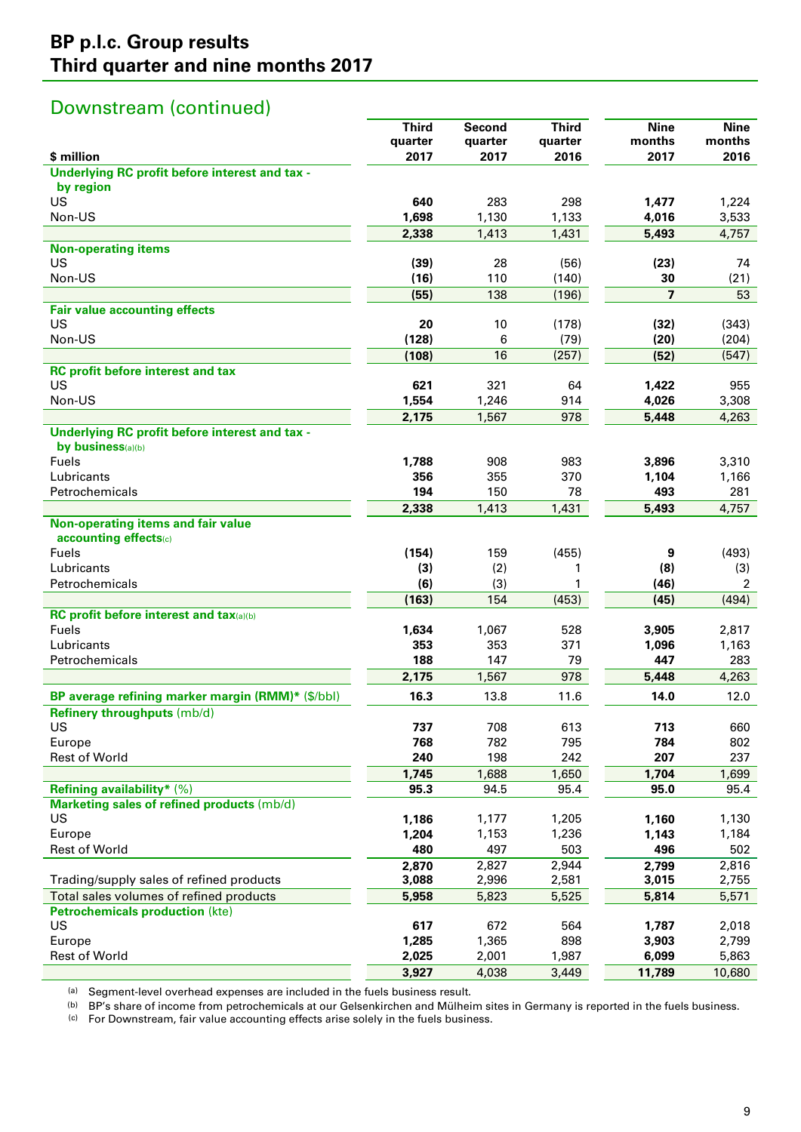## Downstream (continued)

|                                                         | <b>Third</b><br>quarter | Second<br>quarter | <b>Third</b><br>quarter | <b>Nine</b><br>months | <b>Nine</b><br>months |
|---------------------------------------------------------|-------------------------|-------------------|-------------------------|-----------------------|-----------------------|
| \$ million                                              | 2017                    | 2017              | 2016                    | 2017                  | 2016                  |
| Underlying RC profit before interest and tax -          |                         |                   |                         |                       |                       |
| by region                                               |                         |                   |                         |                       |                       |
| US                                                      | 640                     | 283               | 298                     | 1,477                 | 1,224                 |
| Non-US                                                  | 1,698                   | 1,130             | 1,133                   | 4,016                 | 3,533                 |
|                                                         | 2,338                   | 1,413             | 1,431                   | 5,493                 | 4,757                 |
| <b>Non-operating items</b>                              |                         |                   |                         |                       |                       |
| US                                                      | (39)                    | 28                | (56)                    | (23)                  | 74                    |
| Non-US                                                  | (16)                    | 110               | (140)                   | 30                    | (21)                  |
|                                                         | (55)                    | 138               | (196)                   | $\overline{7}$        | 53                    |
| <b>Fair value accounting effects</b>                    |                         |                   |                         |                       |                       |
| US<br>Non-US                                            | 20<br>(128)             | 10<br>6           | (178)                   | (32)<br>(20)          | (343)                 |
|                                                         |                         | 16                | (79)<br>(257)           | (52)                  | (204)<br>(547)        |
| <b>RC profit before interest and tax</b>                | (108)                   |                   |                         |                       |                       |
| US                                                      | 621                     | 321               | 64                      | 1,422                 | 955                   |
| Non-US                                                  | 1,554                   | 1,246             | 914                     | 4,026                 | 3,308                 |
|                                                         | 2,175                   | 1,567             | 978                     | 5,448                 | 4,263                 |
| Underlying RC profit before interest and tax -          |                         |                   |                         |                       |                       |
| by business(a)(b)                                       |                         |                   |                         |                       |                       |
| <b>Fuels</b>                                            | 1,788                   | 908               | 983                     | 3,896                 | 3,310                 |
| Lubricants                                              | 356                     | 355               | 370                     | 1,104                 | 1,166                 |
| Petrochemicals                                          | 194                     | 150               | 78                      | 493                   | 281                   |
|                                                         | 2,338                   | 1,413             | 1,431                   | 5,493                 | 4,757                 |
| <b>Non-operating items and fair value</b>               |                         |                   |                         |                       |                       |
| accounting effects(c)                                   |                         |                   |                         |                       |                       |
| Fuels                                                   | (154)                   | 159               | (455)                   | 9                     | (493)                 |
| Lubricants                                              | (3)                     | (2)               | 1                       | (8)                   | (3)                   |
| Petrochemicals                                          | (6)                     | (3)               | 1                       | (46)                  | 2                     |
|                                                         | (163)                   | 154               | (453)                   | (45)                  | (494)                 |
| RC profit before interest and tax(a)(b)<br><b>Fuels</b> | 1,634                   | 1,067             | 528                     | 3,905                 | 2,817                 |
| Lubricants                                              | 353                     | 353               | 371                     | 1,096                 | 1,163                 |
| Petrochemicals                                          | 188                     | 147               | 79                      | 447                   | 283                   |
|                                                         | 2,175                   | 1,567             | 978                     | 5,448                 | 4,263                 |
|                                                         | 16.3                    |                   |                         | 14.0                  |                       |
| BP average refining marker margin (RMM)* (\$/bbl)       |                         | 13.8              | 11.6                    |                       | 12.0                  |
| <b>Refinery throughputs (mb/d)</b><br>US                | 737                     | 708               | 613                     | 713                   | 660                   |
| Europe                                                  | 768                     | 782               | 795                     | 784                   | 802                   |
| <b>Rest of World</b>                                    | 240                     | 198               | 242                     | 207                   | 237                   |
|                                                         | 1,745                   | 1,688             | 1,650                   | 1,704                 | 1,699                 |
| <b>Refining availability*</b> (%)                       | 95.3                    | 94.5              | 95.4                    | 95.0                  | 95.4                  |
| Marketing sales of refined products (mb/d)              |                         |                   |                         |                       |                       |
| US                                                      | 1,186                   | 1,177             | 1,205                   | 1,160                 | 1,130                 |
| Europe                                                  | 1,204                   | 1,153             | 1,236                   | 1,143                 | 1,184                 |
| Rest of World                                           | 480                     | 497               | 503                     | 496                   | 502                   |
|                                                         | 2,870                   | 2,827             | 2,944                   | 2,799                 | 2,816                 |
| Trading/supply sales of refined products                | 3,088                   | 2,996             | 2,581                   | 3,015                 | 2,755                 |
| Total sales volumes of refined products                 | 5,958                   | 5,823             | 5,525                   | 5,814                 | 5,571                 |
| <b>Petrochemicals production (kte)</b>                  |                         |                   |                         |                       |                       |
| US                                                      | 617                     | 672               | 564                     | 1,787                 | 2,018                 |
| Europe                                                  | 1,285                   | 1,365             | 898                     | 3,903                 | 2,799                 |
| Rest of World                                           | 2,025                   | 2,001             | 1,987                   | 6,099                 | 5,863                 |
|                                                         | 3,927                   | 4,038             | 3,449                   | 11,789                | 10,680                |

(a) Segment-level overhead expenses are included in the fuels business result.

(b) BP's share of income from petrochemicals at our Gelsenkirchen and Mülheim sites in Germany is reported in the fuels business.

(c) For Downstream, fair value accounting effects arise solely in the fuels business.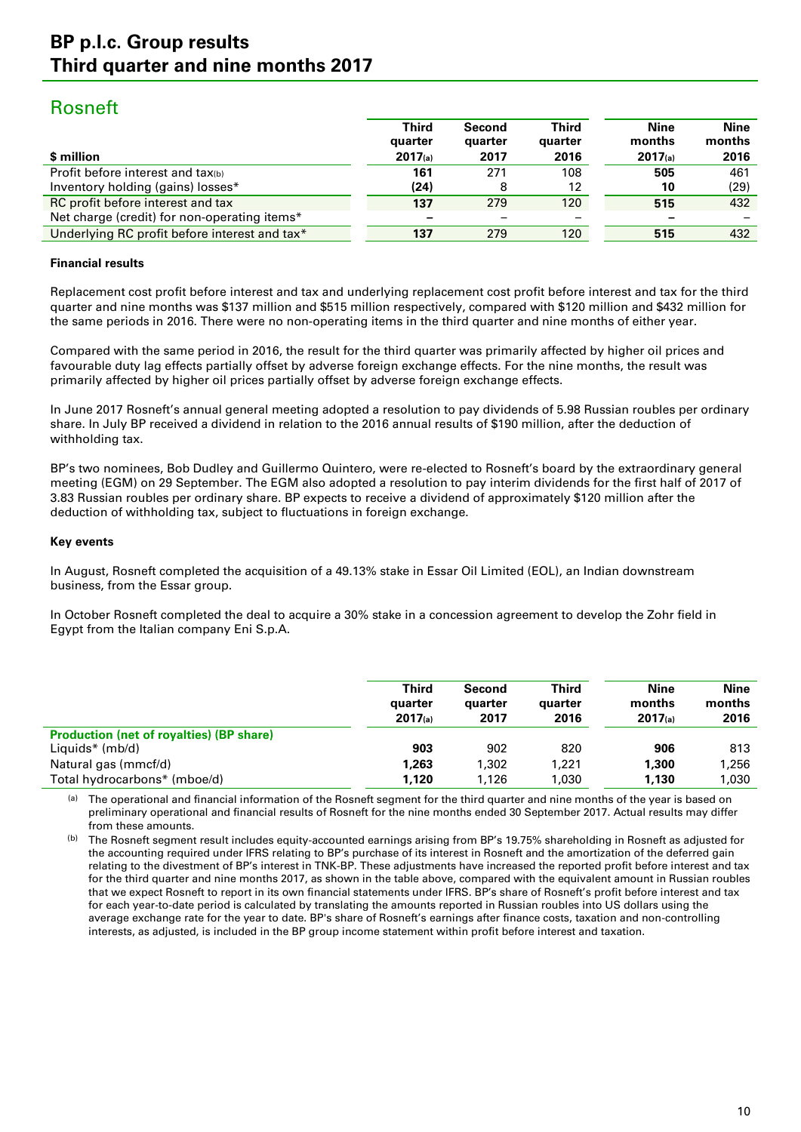## Rosneft

| \$ million                                                                        | Third                           | Second  | <b>Third</b> | <b>Nine</b> | <b>Nine</b> |
|-----------------------------------------------------------------------------------|---------------------------------|---------|--------------|-------------|-------------|
|                                                                                   | quarter                         | quarter | quarter      | months      | months      |
|                                                                                   | 2017(a)                         | 2017    | 2016         | 2017(a)     | 2016        |
| Profit before interest and tax(b)                                                 | 161                             | 271     | 108          | 505         | 461         |
| Inventory holding (gains) losses*                                                 | (24)                            | 8       | 12           | 10          | (29)        |
| RC profit before interest and tax<br>Net charge (credit) for non-operating items* | 137<br>$\overline{\phantom{0}}$ | 279     | 120          | 515         | 432         |
| Underlying RC profit before interest and tax*                                     | 137                             | 279     | 120          | 515         | 432         |

### **Financial results**

Replacement cost profit before interest and tax and underlying replacement cost profit before interest and tax for the third quarter and nine months was \$137 million and \$515 million respectively, compared with \$120 million and \$432 million for the same periods in 2016. There were no non-operating items in the third quarter and nine months of either year.

Compared with the same period in 2016, the result for the third quarter was primarily affected by higher oil prices and favourable duty lag effects partially offset by adverse foreign exchange effects. For the nine months, the result was primarily affected by higher oil prices partially offset by adverse foreign exchange effects.

In June 2017 Rosneft's annual general meeting adopted a resolution to pay dividends of 5.98 Russian roubles per ordinary share. In July BP received a dividend in relation to the 2016 annual results of \$190 million, after the deduction of withholding tax.

BP's two nominees, Bob Dudley and Guillermo Quintero, were re-elected to Rosneft's board by the extraordinary general meeting (EGM) on 29 September. The EGM also adopted a resolution to pay interim dividends for the first half of 2017 of 3.83 Russian roubles per ordinary share. BP expects to receive a dividend of approximately \$120 million after the deduction of withholding tax, subject to fluctuations in foreign exchange.

### **Key events**

In August, Rosneft completed the acquisition of a 49.13% stake in Essar Oil Limited (EOL), an Indian downstream business, from the Essar group.

In October Rosneft completed the deal to acquire a 30% stake in a concession agreement to develop the Zohr field in Egypt from the Italian company Eni S.p.A.

|                                                 | Third<br>quarter<br>2017(a) | Second<br>quarter<br>2017 | <b>Third</b><br>quarter<br>2016 | <b>Nine</b><br>months<br>2017(a) | <b>Nine</b><br>months<br>2016 |
|-------------------------------------------------|-----------------------------|---------------------------|---------------------------------|----------------------------------|-------------------------------|
| <b>Production (net of royalties) (BP share)</b> |                             |                           |                                 |                                  |                               |
| Liquids $*$ (mb/d)                              | 903                         | 902                       | 820                             | 906                              | 813                           |
| Natural gas (mmcf/d)                            | 1,263                       | 1,302                     | 1.221                           | 1,300                            | 1,256                         |
| Total hydrocarbons* (mboe/d)                    | 1,120                       | 1.126                     | 1.030                           | 1,130                            | 1.030                         |

The operational and financial information of the Rosneft segment for the third quarter and nine months of the year is based on preliminary operational and financial results of Rosneft for the nine months ended 30 September 2017. Actual results may differ from these amounts.

(b) The Rosneft segment result includes equity-accounted earnings arising from BP's 19.75% shareholding in Rosneft as adjusted for the accounting required under IFRS relating to BP's purchase of its interest in Rosneft and the amortization of the deferred gain relating to the divestment of BP's interest in TNK-BP. These adjustments have increased the reported profit before interest and tax for the third quarter and nine months 2017, as shown in the table above, compared with the equivalent amount in Russian roubles that we expect Rosneft to report in its own financial statements under IFRS. BP's share of Rosneft's profit before interest and tax for each year-to-date period is calculated by translating the amounts reported in Russian roubles into US dollars using the average exchange rate for the year to date. BP's share of Rosneft's earnings after finance costs, taxation and non-controlling interests, as adjusted, is included in the BP group income statement within profit before interest and taxation.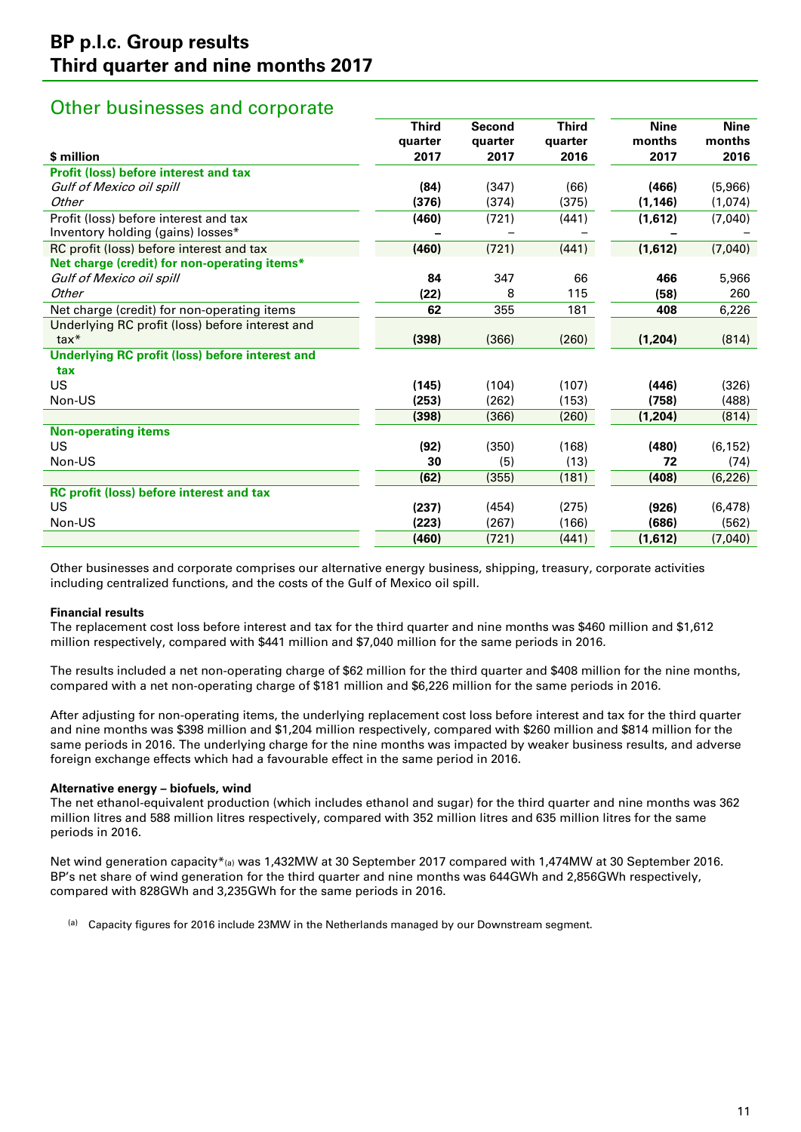### Other businesses and corporate

|                                                        | <b>Third</b><br>quarter | Second<br>quarter | <b>Third</b><br>quarter | <b>Nine</b><br>months | <b>Nine</b><br>months |
|--------------------------------------------------------|-------------------------|-------------------|-------------------------|-----------------------|-----------------------|
| \$ million                                             | 2017                    | 2017              | 2016                    | 2017                  | 2016                  |
| Profit (loss) before interest and tax                  |                         |                   |                         |                       |                       |
| Gulf of Mexico oil spill                               | (84)                    | (347)             | (66)                    | (466)                 | (5,966)               |
| Other                                                  | (376)                   | (374)             | (375)                   | (1, 146)              | (1,074)               |
| Profit (loss) before interest and tax                  | (460)                   | (721)             | (441)                   | (1,612)               | (7,040)               |
| Inventory holding (gains) losses*                      |                         |                   |                         |                       |                       |
| RC profit (loss) before interest and tax               | (460)                   | (721)             | (441)                   | (1,612)               | (7,040)               |
| Net charge (credit) for non-operating items*           |                         |                   |                         |                       |                       |
| Gulf of Mexico oil spill                               | 84                      | 347               | 66                      | 466                   | 5,966                 |
| Other                                                  | (22)                    | 8                 | 115                     | (58)                  | 260                   |
| Net charge (credit) for non-operating items            | 62                      | 355               | 181                     | 408                   | 6,226                 |
| Underlying RC profit (loss) before interest and        |                         |                   |                         |                       |                       |
| $\text{tax}^*$                                         | (398)                   | (366)             | (260)                   | (1, 204)              | (814)                 |
| <b>Underlying RC profit (loss) before interest and</b> |                         |                   |                         |                       |                       |
| tax                                                    |                         |                   |                         |                       |                       |
| <b>US</b>                                              | (145)                   | (104)             | (107)                   | (446)                 | (326)                 |
| Non-US                                                 | (253)                   | (262)             | (153)                   | (758)                 | (488)                 |
|                                                        | (398)                   | (366)             | (260)                   | (1,204)               | (814)                 |
| <b>Non-operating items</b>                             |                         |                   |                         |                       |                       |
| US                                                     | (92)                    | (350)             | (168)                   | (480)                 | (6, 152)              |
| Non-US                                                 | 30                      | (5)               | (13)                    | 72                    | (74)                  |
|                                                        | (62)                    | (355)             | (181)                   | (408)                 | (6, 226)              |
| RC profit (loss) before interest and tax               |                         |                   |                         |                       |                       |
| US                                                     | (237)                   | (454)             | (275)                   | (926)                 | (6, 478)              |
| Non-US                                                 | (223)                   | (267)             | (166)                   | (686)                 | (562)                 |
|                                                        | (460)                   | (721)             | (441)                   | (1,612)               | (7,040)               |

Other businesses and corporate comprises our alternative energy business, shipping, treasury, corporate activities including centralized functions, and the costs of the Gulf of Mexico oil spill.

### **Financial results**

The replacement cost loss before interest and tax for the third quarter and nine months was \$460 million and \$1,612 million respectively, compared with \$441 million and \$7,040 million for the same periods in 2016.

The results included a net non-operating charge of \$62 million for the third quarter and \$408 million for the nine months, compared with a net non-operating charge of \$181 million and \$6,226 million for the same periods in 2016.

After adjusting for non-operating items, the underlying replacement cost loss before interest and tax for the third quarter and nine months was \$398 million and \$1,204 million respectively, compared with \$260 million and \$814 million for the same periods in 2016. The underlying charge for the nine months was impacted by weaker business results, and adverse foreign exchange effects which had a favourable effect in the same period in 2016.

### **Alternative energy – biofuels, wind**

The net ethanol-equivalent production (which includes ethanol and sugar) for the third quarter and nine months was 362 million litres and 588 million litres respectively, compared with 352 million litres and 635 million litres for the same periods in 2016.

Net wind generation capacity\*(a) was 1,432MW at 30 September 2017 compared with 1,474MW at 30 September 2016. BP's net share of wind generation for the third quarter and nine months was 644GWh and 2,856GWh respectively, compared with 828GWh and 3,235GWh for the same periods in 2016.

(a) Capacity figures for 2016 include 23MW in the Netherlands managed by our Downstream segment.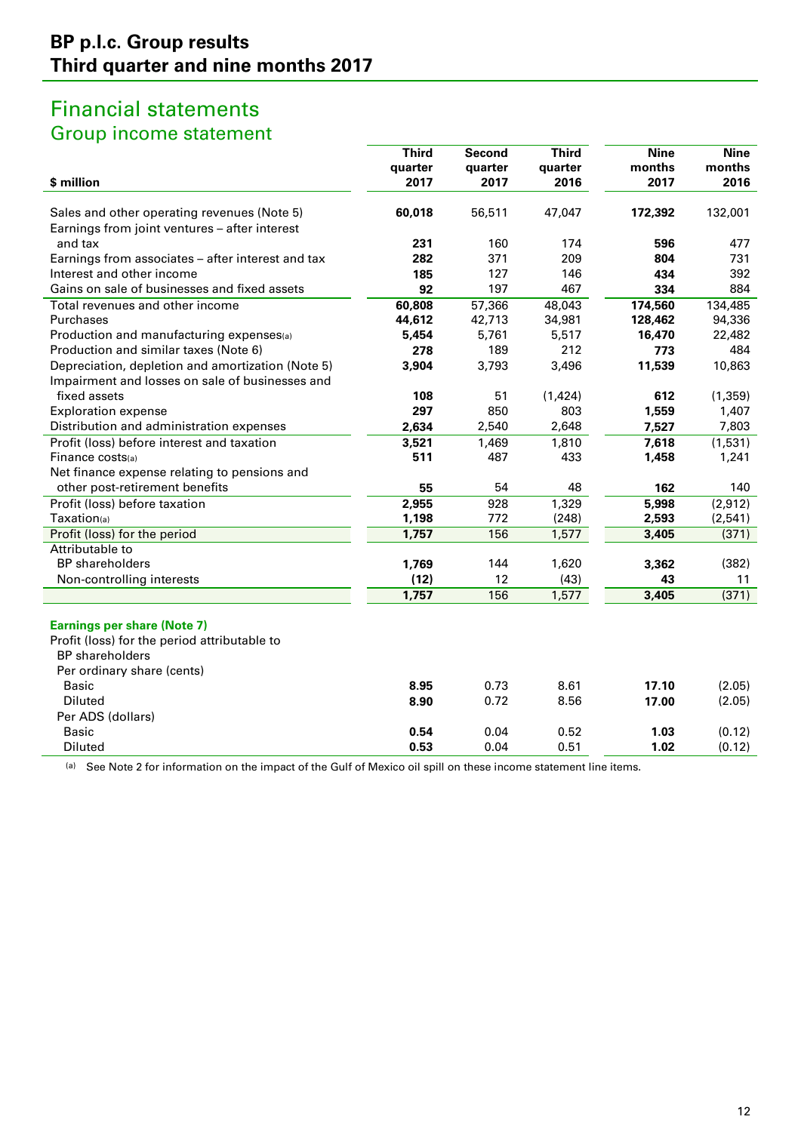## Financial statements Group income statement

|                                                                                              | <b>Third</b> | Second  | <b>Third</b> | <b>Nine</b> | <b>Nine</b> |
|----------------------------------------------------------------------------------------------|--------------|---------|--------------|-------------|-------------|
|                                                                                              | quarter      | quarter | quarter      | months      | months      |
| \$ million                                                                                   | 2017         | 2017    | 2016         | 2017        | 2016        |
|                                                                                              | 60,018       | 56,511  | 47,047       | 172,392     | 132,001     |
| Sales and other operating revenues (Note 5)<br>Earnings from joint ventures - after interest |              |         |              |             |             |
| and tax                                                                                      | 231          | 160     | 174          | 596         | 477         |
|                                                                                              | 282          | 371     | 209          | 804         | 731         |
| Earnings from associates - after interest and tax                                            |              |         |              |             |             |
| Interest and other income                                                                    | 185          | 127     | 146          | 434         | 392         |
| Gains on sale of businesses and fixed assets                                                 | 92           | 197     | 467          | 334         | 884         |
| Total revenues and other income                                                              | 60,808       | 57,366  | 48,043       | 174,560     | 134,485     |
| Purchases                                                                                    | 44,612       | 42,713  | 34,981       | 128,462     | 94,336      |
| Production and manufacturing expenses(a)                                                     | 5,454        | 5,761   | 5,517        | 16,470      | 22,482      |
| Production and similar taxes (Note 6)                                                        | 278          | 189     | 212          | 773         | 484         |
| Depreciation, depletion and amortization (Note 5)                                            | 3,904        | 3,793   | 3,496        | 11,539      | 10,863      |
| Impairment and losses on sale of businesses and                                              |              |         |              |             |             |
| fixed assets                                                                                 | 108          | 51      | (1, 424)     | 612         | (1, 359)    |
| <b>Exploration expense</b>                                                                   | 297          | 850     | 803          | 1,559       | 1,407       |
| Distribution and administration expenses                                                     | 2,634        | 2,540   | 2,648        | 7,527       | 7,803       |
| Profit (loss) before interest and taxation                                                   | 3,521        | 1,469   | 1,810        | 7,618       | (1,531)     |
| Finance costs(a)                                                                             | 511          | 487     | 433          | 1,458       | 1,241       |
| Net finance expense relating to pensions and                                                 |              |         |              |             |             |
| other post-retirement benefits                                                               | 55           | 54      | 48           | 162         | 140         |
| Profit (loss) before taxation                                                                | 2,955        | 928     | 1,329        | 5,998       | (2, 912)    |
| Taxation(a)                                                                                  | 1,198        | 772     | (248)        | 2,593       | (2,541)     |
| Profit (loss) for the period                                                                 | 1,757        | 156     | 1,577        | 3,405       | (371)       |
| Attributable to                                                                              |              |         |              |             |             |
| <b>BP</b> shareholders                                                                       | 1,769        | 144     | 1,620        | 3,362       | (382)       |
| Non-controlling interests                                                                    | (12)         | 12      | (43)         | 43          | 11          |
|                                                                                              | 1,757        | 156     | 1,577        | 3,405       | (371)       |
|                                                                                              |              |         |              |             |             |
| <b>Earnings per share (Note 7)</b>                                                           |              |         |              |             |             |
| Profit (loss) for the period attributable to                                                 |              |         |              |             |             |
| <b>BP</b> shareholders                                                                       |              |         |              |             |             |
| Per ordinary share (cents)                                                                   |              |         |              |             |             |
| <b>Basic</b>                                                                                 | 8.95         | 0.73    | 8.61         | 17.10       | (2.05)      |
| <b>Diluted</b>                                                                               | 8.90         | 0.72    | 8.56         | 17.00       | (2.05)      |
| Per ADS (dollars)                                                                            |              |         |              |             |             |
| <b>Basic</b>                                                                                 | 0.54         | 0.04    | 0.52         | 1.03        | (0.12)      |
| <b>Diluted</b>                                                                               | 0.53         | 0.04    | 0.51         | 1.02        | (0.12)      |

(a) See Note 2 for information on the impact of the Gulf of Mexico oil spill on these income statement line items.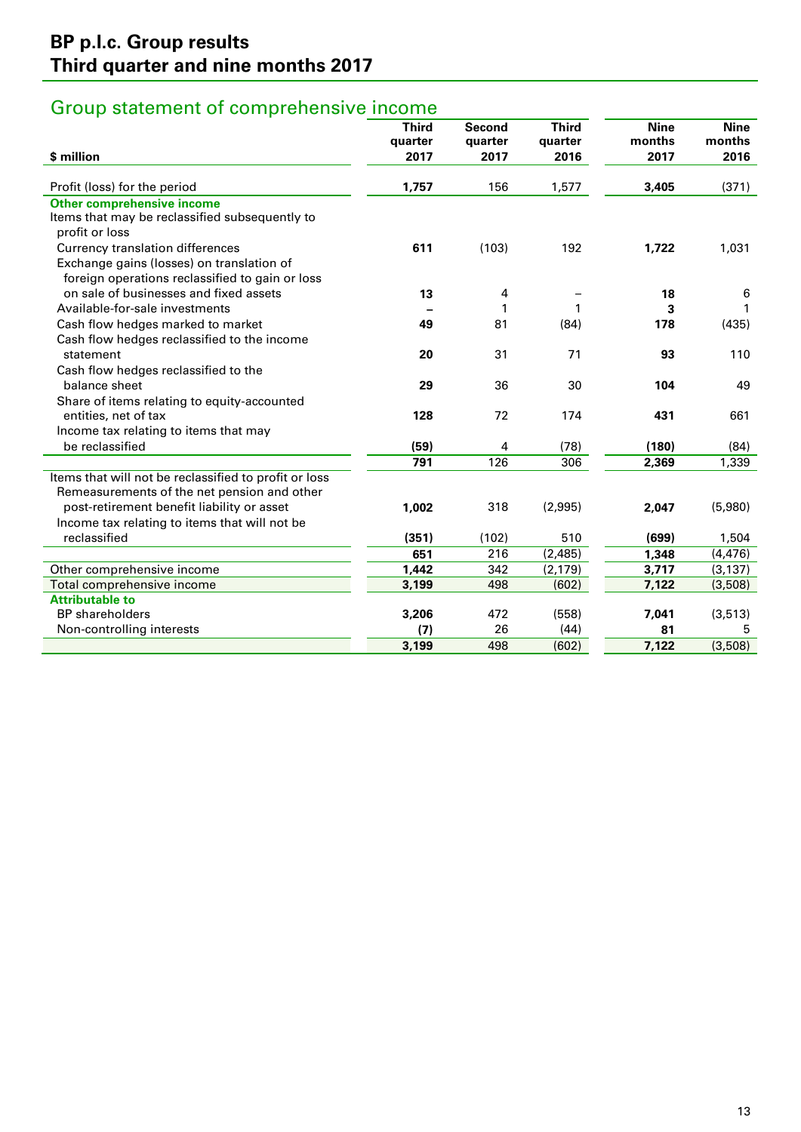## Group statement of comprehensive income

| \$ million                                                                                                                              | <b>Third</b><br>quarter<br>2017 | <b>Second</b><br>quarter<br>2017 | <b>Third</b><br>quarter<br>2016 | <b>Nine</b><br>months<br>2017 | <b>Nine</b><br>months<br>2016 |
|-----------------------------------------------------------------------------------------------------------------------------------------|---------------------------------|----------------------------------|---------------------------------|-------------------------------|-------------------------------|
| Profit (loss) for the period                                                                                                            | 1,757                           | 156                              | 1,577                           | 3,405                         | (371)                         |
| <b>Other comprehensive income</b><br>Items that may be reclassified subsequently to<br>profit or loss                                   |                                 |                                  |                                 |                               |                               |
| <b>Currency translation differences</b><br>Exchange gains (losses) on translation of<br>foreign operations reclassified to gain or loss | 611                             | (103)                            | 192                             | 1,722                         | 1,031                         |
| on sale of businesses and fixed assets                                                                                                  | 13                              | 4                                |                                 | 18                            | 6                             |
| Available-for-sale investments                                                                                                          |                                 | 1                                | $\mathbf{1}$                    | 3                             | 1                             |
| Cash flow hedges marked to market<br>Cash flow hedges reclassified to the income                                                        | 49                              | 81                               | (84)                            | 178                           | (435)                         |
| statement                                                                                                                               | 20                              | 31                               | 71                              | 93                            | 110                           |
| Cash flow hedges reclassified to the                                                                                                    |                                 |                                  |                                 |                               |                               |
| balance sheet                                                                                                                           | 29                              | 36                               | 30                              | 104                           | 49                            |
| Share of items relating to equity-accounted                                                                                             |                                 |                                  |                                 |                               |                               |
| entities, net of tax                                                                                                                    | 128                             | 72                               | 174                             | 431                           | 661                           |
| Income tax relating to items that may                                                                                                   |                                 |                                  |                                 |                               |                               |
| be reclassified                                                                                                                         | (59)                            | 4                                | (78)                            | (180)                         | (84)                          |
|                                                                                                                                         | 791                             | 126                              | 306                             | 2,369                         | 1,339                         |
| Items that will not be reclassified to profit or loss<br>Remeasurements of the net pension and other                                    |                                 |                                  |                                 |                               |                               |
| post-retirement benefit liability or asset<br>Income tax relating to items that will not be                                             | 1,002                           | 318                              | (2,995)                         | 2,047                         | (5,980)                       |
| reclassified                                                                                                                            | (351)                           | (102)                            | 510                             | (699)                         | 1,504                         |
|                                                                                                                                         | 651                             | 216                              | (2, 485)                        | 1,348                         | (4, 476)                      |
| Other comprehensive income                                                                                                              | 1,442                           | 342                              | (2, 179)                        | 3,717                         | (3, 137)                      |
| Total comprehensive income                                                                                                              | 3,199                           | 498                              | (602)                           | 7,122                         | (3,508)                       |
| <b>Attributable to</b>                                                                                                                  |                                 |                                  |                                 |                               |                               |
| <b>BP</b> shareholders                                                                                                                  | 3,206                           | 472                              | (558)                           | 7,041                         | (3, 513)                      |
| Non-controlling interests                                                                                                               | (7)                             | 26                               | (44)                            | 81                            | 5                             |
|                                                                                                                                         | 3,199                           | 498                              | (602)                           | 7,122                         | (3,508)                       |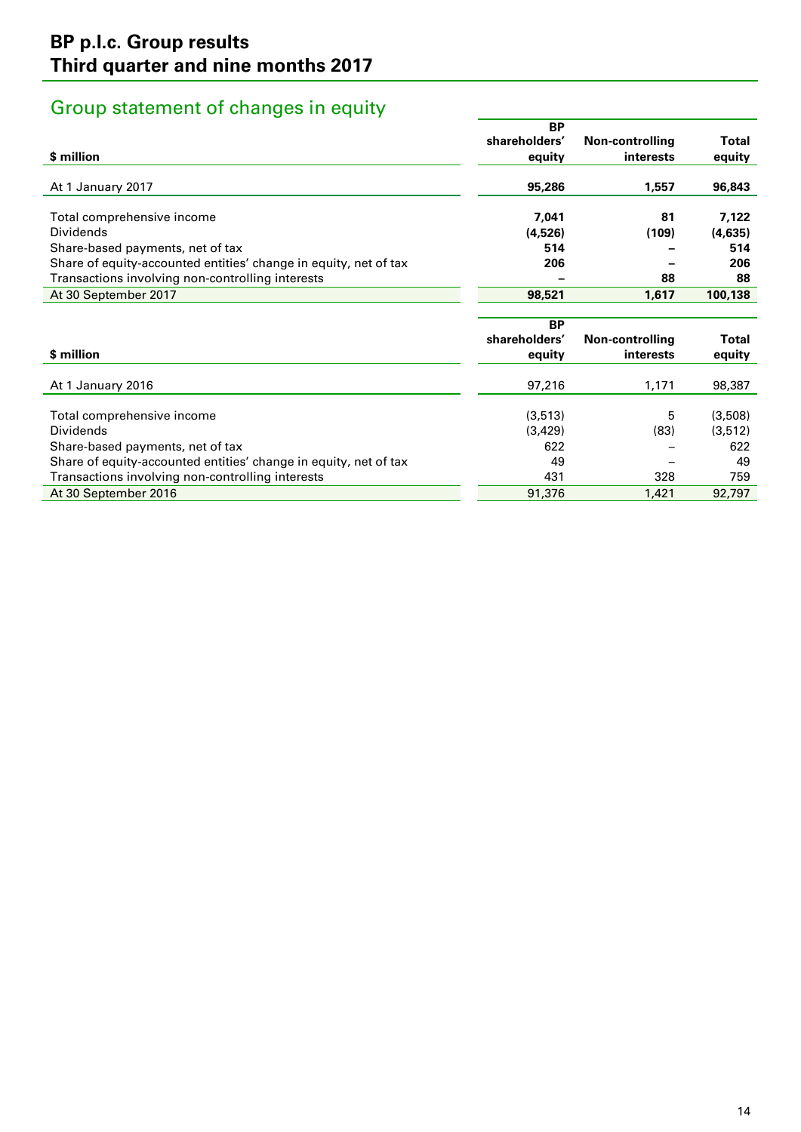## Group statement of changes in equity

|                                                                  | <b>BP</b>     |                 |          |
|------------------------------------------------------------------|---------------|-----------------|----------|
|                                                                  | shareholders' | Non-controlling | Total    |
| \$ million                                                       | equity        | interests       | equity   |
| At 1 January 2017                                                | 95,286        | 1,557           | 96,843   |
| Total comprehensive income                                       | 7,041         | 81              | 7,122    |
| <b>Dividends</b>                                                 | (4,526)       | (109)           | (4,635)  |
| Share-based payments, net of tax                                 | 514           |                 | 514      |
| Share of equity-accounted entities' change in equity, net of tax | 206           |                 | 206      |
| Transactions involving non-controlling interests                 |               | 88              | 88       |
| At 30 September 2017                                             | 98,521        | 1,617           | 100,138  |
|                                                                  |               |                 |          |
|                                                                  |               |                 |          |
|                                                                  | <b>BP</b>     |                 |          |
|                                                                  | shareholders' | Non-controlling | Total    |
| \$ million                                                       | equity        | interests       | equity   |
| At 1 January 2016                                                | 97,216        | 1,171           | 98,387   |
| Total comprehensive income                                       | (3, 513)      | 5               | (3,508)  |
| <b>Dividends</b>                                                 | (3,429)       | (83)            | (3, 512) |
| Share-based payments, net of tax                                 | 622           |                 | 622      |
| Share of equity-accounted entities' change in equity, net of tax | 49            |                 | 49       |
| Transactions involving non-controlling interests                 | 431           | 328             | 759      |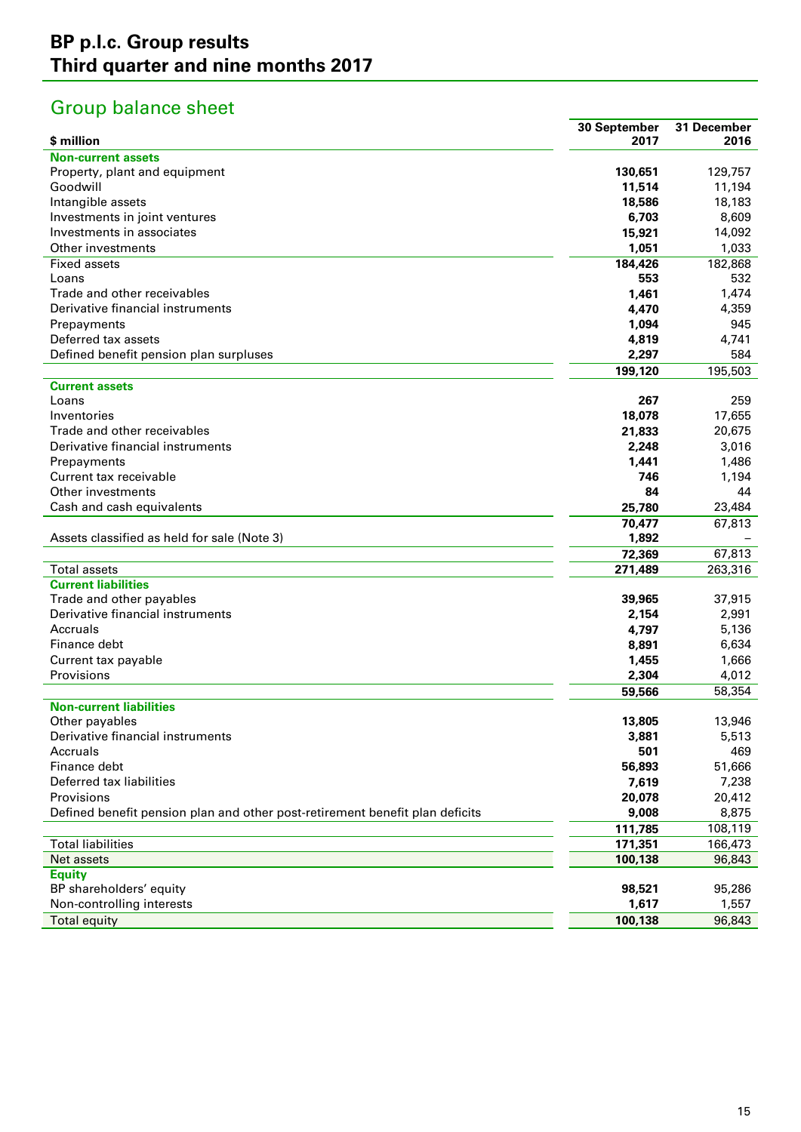# Group balance sheet

|                                                                              | 30 September | 31 December |
|------------------------------------------------------------------------------|--------------|-------------|
| \$ million                                                                   | 2017         | 2016        |
| <b>Non-current assets</b>                                                    |              |             |
| Property, plant and equipment                                                | 130,651      | 129,757     |
| Goodwill                                                                     | 11,514       | 11,194      |
| Intangible assets                                                            | 18,586       | 18,183      |
| Investments in joint ventures                                                | 6,703        | 8,609       |
| Investments in associates                                                    | 15,921       | 14,092      |
| Other investments                                                            | 1,051        | 1,033       |
| <b>Fixed assets</b>                                                          | 184,426      | 182,868     |
| Loans                                                                        | 553          | 532         |
| Trade and other receivables                                                  | 1,461        | 1,474       |
| Derivative financial instruments                                             | 4,470        | 4,359       |
| Prepayments                                                                  | 1,094        | 945         |
| Deferred tax assets                                                          | 4,819        | 4,741       |
| Defined benefit pension plan surpluses                                       | 2,297        | 584         |
|                                                                              | 199,120      | 195,503     |
| <b>Current assets</b>                                                        |              |             |
| Loans                                                                        | 267          | 259         |
| Inventories                                                                  | 18,078       | 17,655      |
| Trade and other receivables                                                  | 21,833       | 20,675      |
| Derivative financial instruments                                             | 2,248        | 3,016       |
| Prepayments                                                                  | 1,441        | 1,486       |
| Current tax receivable                                                       | 746          | 1,194       |
| Other investments                                                            | 84           | 44          |
| Cash and cash equivalents                                                    | 25,780       | 23,484      |
|                                                                              | 70,477       | 67,813      |
| Assets classified as held for sale (Note 3)                                  | 1,892        |             |
|                                                                              | 72,369       | 67,813      |
| <b>Total assets</b>                                                          | 271,489      | 263,316     |
| <b>Current liabilities</b>                                                   |              |             |
| Trade and other payables                                                     | 39,965       | 37,915      |
| Derivative financial instruments                                             | 2,154        | 2,991       |
| Accruals                                                                     | 4,797        | 5,136       |
| Finance debt                                                                 | 8,891        | 6,634       |
| Current tax payable                                                          | 1,455        | 1,666       |
| Provisions                                                                   | 2,304        | 4,012       |
|                                                                              | 59,566       | 58,354      |
| <b>Non-current liabilities</b>                                               |              |             |
| Other payables                                                               | 13,805       | 13,946      |
| Derivative financial instruments                                             | 3,881        | 5,513       |
| Accruals                                                                     | 501          | 469         |
| Finance debt                                                                 | 56,893       | 51,666      |
| Deferred tax liabilities                                                     | 7,619        | 7,238       |
| Provisions                                                                   | 20,078       | 20,412      |
| Defined benefit pension plan and other post-retirement benefit plan deficits | 9,008        | 8,875       |
|                                                                              | 111,785      | 108,119     |
| <b>Total liabilities</b>                                                     | 171,351      | 166,473     |
| Net assets                                                                   | 100,138      | 96,843      |
| <b>Equity</b>                                                                |              |             |
| BP shareholders' equity                                                      | 98,521       | 95,286      |
| Non-controlling interests                                                    | 1,617        | 1,557       |
| <b>Total equity</b>                                                          | 100,138      | 96,843      |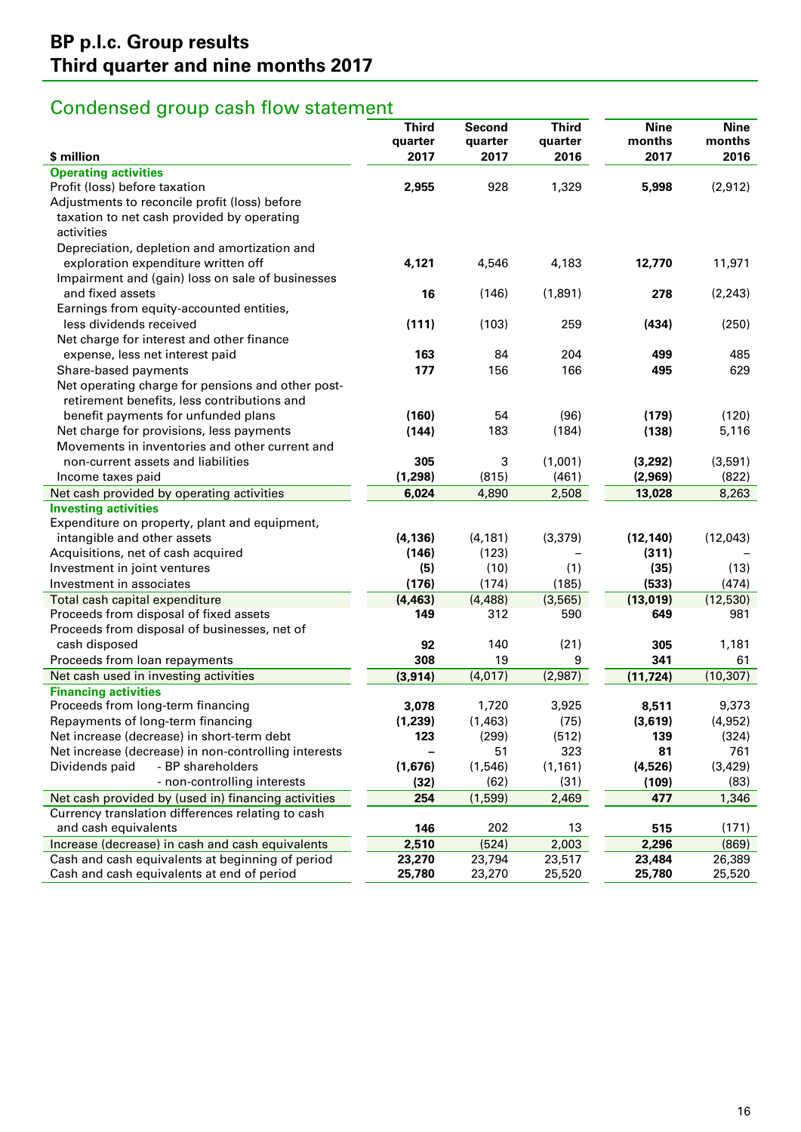# Condensed group cash flow statement

|                                                      | <b>Third</b> | Second   | <b>Third</b> | <b>Nine</b> | <b>Nine</b> |
|------------------------------------------------------|--------------|----------|--------------|-------------|-------------|
|                                                      | quarter      | quarter  | quarter      | months      | months      |
| \$ million                                           | 2017         | 2017     | 2016         | 2017        | 2016        |
| <b>Operating activities</b>                          |              |          |              |             |             |
| Profit (loss) before taxation                        | 2,955        | 928      | 1,329        | 5,998       | (2, 912)    |
| Adjustments to reconcile profit (loss) before        |              |          |              |             |             |
| taxation to net cash provided by operating           |              |          |              |             |             |
| activities                                           |              |          |              |             |             |
| Depreciation, depletion and amortization and         |              |          |              |             |             |
| exploration expenditure written off                  | 4,121        | 4,546    | 4,183        | 12,770      | 11,971      |
| Impairment and (gain) loss on sale of businesses     |              |          |              |             |             |
| and fixed assets                                     | 16           | (146)    | (1,891)      | 278         | (2, 243)    |
| Earnings from equity-accounted entities,             |              |          |              |             |             |
| less dividends received                              | (111)        | (103)    | 259          | (434)       | (250)       |
| Net charge for interest and other finance            |              |          |              |             |             |
| expense, less net interest paid                      | 163          | 84       | 204          | 499         | 485         |
| Share-based payments                                 | 177          | 156      | 166          | 495         | 629         |
| Net operating charge for pensions and other post-    |              |          |              |             |             |
| retirement benefits, less contributions and          |              |          |              |             |             |
| benefit payments for unfunded plans                  | (160)        | 54       | (96)         | (179)       | (120)       |
| Net charge for provisions, less payments             | (144)        | 183      | (184)        | (138)       | 5,116       |
| Movements in inventories and other current and       |              |          |              |             |             |
| non-current assets and liabilities                   | 305          | 3        | (1,001)      | (3,292)     | (3,591)     |
| Income taxes paid                                    | (1, 298)     | (815)    | (461)        | (2,969)     | (822)       |
| Net cash provided by operating activities            | 6,024        | 4,890    | 2,508        | 13,028      | 8,263       |
| <b>Investing activities</b>                          |              |          |              |             |             |
| Expenditure on property, plant and equipment,        |              |          |              |             |             |
| intangible and other assets                          | (4, 136)     | (4, 181) | (3, 379)     | (12, 140)   | (12,043)    |
| Acquisitions, net of cash acquired                   | (146)        | (123)    |              | (311)       |             |
| Investment in joint ventures                         | (5)          | (10)     | (1)          | (35)        | (13)        |
| Investment in associates                             | (176)        | (174)    | (185)        | (533)       | (474)       |
| Total cash capital expenditure                       | (4, 463)     | (4, 488) | (3, 565)     | (13, 019)   | (12, 530)   |
| Proceeds from disposal of fixed assets               | 149          | 312      | 590          | 649         | 981         |
| Proceeds from disposal of businesses, net of         |              |          |              |             |             |
| cash disposed                                        | 92           | 140      | (21)         | 305         | 1,181       |
| Proceeds from loan repayments                        | 308          | 19       |              | 341         | 61          |
| Net cash used in investing activities                | (3, 914)     | (4, 017) | (2,987)      | (11, 724)   | (10, 307)   |
| <b>Financing activities</b>                          |              |          |              |             |             |
| Proceeds from long-term financing                    | 3,078        | 1,720    | 3,925        | 8,511       | 9,373       |
| Repayments of long-term financing                    | (1, 239)     | (1, 463) | (75)         | (3,619)     | (4,952)     |
| Net increase (decrease) in short-term debt           | 123          | (299)    | (512)        | 139         | (324)       |
| Net increase (decrease) in non-controlling interests |              | 51       | 323          | 81          | 761         |
| - BP shareholders<br>Dividends paid                  | (1,676)      | (1,546)  | (1, 161)     | (4,526)     | (3, 429)    |
| - non-controlling interests                          | (32)         | (62)     | (31)         | (109)       | (83)        |
| Net cash provided by (used in) financing activities  | 254          | (1,599)  | 2,469        | 477         | 1,346       |
| Currency translation differences relating to cash    |              |          |              |             |             |
| and cash equivalents                                 | 146          | 202      | 13           | 515         | (171)       |
| Increase (decrease) in cash and cash equivalents     | 2,510        | (524)    | 2,003        | 2,296       | (869)       |
| Cash and cash equivalents at beginning of period     | 23,270       | 23,794   | 23,517       | 23,484      | 26,389      |
| Cash and cash equivalents at end of period           | 25,780       | 23,270   | 25,520       | 25,780      | 25,520      |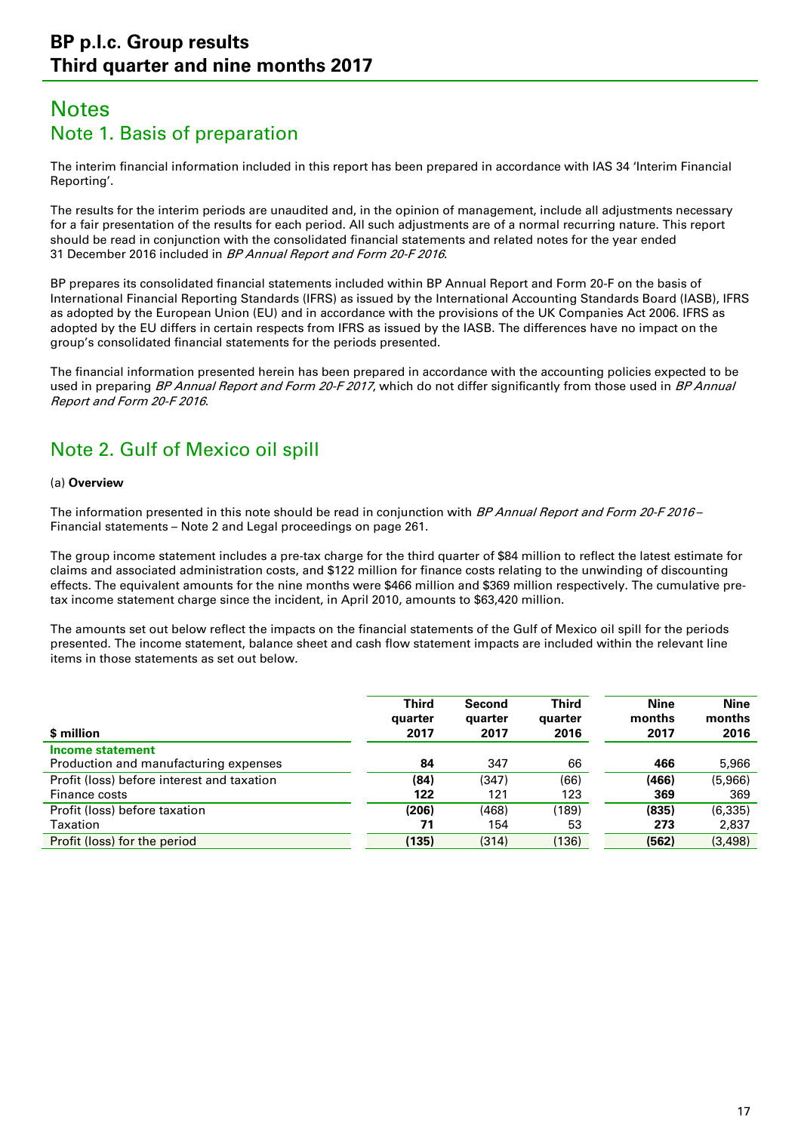### **Notes** Note 1. Basis of preparation

The interim financial information included in this report has been prepared in accordance with IAS 34 'Interim Financial Reporting'.

The results for the interim periods are unaudited and, in the opinion of management, include all adjustments necessary for a fair presentation of the results for each period. All such adjustments are of a normal recurring nature. This report should be read in conjunction with the consolidated financial statements and related notes for the year ended 31 December 2016 included in BP Annual Report and Form 20-F 2016.

BP prepares its consolidated financial statements included within BP Annual Report and Form 20-F on the basis of International Financial Reporting Standards (IFRS) as issued by the International Accounting Standards Board (IASB), IFRS as adopted by the European Union (EU) and in accordance with the provisions of the UK Companies Act 2006. IFRS as adopted by the EU differs in certain respects from IFRS as issued by the IASB. The differences have no impact on the group's consolidated financial statements for the periods presented.

The financial information presented herein has been prepared in accordance with the accounting policies expected to be used in preparing BP Annual Report and Form 20-F 2017, which do not differ significantly from those used in BP Annual Report and Form 20-F 2016.

## Note 2. Gulf of Mexico oil spill

### (a) **Overview**

The information presented in this note should be read in conjunction with BP Annual Report and Form 20-F 2016-Financial statements – Note 2 and Legal proceedings on page 261.

The group income statement includes a pre-tax charge for the third quarter of \$84 million to reflect the latest estimate for claims and associated administration costs, and \$122 million for finance costs relating to the unwinding of discounting effects. The equivalent amounts for the nine months were \$466 million and \$369 million respectively. The cumulative pretax income statement charge since the incident, in April 2010, amounts to \$63,420 million.

The amounts set out below reflect the impacts on the financial statements of the Gulf of Mexico oil spill for the periods presented. The income statement, balance sheet and cash flow statement impacts are included within the relevant line items in those statements as set out below.

| <b>Third</b><br>quarter<br>2017 | Second<br>quarter<br>2017 | <b>Third</b><br>quarter<br>2016 | <b>Nine</b><br>months<br>2017 | <b>Nine</b><br>months<br>2016 |
|---------------------------------|---------------------------|---------------------------------|-------------------------------|-------------------------------|
|                                 |                           |                                 |                               |                               |
| 84                              | 347                       | 66                              | 466                           | 5,966                         |
| (84)                            | (347)                     | (66)                            | (466)                         | (5,966)                       |
| 122                             | 121                       | 123                             | 369                           | 369                           |
| (206)                           | (468)                     | (189)                           | (835)                         | (6, 335)                      |
| 71                              | 154                       | 53                              | 273                           | 2,837                         |
| (135)                           | (314)                     | (136)                           | (562)                         | (3, 498)                      |
|                                 |                           |                                 |                               |                               |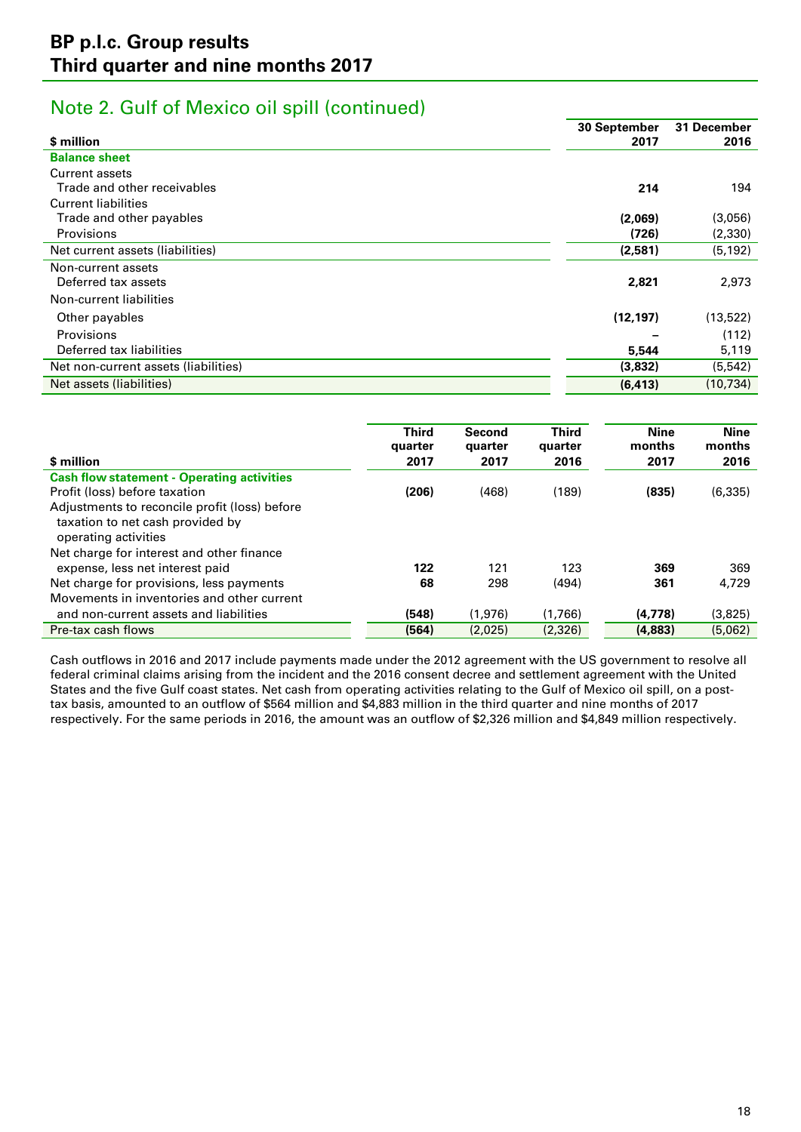### Note 2. Gulf of Mexico oil spill (continued)

|                                      | 30 September | 31 December |
|--------------------------------------|--------------|-------------|
| \$ million                           | 2017         | 2016        |
| <b>Balance sheet</b>                 |              |             |
| Current assets                       |              |             |
| Trade and other receivables          | 214          | 194         |
| <b>Current liabilities</b>           |              |             |
| Trade and other payables             | (2,069)      | (3,056)     |
| Provisions                           | (726)        | (2, 330)    |
| Net current assets (liabilities)     | (2,581)      | (5, 192)    |
| Non-current assets                   |              |             |
| Deferred tax assets                  | 2,821        | 2,973       |
| Non-current liabilities              |              |             |
| Other payables                       | (12, 197)    | (13, 522)   |
| Provisions                           |              | (112)       |
| Deferred tax liabilities             | 5,544        | 5,119       |
| Net non-current assets (liabilities) | (3,832)      | (5, 542)    |
| Net assets (liabilities)             | (6, 413)     | (10, 734)   |

|                                                   | <b>Third</b><br>quarter | Second<br>quarter | <b>Third</b><br>quarter | <b>Nine</b><br>months | Nine<br>months |
|---------------------------------------------------|-------------------------|-------------------|-------------------------|-----------------------|----------------|
| \$ million                                        | 2017                    | 2017              | 2016                    | 2017                  | 2016           |
| <b>Cash flow statement - Operating activities</b> |                         |                   |                         |                       |                |
| Profit (loss) before taxation                     | (206)                   | (468)             | (189)                   | (835)                 | (6, 335)       |
| Adjustments to reconcile profit (loss) before     |                         |                   |                         |                       |                |
| taxation to net cash provided by                  |                         |                   |                         |                       |                |
| operating activities                              |                         |                   |                         |                       |                |
| Net charge for interest and other finance         |                         |                   |                         |                       |                |
| expense, less net interest paid                   | 122                     | 121               | 123                     | 369                   | 369            |
| Net charge for provisions, less payments          | 68                      | 298               | (494)                   | 361                   | 4,729          |
| Movements in inventories and other current        |                         |                   |                         |                       |                |
| and non-current assets and liabilities            | (548)                   | (1,976)           | (1,766)                 | (4.778)               | (3,825)        |
| Pre-tax cash flows                                | (564)                   | (2,025)           | (2,326)                 | (4,883)               | (5,062)        |

Cash outflows in 2016 and 2017 include payments made under the 2012 agreement with the US government to resolve all federal criminal claims arising from the incident and the 2016 consent decree and settlement agreement with the United States and the five Gulf coast states. Net cash from operating activities relating to the Gulf of Mexico oil spill, on a posttax basis, amounted to an outflow of \$564 million and \$4,883 million in the third quarter and nine months of 2017 respectively. For the same periods in 2016, the amount was an outflow of \$2,326 million and \$4,849 million respectively.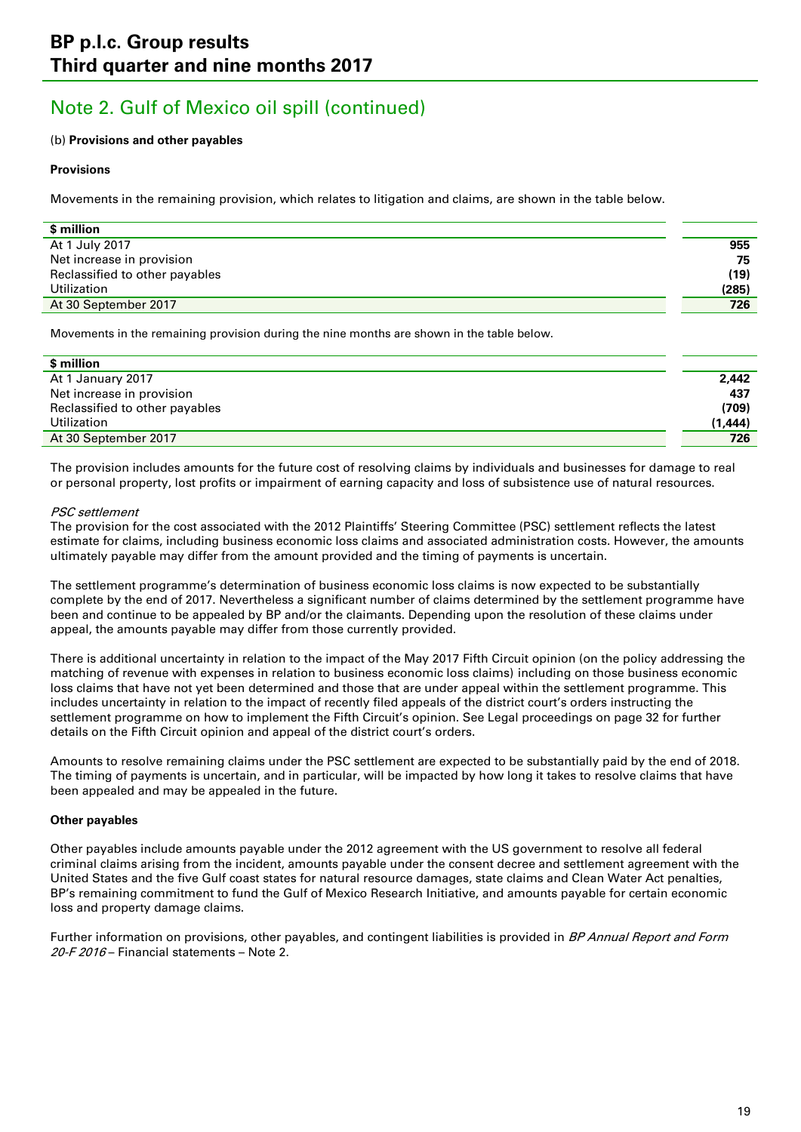## Note 2. Gulf of Mexico oil spill (continued)

### (b) **Provisions and other payables**

#### **Provisions**

Movements in the remaining provision, which relates to litigation and claims, are shown in the table below.

| \$ million                     |       |
|--------------------------------|-------|
| At 1 July 2017                 | 955   |
| Net increase in provision      | 75    |
| Reclassified to other payables | (19)  |
| Utilization                    | (285) |
| At 30 September 2017           | 726   |

Movements in the remaining provision during the nine months are shown in the table below.

| \$ million                     |          |
|--------------------------------|----------|
| At 1 January 2017              | 2,442    |
| Net increase in provision      | 437      |
| Reclassified to other payables | (709)    |
| Utilization                    | (1, 444) |
| At 30 September 2017           | 726      |

The provision includes amounts for the future cost of resolving claims by individuals and businesses for damage to real or personal property, lost profits or impairment of earning capacity and loss of subsistence use of natural resources.

### PSC settlement

The provision for the cost associated with the 2012 Plaintiffs' Steering Committee (PSC) settlement reflects the latest estimate for claims, including business economic loss claims and associated administration costs. However, the amounts ultimately payable may differ from the amount provided and the timing of payments is uncertain.

The settlement programme's determination of business economic loss claims is now expected to be substantially complete by the end of 2017. Nevertheless a significant number of claims determined by the settlement programme have been and continue to be appealed by BP and/or the claimants. Depending upon the resolution of these claims under appeal, the amounts payable may differ from those currently provided.

There is additional uncertainty in relation to the impact of the May 2017 Fifth Circuit opinion (on the policy addressing the matching of revenue with expenses in relation to business economic loss claims) including on those business economic loss claims that have not yet been determined and those that are under appeal within the settlement programme. This includes uncertainty in relation to the impact of recently filed appeals of the district court's orders instructing the settlement programme on how to implement the Fifth Circuit's opinion. See Legal proceedings on page 32 for further details on the Fifth Circuit opinion and appeal of the district court's orders.

Amounts to resolve remaining claims under the PSC settlement are expected to be substantially paid by the end of 2018. The timing of payments is uncertain, and in particular, will be impacted by how long it takes to resolve claims that have been appealed and may be appealed in the future.

### **Other payables**

Other payables include amounts payable under the 2012 agreement with the US government to resolve all federal criminal claims arising from the incident, amounts payable under the consent decree and settlement agreement with the United States and the five Gulf coast states for natural resource damages, state claims and Clean Water Act penalties, BP's remaining commitment to fund the Gulf of Mexico Research Initiative, and amounts payable for certain economic loss and property damage claims.

Further information on provisions, other payables, and contingent liabilities is provided in BP Annual Report and Form 20-F 2016 – Financial statements – Note 2.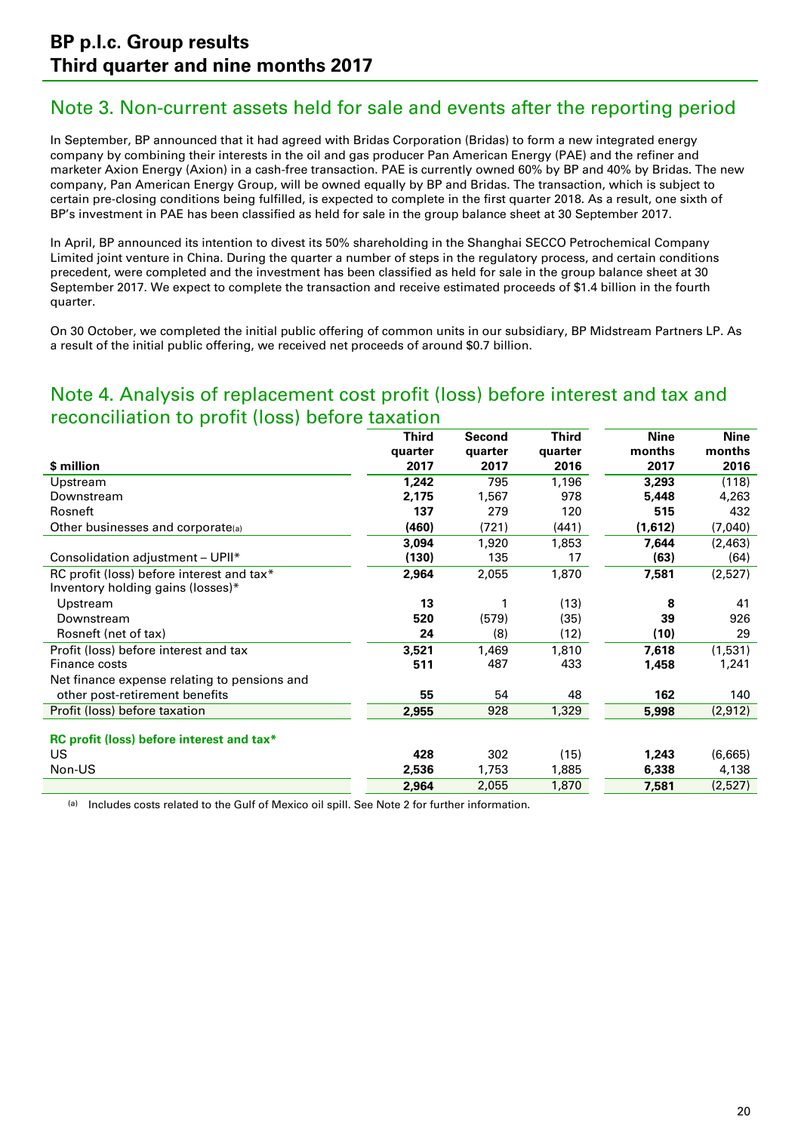### Note 3. Non-current assets held for sale and events after the reporting period

In September, BP announced that it had agreed with Bridas Corporation (Bridas) to form a new integrated energy company by combining their interests in the oil and gas producer Pan American Energy (PAE) and the refiner and marketer Axion Energy (Axion) in a cash-free transaction. PAE is currently owned 60% by BP and 40% by Bridas. The new company, Pan American Energy Group, will be owned equally by BP and Bridas. The transaction, which is subject to certain pre-closing conditions being fulfilled, is expected to complete in the first quarter 2018. As a result, one sixth of BP's investment in PAE has been classified as held for sale in the group balance sheet at 30 September 2017.

In April, BP announced its intention to divest its 50% shareholding in the Shanghai SECCO Petrochemical Company Limited joint venture in China. During the quarter a number of steps in the regulatory process, and certain conditions precedent, were completed and the investment has been classified as held for sale in the group balance sheet at 30 September 2017. We expect to complete the transaction and receive estimated proceeds of \$1.4 billion in the fourth quarter.

On 30 October, we completed the initial public offering of common units in our subsidiary, BP Midstream Partners LP. As a result of the initial public offering, we received net proceeds of around \$0.7 billion.

### Note 4. Analysis of replacement cost profit (loss) before interest and tax and reconciliation to profit (loss) before taxation

|                                              | <b>Third</b> | Second  | <b>Third</b> | <b>Nine</b> | <b>Nine</b> |
|----------------------------------------------|--------------|---------|--------------|-------------|-------------|
|                                              | quarter      | quarter | quarter      | months      | months      |
| \$ million                                   | 2017         | 2017    | 2016         | 2017        | 2016        |
| Upstream                                     | 1,242        | 795     | 1,196        | 3,293       | (118)       |
| Downstream                                   | 2,175        | 1,567   | 978          | 5,448       | 4,263       |
| Rosneft                                      | 137          | 279     | 120          | 515         | 432         |
| Other businesses and corporate(a)            | (460)        | (721)   | (441)        | (1,612)     | (7,040)     |
|                                              | 3,094        | 1,920   | 1,853        | 7,644       | (2,463)     |
| Consolidation adjustment - UPII*             | (130)        | 135     | 17           | (63)        | (64)        |
| RC profit (loss) before interest and tax*    | 2,964        | 2,055   | 1,870        | 7,581       | (2,527)     |
| Inventory holding gains (losses)*            |              |         |              |             |             |
| Upstream                                     | 13           | 1       | (13)         | 8           | 41          |
| Downstream                                   | 520          | (579)   | (35)         | 39          | 926         |
| Rosneft (net of tax)                         | 24           | (8)     | (12)         | (10)        | 29          |
| Profit (loss) before interest and tax        | 3,521        | 1,469   | 1,810        | 7,618       | (1,531)     |
| Finance costs                                | 511          | 487     | 433          | 1,458       | 1,241       |
| Net finance expense relating to pensions and |              |         |              |             |             |
| other post-retirement benefits               | 55           | 54      | 48           | 162         | 140         |
| Profit (loss) before taxation                | 2,955        | 928     | 1,329        | 5,998       | (2, 912)    |
|                                              |              |         |              |             |             |
| RC profit (loss) before interest and tax*    |              |         |              |             |             |
| US.                                          | 428          | 302     | (15)         | 1,243       | (6,665)     |
| Non-US                                       | 2,536        | 1,753   | 1,885        | 6,338       | 4,138       |
|                                              | 2,964        | 2,055   | 1,870        | 7,581       | (2,527)     |

(a) Includes costs related to the Gulf of Mexico oil spill. See Note 2 for further information.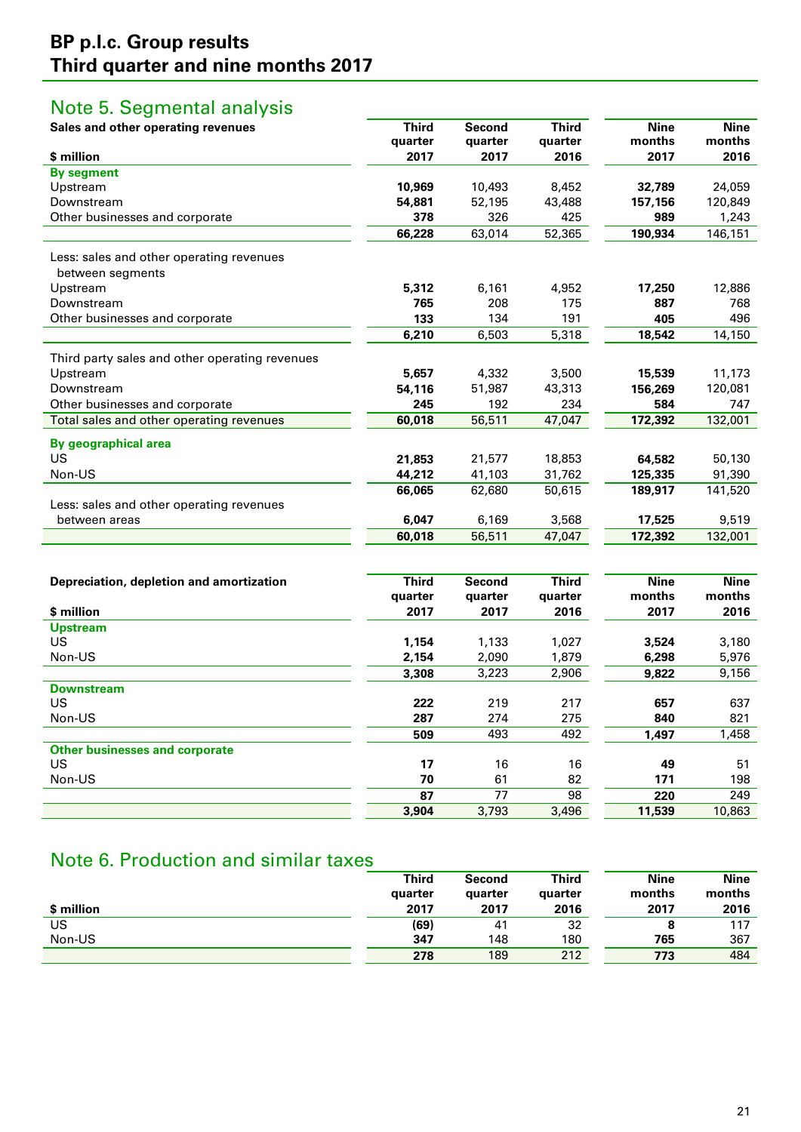## Note 5. Segmental analysis

| Sales and other operating revenues             | <b>Third</b>    | <b>Second</b>   | <b>Third</b>    | <b>Nine</b>    | <b>Nine</b>    |
|------------------------------------------------|-----------------|-----------------|-----------------|----------------|----------------|
| \$ million                                     | quarter<br>2017 | quarter<br>2017 | quarter<br>2016 | months<br>2017 | months<br>2016 |
| <b>By segment</b>                              |                 |                 |                 |                |                |
| Upstream                                       | 10,969          | 10,493          | 8,452           | 32,789         | 24,059         |
| Downstream                                     | 54,881          | 52,195          | 43,488          | 157,156        | 120,849        |
| Other businesses and corporate                 | 378             | 326             | 425             | 989            | 1,243          |
|                                                | 66,228          | 63,014          | 52,365          | 190,934        | 146,151        |
| Less: sales and other operating revenues       |                 |                 |                 |                |                |
| between segments                               |                 |                 |                 |                |                |
| Upstream                                       | 5,312           | 6,161           | 4,952           | 17,250         | 12,886         |
| Downstream                                     | 765             | 208             | 175             | 887            | 768            |
| Other businesses and corporate                 | 133             | 134             | 191             | 405            | 496            |
|                                                | 6,210           | 6,503           | 5,318           | 18,542         | 14,150         |
| Third party sales and other operating revenues |                 |                 |                 |                |                |
| Upstream                                       | 5,657           | 4,332           | 3,500           | 15,539         | 11,173         |
| Downstream                                     | 54,116          | 51,987          | 43,313          | 156,269        | 120,081        |
| Other businesses and corporate                 | 245             | 192             | 234             | 584            | 747            |
| Total sales and other operating revenues       | 60,018          | 56,511          | 47,047          | 172,392        | 132,001        |
| By geographical area                           |                 |                 |                 |                |                |
| US                                             | 21,853          | 21,577          | 18,853          | 64,582         | 50,130         |
| Non-US                                         | 44,212          | 41,103          | 31,762          | 125,335        | 91,390         |
|                                                | 66,065          | 62,680          | 50,615          | 189,917        | 141,520        |
| Less: sales and other operating revenues       |                 |                 |                 |                |                |
| between areas                                  | 6,047           | 6,169           | 3,568           | 17,525         | 9,519          |
|                                                | 60,018          | 56,511          | 47,047          | 172,392        | 132,001        |
|                                                |                 |                 |                 |                |                |
| Depreciation, depletion and amortization       | <b>Third</b>    | <b>Second</b>   | <b>Third</b>    | <b>Nine</b>    | <b>Nine</b>    |
|                                                | quarter         | quarter         | quarter         | months         | months         |
| \$ million                                     | 2017            | 2017            | 2016            | 2017           | 2016           |
| <b>Upstream</b>                                |                 |                 |                 |                |                |
| US                                             | 1,154           | 1,133           | 1,027           | 3,524          | 3,180          |

| Non-US                                | 2,154 | 2,090 | 1,879 | 6,298  | 5,976  |
|---------------------------------------|-------|-------|-------|--------|--------|
|                                       | 3,308 | 3,223 | 2,906 | 9,822  | 9,156  |
| <b>Downstream</b>                     |       |       |       |        |        |
| US                                    | 222   | 219   | 217   | 657    | 637    |
| Non-US                                | 287   | 274   | 275   | 840    | 821    |
|                                       | 509   | 493   | 492   | 1,497  | 1,458  |
| <b>Other businesses and corporate</b> |       |       |       |        |        |
| US                                    | 17    | 16    | 16    | 49     | 51     |
| Non-US                                | 70    | 61    | 82    | 171    | 198    |
|                                       | 87    | 77    | 98    | 220    | 249    |
|                                       | 3,904 | 3,793 | 3,496 | 11,539 | 10,863 |

## Note 6. Production and similar taxes

| \$ million | Third<br>quarter<br>2017 | Second<br>quarter<br>2017 | <b>Third</b><br>quarter<br>2016 | <b>Nine</b><br>months<br>2017 | <b>Nine</b><br>months<br>2016 |
|------------|--------------------------|---------------------------|---------------------------------|-------------------------------|-------------------------------|
| US         | (69)                     | 41                        | 32                              | 8                             | 117                           |
| Non-US     | 347                      | 148                       | 180                             | 765                           | 367                           |
|            | 278                      | 189                       | 212                             | 773                           | 484                           |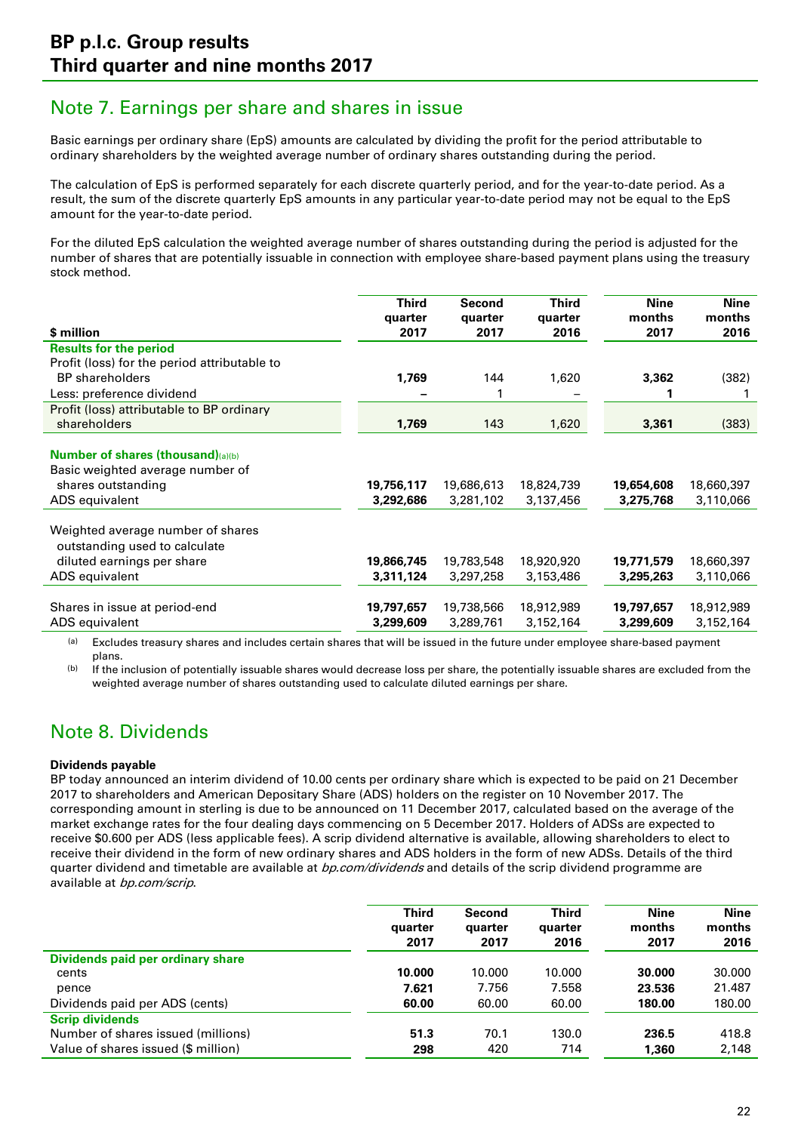## Note 7. Earnings per share and shares in issue

Basic earnings per ordinary share (EpS) amounts are calculated by dividing the profit for the period attributable to ordinary shareholders by the weighted average number of ordinary shares outstanding during the period.

The calculation of EpS is performed separately for each discrete quarterly period, and for the year-to-date period. As a result, the sum of the discrete quarterly EpS amounts in any particular year-to-date period may not be equal to the EpS amount for the year-to-date period.

For the diluted EpS calculation the weighted average number of shares outstanding during the period is adjusted for the number of shares that are potentially issuable in connection with employee share-based payment plans using the treasury stock method.

| \$ million                                                                                                            | Third<br>quarter<br>2017 | <b>Second</b><br>quarter<br>2017 | <b>Third</b><br>quarter<br>2016 | <b>Nine</b><br>months<br>2017 | <b>Nine</b><br>months<br>2016 |
|-----------------------------------------------------------------------------------------------------------------------|--------------------------|----------------------------------|---------------------------------|-------------------------------|-------------------------------|
| <b>Results for the period</b>                                                                                         |                          |                                  |                                 |                               |                               |
| Profit (loss) for the period attributable to                                                                          |                          |                                  |                                 |                               |                               |
| <b>BP</b> shareholders                                                                                                | 1,769                    | 144                              | 1,620                           | 3,362                         | (382)                         |
| Less: preference dividend                                                                                             |                          | 1                                |                                 |                               |                               |
| Profit (loss) attributable to BP ordinary                                                                             |                          |                                  |                                 |                               |                               |
| shareholders                                                                                                          | 1,769                    | 143                              | 1,620                           | 3,361                         | (383)                         |
| <b>Number of shares (thousand)</b> (a)(b)<br>Basic weighted average number of<br>shares outstanding<br>ADS equivalent | 19,756,117<br>3,292,686  | 19,686,613<br>3,281,102          | 18,824,739<br>3,137,456         | 19,654,608<br>3,275,768       | 18,660,397<br>3,110,066       |
| Weighted average number of shares<br>outstanding used to calculate<br>diluted earnings per share<br>ADS equivalent    | 19,866,745<br>3,311,124  | 19,783,548<br>3,297,258          | 18,920,920<br>3,153,486         | 19,771,579<br>3,295,263       | 18,660,397<br>3,110,066       |
| Shares in issue at period-end<br>ADS equivalent                                                                       | 19,797,657<br>3,299,609  | 19,738,566<br>3,289,761          | 18,912,989<br>3,152,164         | 19,797,657<br>3,299,609       | 18,912,989<br>3,152,164       |

(a) Excludes treasury shares and includes certain shares that will be issued in the future under employee share-based payment plans.

(b) If the inclusion of potentially issuable shares would decrease loss per share, the potentially issuable shares are excluded from the weighted average number of shares outstanding used to calculate diluted earnings per share.

## Note 8. Dividends

### **Dividends payable**

BP today announced an interim dividend of 10.00 cents per ordinary share which is expected to be paid on 21 December 2017 to shareholders and American Depositary Share (ADS) holders on the register on 10 November 2017. The corresponding amount in sterling is due to be announced on 11 December 2017, calculated based on the average of the market exchange rates for the four dealing days commencing on 5 December 2017. Holders of ADSs are expected to receive \$0.600 per ADS (less applicable fees). A scrip dividend alternative is available, allowing shareholders to elect to receive their dividend in the form of new ordinary shares and ADS holders in the form of new ADSs. Details of the third quarter dividend and timetable are available at *bp.com/dividends* and details of the scrip dividend programme are available at bp.com/scrip.

|                                     | <b>Third</b><br>quarter<br>2017 | Second<br>quarter<br>2017 | <b>Third</b><br>quarter<br>2016 | <b>Nine</b><br>months<br>2017 | <b>Nine</b><br>months<br>2016 |
|-------------------------------------|---------------------------------|---------------------------|---------------------------------|-------------------------------|-------------------------------|
| Dividends paid per ordinary share   |                                 |                           |                                 |                               |                               |
| cents                               | 10.000                          | 10.000                    | 10.000                          | 30.000                        | 30,000                        |
| pence                               | 7.621                           | 7.756                     | 7.558                           | 23.536                        | 21.487                        |
| Dividends paid per ADS (cents)      | 60.00                           | 60.00                     | 60.00                           | 180.00                        | 180.00                        |
| <b>Scrip dividends</b>              |                                 |                           |                                 |                               |                               |
| Number of shares issued (millions)  | 51.3                            | 70.1                      | 130.0                           | 236.5                         | 418.8                         |
| Value of shares issued (\$ million) | 298                             | 420                       | 714                             | 1,360                         | 2,148                         |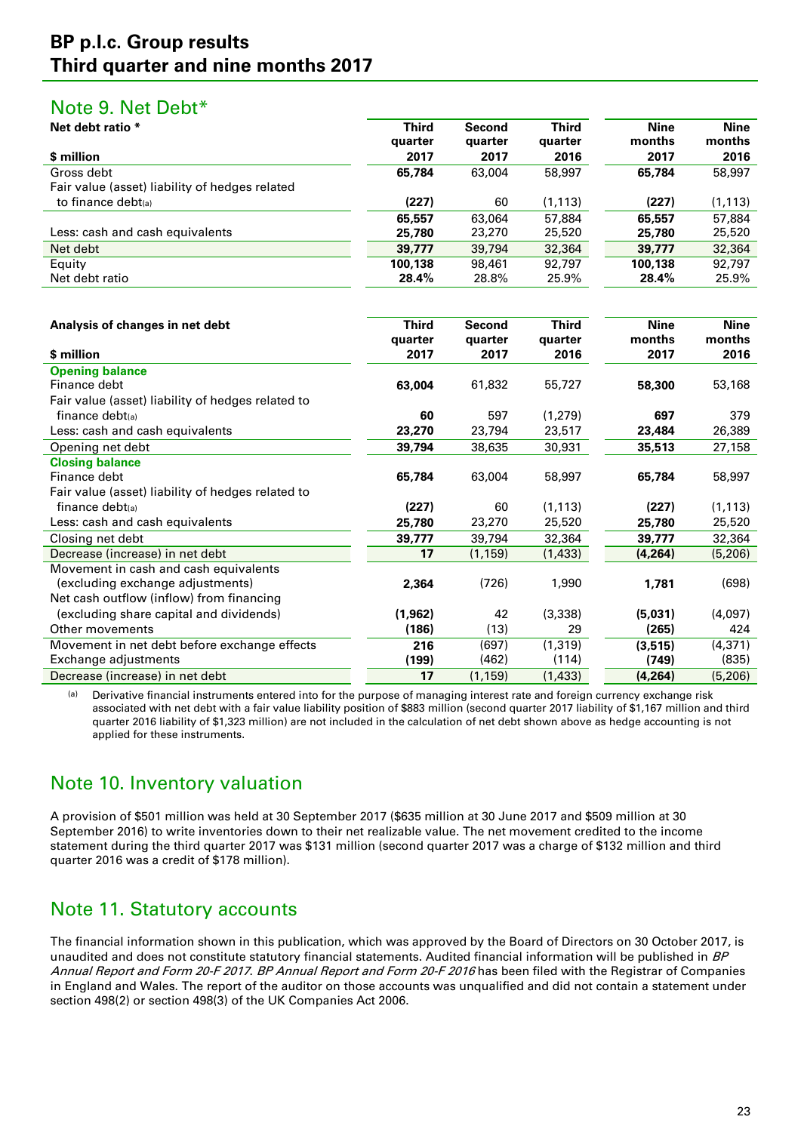### Note 9. Net Debt\*

| Net debt ratio *                               | <b>Third</b><br>quarter | Second<br>quarter | <b>Third</b><br>quarter | <b>Nine</b><br>months | <b>Nine</b><br>months |
|------------------------------------------------|-------------------------|-------------------|-------------------------|-----------------------|-----------------------|
| \$ million                                     | 2017                    | 2017              | 2016                    | 2017                  | 2016                  |
| Gross debt                                     | 65,784                  | 63,004            | 58,997                  | 65,784                | 58,997                |
| Fair value (asset) liability of hedges related |                         |                   |                         |                       |                       |
| to finance debt(a)                             | (227)                   | 60                | (1, 113)                | (227)                 | (1, 113)              |
|                                                | 65,557                  | 63,064            | 57,884                  | 65,557                | 57,884                |
| Less: cash and cash equivalents                | 25,780                  | 23,270            | 25,520                  | 25,780                | 25,520                |
| Net debt                                       | 39,777                  | 39,794            | 32,364                  | 39,777                | 32,364                |
| Equity                                         | 100,138                 | 98,461            | 92,797                  | 100,138               | 92,797                |
| Net debt ratio                                 | 28.4%                   | 28.8%             | 25.9%                   | 28.4%                 | 25.9%                 |
|                                                |                         |                   |                         |                       |                       |

| Analysis of changes in net debt                   | <b>Third</b> | Second   | <b>Third</b> | <b>Nine</b> | <b>Nine</b> |
|---------------------------------------------------|--------------|----------|--------------|-------------|-------------|
|                                                   | quarter      | quarter  | quarter      | months      | months      |
| \$ million                                        | 2017         | 2017     | 2016         | 2017        | 2016        |
| <b>Opening balance</b>                            |              |          |              |             |             |
| Finance debt                                      | 63,004       | 61,832   | 55,727       | 58,300      | 53,168      |
| Fair value (asset) liability of hedges related to |              |          |              |             |             |
| finance $debt$ (a)                                | 60           | 597      | (1, 279)     | 697         | 379         |
| Less: cash and cash equivalents                   | 23,270       | 23,794   | 23,517       | 23,484      | 26,389      |
| Opening net debt                                  | 39,794       | 38,635   | 30,931       | 35,513      | 27,158      |
| <b>Closing balance</b>                            |              |          |              |             |             |
| Finance debt                                      | 65,784       | 63,004   | 58,997       | 65,784      | 58,997      |
| Fair value (asset) liability of hedges related to |              |          |              |             |             |
| finance $debt$ (a)                                | (227)        | 60       | (1, 113)     | (227)       | (1, 113)    |
| Less: cash and cash equivalents                   | 25,780       | 23,270   | 25,520       | 25,780      | 25,520      |
| Closing net debt                                  | 39,777       | 39,794   | 32,364       | 39,777      | 32,364      |
| Decrease (increase) in net debt                   | 17           | (1, 159) | (1,433)      | (4, 264)    | (5,206)     |
| Movement in cash and cash equivalents             |              |          |              |             |             |
| (excluding exchange adjustments)                  | 2,364        | (726)    | 1,990        | 1,781       | (698)       |
| Net cash outflow (inflow) from financing          |              |          |              |             |             |
| (excluding share capital and dividends)           | (1,962)      | 42       | (3,338)      | (5,031)     | (4,097)     |
| Other movements                                   | (186)        | (13)     | 29           | (265)       | 424         |
| Movement in net debt before exchange effects      | 216          | (697)    | (1, 319)     | (3, 515)    | (4, 371)    |
| Exchange adjustments                              | (199)        | (462)    | (114)        | (749)       | (835)       |
| Decrease (increase) in net debt                   | 17           | (1, 159) | (1, 433)     | (4, 264)    | (5,206)     |

(a) Derivative financial instruments entered into for the purpose of managing interest rate and foreign currency exchange risk associated with net debt with a fair value liability position of \$883 million (second quarter 2017 liability of \$1,167 million and third quarter 2016 liability of \$1,323 million) are not included in the calculation of net debt shown above as hedge accounting is not applied for these instruments.

## Note 10. Inventory valuation

A provision of \$501 million was held at 30 September 2017 (\$635 million at 30 June 2017 and \$509 million at 30 September 2016) to write inventories down to their net realizable value. The net movement credited to the income statement during the third quarter 2017 was \$131 million (second quarter 2017 was a charge of \$132 million and third quarter 2016 was a credit of \$178 million).

### Note 11. Statutory accounts

The financial information shown in this publication, which was approved by the Board of Directors on 30 October 2017, is unaudited and does not constitute statutory financial statements. Audited financial information will be published in BP Annual Report and Form 20-F 2017. BP Annual Report and Form 20-F 2016 has been filed with the Registrar of Companies in England and Wales. The report of the auditor on those accounts was unqualified and did not contain a statement under section 498(2) or section 498(3) of the UK Companies Act 2006.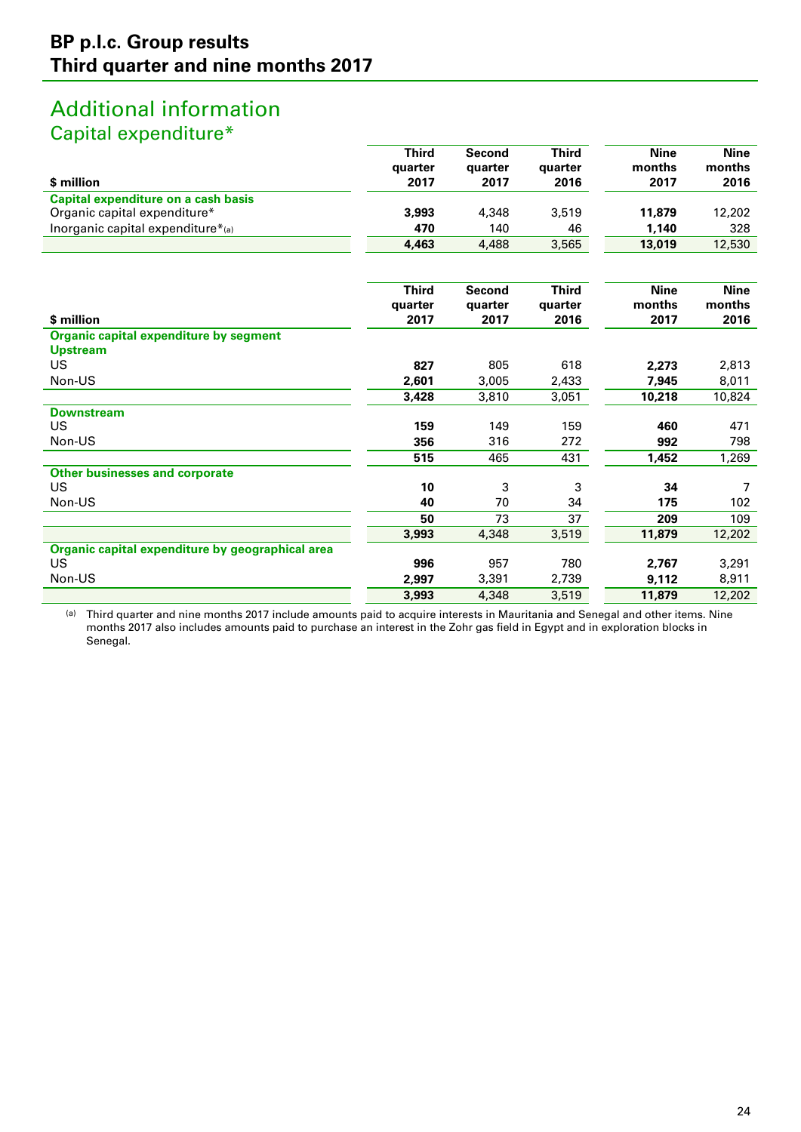## Additional information Capital expenditure\*

|                                                           | <b>Third</b> | Second  | <b>Third</b> | <b>Nine</b> | <b>Nine</b> |
|-----------------------------------------------------------|--------------|---------|--------------|-------------|-------------|
|                                                           | quarter      | quarter | quarter      | months      | months      |
| \$ million                                                | 2017         | 2017    | 2016         | 2017        | 2016        |
| Capital expenditure on a cash basis                       |              |         |              |             |             |
| Organic capital expenditure*                              | 3,993        | 4,348   | 3,519        | 11,879      | 12,202      |
| Inorganic capital expenditure $*_{(a)}$                   | 470          | 140     | 46           | 1,140       | 328         |
|                                                           | 4,463        | 4,488   | 3,565        | 13,019      | 12,530      |
|                                                           |              |         |              |             |             |
|                                                           | <b>Third</b> | Second  | <b>Third</b> | <b>Nine</b> | <b>Nine</b> |
|                                                           | quarter      | quarter | quarter      | months      | months      |
| \$ million                                                | 2017         | 2017    | 2016         | 2017        | 2016        |
| Organic capital expenditure by segment<br><b>Upstream</b> |              |         |              |             |             |
| US                                                        | 827          | 805     | 618          | 2,273       | 2,813       |
| Non-US                                                    | 2,601        | 3,005   | 2,433        | 7.945       | 8,011       |
|                                                           | 3,428        | 3,810   | 3,051        | 10,218      | 10,824      |
| <b>Downstream</b>                                         |              |         |              |             |             |
| US                                                        | 159          | 149     | 159          | 460         | 471         |
| Non-US                                                    | 356          | 316     | 272          | 992         | 798         |
|                                                           | 515          | 465     | 431          | 1,452       | 1,269       |
| <b>Other businesses and corporate</b>                     |              |         |              |             |             |
| US                                                        | 10           | 3       | 3            | 34          | 7           |
| Non-US                                                    | 40           | 70      | 34           | 175         | 102         |
|                                                           | 50           | 73      | 37           | 209         | 109         |
|                                                           | 3,993        | 4,348   | 3,519        | 11,879      | 12,202      |
| Organic capital expenditure by geographical area          |              |         |              |             |             |
| US                                                        | 996          | 957     | 780          | 2,767       | 3,291       |
| Non-US                                                    | 2,997        | 3,391   | 2,739        | 9,112       | 8,911       |
|                                                           | 3,993        | 4,348   | 3,519        | 11,879      | 12,202      |

(a) Third quarter and nine months 2017 include amounts paid to acquire interests in Mauritania and Senegal and other items. Nine months 2017 also includes amounts paid to purchase an interest in the Zohr gas field in Egypt and in exploration blocks in Senegal.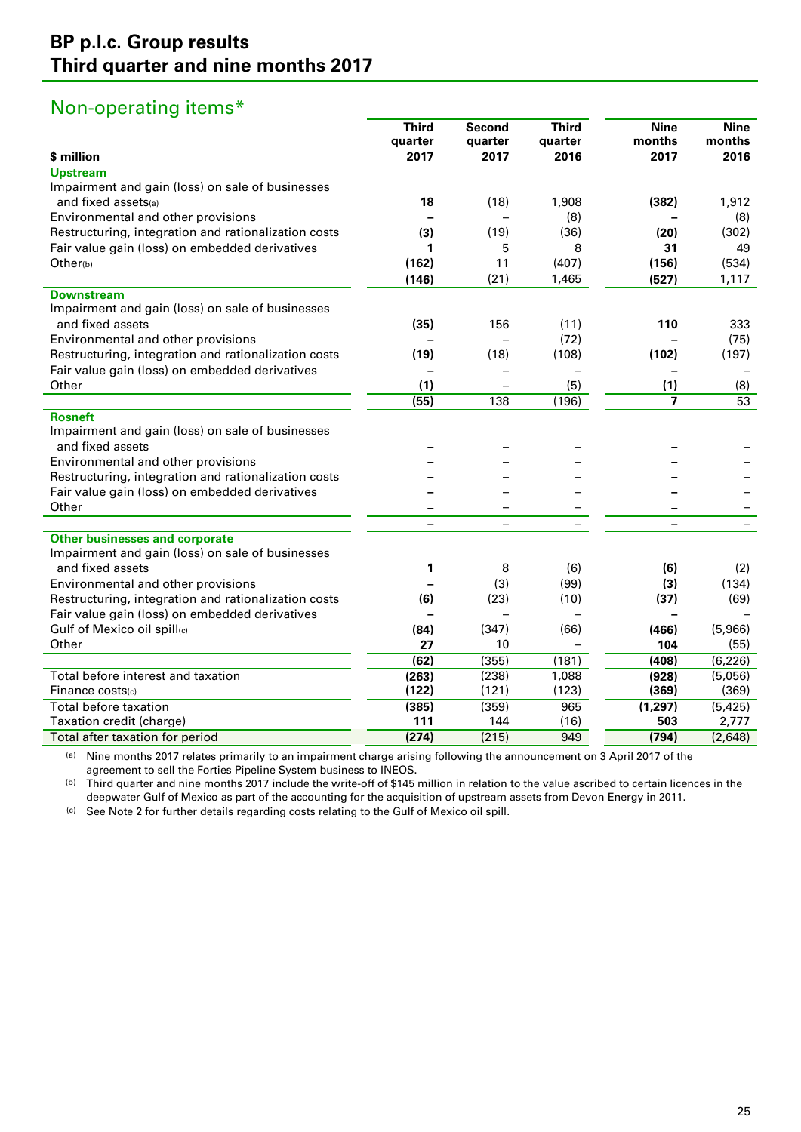## Non-operating items\*

| months<br>months<br>quarter<br>quarter<br>quarter<br>\$ million<br>2017<br>2017<br>2016<br>2017<br>2016<br><b>Upstream</b><br>Impairment and gain (loss) on sale of businesses<br>and fixed assets(a)<br>18<br>(18)<br>1,908<br>1,912<br>(382)<br>Environmental and other provisions<br>(8)<br>(8)<br>(36)<br>Restructuring, integration and rationalization costs<br>(3)<br>(19)<br>(20)<br>(302)<br>Fair value gain (loss) on embedded derivatives<br>31<br>1<br>5<br>8<br>49<br>(162)<br>(156)<br>Other(b)<br>11<br>(407)<br>(534)<br>(146)<br>(21)<br>1,465<br>(527)<br>1,117<br><b>Downstream</b><br>Impairment and gain (loss) on sale of businesses<br>and fixed assets<br>(35)<br>156<br>(11)<br>110<br>333<br>Environmental and other provisions<br>(72)<br>(75)<br>Restructuring, integration and rationalization costs<br>(18)<br>(108)<br>(197)<br>(19)<br>(102)<br>Fair value gain (loss) on embedded derivatives<br>Other<br>(1)<br>(5)<br>(1)<br>(8)<br>(55)<br>(196)<br>$\overline{\mathbf{z}}$<br>138<br>53<br><b>Rosneft</b><br>Impairment and gain (loss) on sale of businesses<br>and fixed assets<br>Environmental and other provisions<br>Restructuring, integration and rationalization costs<br>Fair value gain (loss) on embedded derivatives<br>Other<br>$\overline{\phantom{0}}$<br>$\overline{\phantom{0}}$<br>$\overline{\phantom{0}}$<br><b>Other businesses and corporate</b><br>Impairment and gain (loss) on sale of businesses<br>and fixed assets<br>8<br>(6)<br>(6)<br>1<br>(2)<br>(3)<br>(99)<br>Environmental and other provisions<br>(3)<br>(134) |
|------------------------------------------------------------------------------------------------------------------------------------------------------------------------------------------------------------------------------------------------------------------------------------------------------------------------------------------------------------------------------------------------------------------------------------------------------------------------------------------------------------------------------------------------------------------------------------------------------------------------------------------------------------------------------------------------------------------------------------------------------------------------------------------------------------------------------------------------------------------------------------------------------------------------------------------------------------------------------------------------------------------------------------------------------------------------------------------------------------------------------------------------------------------------------------------------------------------------------------------------------------------------------------------------------------------------------------------------------------------------------------------------------------------------------------------------------------------------------------------------------------------------------------------------------------------------------------------|
|                                                                                                                                                                                                                                                                                                                                                                                                                                                                                                                                                                                                                                                                                                                                                                                                                                                                                                                                                                                                                                                                                                                                                                                                                                                                                                                                                                                                                                                                                                                                                                                          |
|                                                                                                                                                                                                                                                                                                                                                                                                                                                                                                                                                                                                                                                                                                                                                                                                                                                                                                                                                                                                                                                                                                                                                                                                                                                                                                                                                                                                                                                                                                                                                                                          |
|                                                                                                                                                                                                                                                                                                                                                                                                                                                                                                                                                                                                                                                                                                                                                                                                                                                                                                                                                                                                                                                                                                                                                                                                                                                                                                                                                                                                                                                                                                                                                                                          |
|                                                                                                                                                                                                                                                                                                                                                                                                                                                                                                                                                                                                                                                                                                                                                                                                                                                                                                                                                                                                                                                                                                                                                                                                                                                                                                                                                                                                                                                                                                                                                                                          |
|                                                                                                                                                                                                                                                                                                                                                                                                                                                                                                                                                                                                                                                                                                                                                                                                                                                                                                                                                                                                                                                                                                                                                                                                                                                                                                                                                                                                                                                                                                                                                                                          |
|                                                                                                                                                                                                                                                                                                                                                                                                                                                                                                                                                                                                                                                                                                                                                                                                                                                                                                                                                                                                                                                                                                                                                                                                                                                                                                                                                                                                                                                                                                                                                                                          |
|                                                                                                                                                                                                                                                                                                                                                                                                                                                                                                                                                                                                                                                                                                                                                                                                                                                                                                                                                                                                                                                                                                                                                                                                                                                                                                                                                                                                                                                                                                                                                                                          |
|                                                                                                                                                                                                                                                                                                                                                                                                                                                                                                                                                                                                                                                                                                                                                                                                                                                                                                                                                                                                                                                                                                                                                                                                                                                                                                                                                                                                                                                                                                                                                                                          |
|                                                                                                                                                                                                                                                                                                                                                                                                                                                                                                                                                                                                                                                                                                                                                                                                                                                                                                                                                                                                                                                                                                                                                                                                                                                                                                                                                                                                                                                                                                                                                                                          |
|                                                                                                                                                                                                                                                                                                                                                                                                                                                                                                                                                                                                                                                                                                                                                                                                                                                                                                                                                                                                                                                                                                                                                                                                                                                                                                                                                                                                                                                                                                                                                                                          |
|                                                                                                                                                                                                                                                                                                                                                                                                                                                                                                                                                                                                                                                                                                                                                                                                                                                                                                                                                                                                                                                                                                                                                                                                                                                                                                                                                                                                                                                                                                                                                                                          |
|                                                                                                                                                                                                                                                                                                                                                                                                                                                                                                                                                                                                                                                                                                                                                                                                                                                                                                                                                                                                                                                                                                                                                                                                                                                                                                                                                                                                                                                                                                                                                                                          |
|                                                                                                                                                                                                                                                                                                                                                                                                                                                                                                                                                                                                                                                                                                                                                                                                                                                                                                                                                                                                                                                                                                                                                                                                                                                                                                                                                                                                                                                                                                                                                                                          |
|                                                                                                                                                                                                                                                                                                                                                                                                                                                                                                                                                                                                                                                                                                                                                                                                                                                                                                                                                                                                                                                                                                                                                                                                                                                                                                                                                                                                                                                                                                                                                                                          |
|                                                                                                                                                                                                                                                                                                                                                                                                                                                                                                                                                                                                                                                                                                                                                                                                                                                                                                                                                                                                                                                                                                                                                                                                                                                                                                                                                                                                                                                                                                                                                                                          |
|                                                                                                                                                                                                                                                                                                                                                                                                                                                                                                                                                                                                                                                                                                                                                                                                                                                                                                                                                                                                                                                                                                                                                                                                                                                                                                                                                                                                                                                                                                                                                                                          |
|                                                                                                                                                                                                                                                                                                                                                                                                                                                                                                                                                                                                                                                                                                                                                                                                                                                                                                                                                                                                                                                                                                                                                                                                                                                                                                                                                                                                                                                                                                                                                                                          |
|                                                                                                                                                                                                                                                                                                                                                                                                                                                                                                                                                                                                                                                                                                                                                                                                                                                                                                                                                                                                                                                                                                                                                                                                                                                                                                                                                                                                                                                                                                                                                                                          |
|                                                                                                                                                                                                                                                                                                                                                                                                                                                                                                                                                                                                                                                                                                                                                                                                                                                                                                                                                                                                                                                                                                                                                                                                                                                                                                                                                                                                                                                                                                                                                                                          |
|                                                                                                                                                                                                                                                                                                                                                                                                                                                                                                                                                                                                                                                                                                                                                                                                                                                                                                                                                                                                                                                                                                                                                                                                                                                                                                                                                                                                                                                                                                                                                                                          |
|                                                                                                                                                                                                                                                                                                                                                                                                                                                                                                                                                                                                                                                                                                                                                                                                                                                                                                                                                                                                                                                                                                                                                                                                                                                                                                                                                                                                                                                                                                                                                                                          |
|                                                                                                                                                                                                                                                                                                                                                                                                                                                                                                                                                                                                                                                                                                                                                                                                                                                                                                                                                                                                                                                                                                                                                                                                                                                                                                                                                                                                                                                                                                                                                                                          |
|                                                                                                                                                                                                                                                                                                                                                                                                                                                                                                                                                                                                                                                                                                                                                                                                                                                                                                                                                                                                                                                                                                                                                                                                                                                                                                                                                                                                                                                                                                                                                                                          |
|                                                                                                                                                                                                                                                                                                                                                                                                                                                                                                                                                                                                                                                                                                                                                                                                                                                                                                                                                                                                                                                                                                                                                                                                                                                                                                                                                                                                                                                                                                                                                                                          |
|                                                                                                                                                                                                                                                                                                                                                                                                                                                                                                                                                                                                                                                                                                                                                                                                                                                                                                                                                                                                                                                                                                                                                                                                                                                                                                                                                                                                                                                                                                                                                                                          |
|                                                                                                                                                                                                                                                                                                                                                                                                                                                                                                                                                                                                                                                                                                                                                                                                                                                                                                                                                                                                                                                                                                                                                                                                                                                                                                                                                                                                                                                                                                                                                                                          |
|                                                                                                                                                                                                                                                                                                                                                                                                                                                                                                                                                                                                                                                                                                                                                                                                                                                                                                                                                                                                                                                                                                                                                                                                                                                                                                                                                                                                                                                                                                                                                                                          |
|                                                                                                                                                                                                                                                                                                                                                                                                                                                                                                                                                                                                                                                                                                                                                                                                                                                                                                                                                                                                                                                                                                                                                                                                                                                                                                                                                                                                                                                                                                                                                                                          |
| Restructuring, integration and rationalization costs<br>(23)<br>(10)<br>(6)<br>(37)<br>(69)                                                                                                                                                                                                                                                                                                                                                                                                                                                                                                                                                                                                                                                                                                                                                                                                                                                                                                                                                                                                                                                                                                                                                                                                                                                                                                                                                                                                                                                                                              |
| Fair value gain (loss) on embedded derivatives                                                                                                                                                                                                                                                                                                                                                                                                                                                                                                                                                                                                                                                                                                                                                                                                                                                                                                                                                                                                                                                                                                                                                                                                                                                                                                                                                                                                                                                                                                                                           |
| Gulf of Mexico oil spill(c)<br>(347)<br>(66)<br>(5,966)<br>(84)<br>(466)                                                                                                                                                                                                                                                                                                                                                                                                                                                                                                                                                                                                                                                                                                                                                                                                                                                                                                                                                                                                                                                                                                                                                                                                                                                                                                                                                                                                                                                                                                                 |
| Other<br>27<br>104<br>10<br>(55)                                                                                                                                                                                                                                                                                                                                                                                                                                                                                                                                                                                                                                                                                                                                                                                                                                                                                                                                                                                                                                                                                                                                                                                                                                                                                                                                                                                                                                                                                                                                                         |
| (62)<br>(355)<br>(6, 226)<br>(181)<br>(408)                                                                                                                                                                                                                                                                                                                                                                                                                                                                                                                                                                                                                                                                                                                                                                                                                                                                                                                                                                                                                                                                                                                                                                                                                                                                                                                                                                                                                                                                                                                                              |
| Total before interest and taxation<br>(263)<br>(238)<br>(5,056)<br>1,088<br>(928)                                                                                                                                                                                                                                                                                                                                                                                                                                                                                                                                                                                                                                                                                                                                                                                                                                                                                                                                                                                                                                                                                                                                                                                                                                                                                                                                                                                                                                                                                                        |
| (121)<br>(123)<br>(369)<br>Finance costs(c)<br>(122)<br>(369)                                                                                                                                                                                                                                                                                                                                                                                                                                                                                                                                                                                                                                                                                                                                                                                                                                                                                                                                                                                                                                                                                                                                                                                                                                                                                                                                                                                                                                                                                                                            |
| Total before taxation<br>(385)<br>(359)<br>965<br>(1, 297)<br>(5, 425)                                                                                                                                                                                                                                                                                                                                                                                                                                                                                                                                                                                                                                                                                                                                                                                                                                                                                                                                                                                                                                                                                                                                                                                                                                                                                                                                                                                                                                                                                                                   |
| 111<br>144<br>(16)<br>503<br>Taxation credit (charge)<br>2,777                                                                                                                                                                                                                                                                                                                                                                                                                                                                                                                                                                                                                                                                                                                                                                                                                                                                                                                                                                                                                                                                                                                                                                                                                                                                                                                                                                                                                                                                                                                           |
| 949<br>Total after taxation for period<br>(274)<br>(215)<br>(2,648)<br>(794)                                                                                                                                                                                                                                                                                                                                                                                                                                                                                                                                                                                                                                                                                                                                                                                                                                                                                                                                                                                                                                                                                                                                                                                                                                                                                                                                                                                                                                                                                                             |

(a) Nine months 2017 relates primarily to an impairment charge arising following the announcement on 3 April 2017 of the agreement to sell the Forties Pipeline System business to INEOS.

(b) Third quarter and nine months 2017 include the write-off of \$145 million in relation to the value ascribed to certain licences in the deepwater Gulf of Mexico as part of the accounting for the acquisition of upstream assets from Devon Energy in 2011.

(c) See Note 2 for further details regarding costs relating to the Gulf of Mexico oil spill.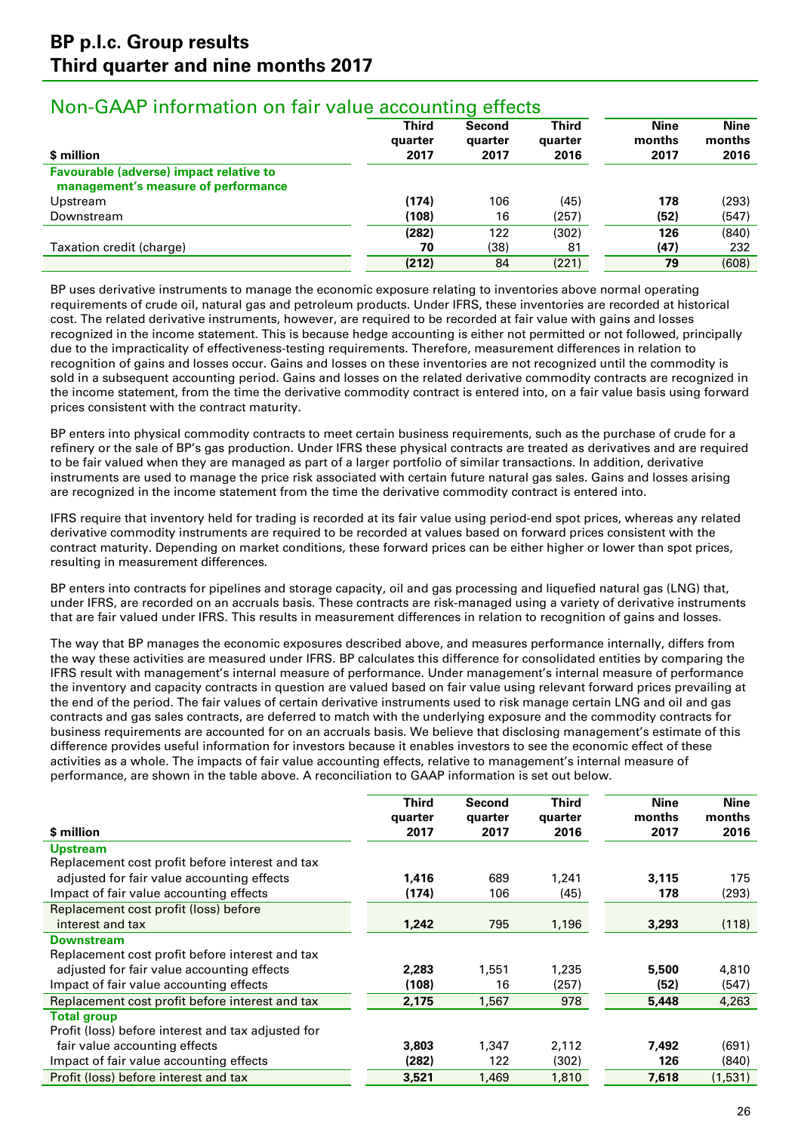## Non-GAAP information on fair value accounting effects

| \$ million                                                                     | <b>Third</b><br>quarter<br>2017 | -<br>Second<br>quarter<br>2017 | <b>Third</b><br>quarter<br>2016 | Nine<br>months<br>2017 | <b>Nine</b><br>months<br>2016 |
|--------------------------------------------------------------------------------|---------------------------------|--------------------------------|---------------------------------|------------------------|-------------------------------|
| Favourable (adverse) impact relative to<br>management's measure of performance |                                 |                                |                                 |                        |                               |
| Upstream                                                                       | (174)                           | 106                            | (45)                            | 178                    | (293)                         |
| Downstream                                                                     | (108)                           | 16                             | (257)                           | (52)                   | (547)                         |
|                                                                                | (282)                           | 122                            | (302)                           | 126                    | (840)                         |
| Taxation credit (charge)                                                       | 70                              | (38)                           | 81                              | (47)                   | 232                           |
|                                                                                | (212)                           | 84                             | (221)                           | 79                     | (608)                         |

BP uses derivative instruments to manage the economic exposure relating to inventories above normal operating requirements of crude oil, natural gas and petroleum products. Under IFRS, these inventories are recorded at historical cost. The related derivative instruments, however, are required to be recorded at fair value with gains and losses recognized in the income statement. This is because hedge accounting is either not permitted or not followed, principally due to the impracticality of effectiveness-testing requirements. Therefore, measurement differences in relation to recognition of gains and losses occur. Gains and losses on these inventories are not recognized until the commodity is sold in a subsequent accounting period. Gains and losses on the related derivative commodity contracts are recognized in the income statement, from the time the derivative commodity contract is entered into, on a fair value basis using forward prices consistent with the contract maturity.

BP enters into physical commodity contracts to meet certain business requirements, such as the purchase of crude for a refinery or the sale of BP's gas production. Under IFRS these physical contracts are treated as derivatives and are required to be fair valued when they are managed as part of a larger portfolio of similar transactions. In addition, derivative instruments are used to manage the price risk associated with certain future natural gas sales. Gains and losses arising are recognized in the income statement from the time the derivative commodity contract is entered into.

IFRS require that inventory held for trading is recorded at its fair value using period-end spot prices, whereas any related derivative commodity instruments are required to be recorded at values based on forward prices consistent with the contract maturity. Depending on market conditions, these forward prices can be either higher or lower than spot prices, resulting in measurement differences.

BP enters into contracts for pipelines and storage capacity, oil and gas processing and liquefied natural gas (LNG) that, under IFRS, are recorded on an accruals basis. These contracts are risk-managed using a variety of derivative instruments that are fair valued under IFRS. This results in measurement differences in relation to recognition of gains and losses.

The way that BP manages the economic exposures described above, and measures performance internally, differs from the way these activities are measured under IFRS. BP calculates this difference for consolidated entities by comparing the IFRS result with management's internal measure of performance. Under management's internal measure of performance the inventory and capacity contracts in question are valued based on fair value using relevant forward prices prevailing at the end of the period. The fair values of certain derivative instruments used to risk manage certain LNG and oil and gas contracts and gas sales contracts, are deferred to match with the underlying exposure and the commodity contracts for business requirements are accounted for on an accruals basis. We believe that disclosing management's estimate of this difference provides useful information for investors because it enables investors to see the economic effect of these activities as a whole. The impacts of fair value accounting effects, relative to management's internal measure of performance, are shown in the table above. A reconciliation to GAAP information is set out below.

|                                                    | Third<br>quarter | <b>Second</b><br>quarter | Third<br>quarter | <b>Nine</b><br>months | <b>Nine</b><br>months |
|----------------------------------------------------|------------------|--------------------------|------------------|-----------------------|-----------------------|
| \$ million                                         | 2017             | 2017                     | 2016             | 2017                  | 2016                  |
| <b>Upstream</b>                                    |                  |                          |                  |                       |                       |
| Replacement cost profit before interest and tax    |                  |                          |                  |                       |                       |
| adjusted for fair value accounting effects         | 1,416            | 689                      | 1,241            | 3.115                 | 175                   |
| Impact of fair value accounting effects            | (174)            | 106                      | (45)             | 178                   | (293)                 |
| Replacement cost profit (loss) before              |                  |                          |                  |                       |                       |
| interest and tax                                   | 1,242            | 795                      | 1,196            | 3,293                 | (118)                 |
| <b>Downstream</b>                                  |                  |                          |                  |                       |                       |
| Replacement cost profit before interest and tax    |                  |                          |                  |                       |                       |
| adjusted for fair value accounting effects         | 2,283            | 1,551                    | 1,235            | 5,500                 | 4,810                 |
| Impact of fair value accounting effects            | (108)            | 16                       | (257)            | (52)                  | (547)                 |
| Replacement cost profit before interest and tax    | 2,175            | 1,567                    | 978              | 5,448                 | 4,263                 |
| <b>Total group</b>                                 |                  |                          |                  |                       |                       |
| Profit (loss) before interest and tax adjusted for |                  |                          |                  |                       |                       |
| fair value accounting effects                      | 3,803            | 1,347                    | 2,112            | 7,492                 | (691)                 |
| Impact of fair value accounting effects            | (282)            | 122                      | (302)            | 126                   | (840)                 |
| Profit (loss) before interest and tax              | 3,521            | 1,469                    | 1,810            | 7.618                 | (1,531)               |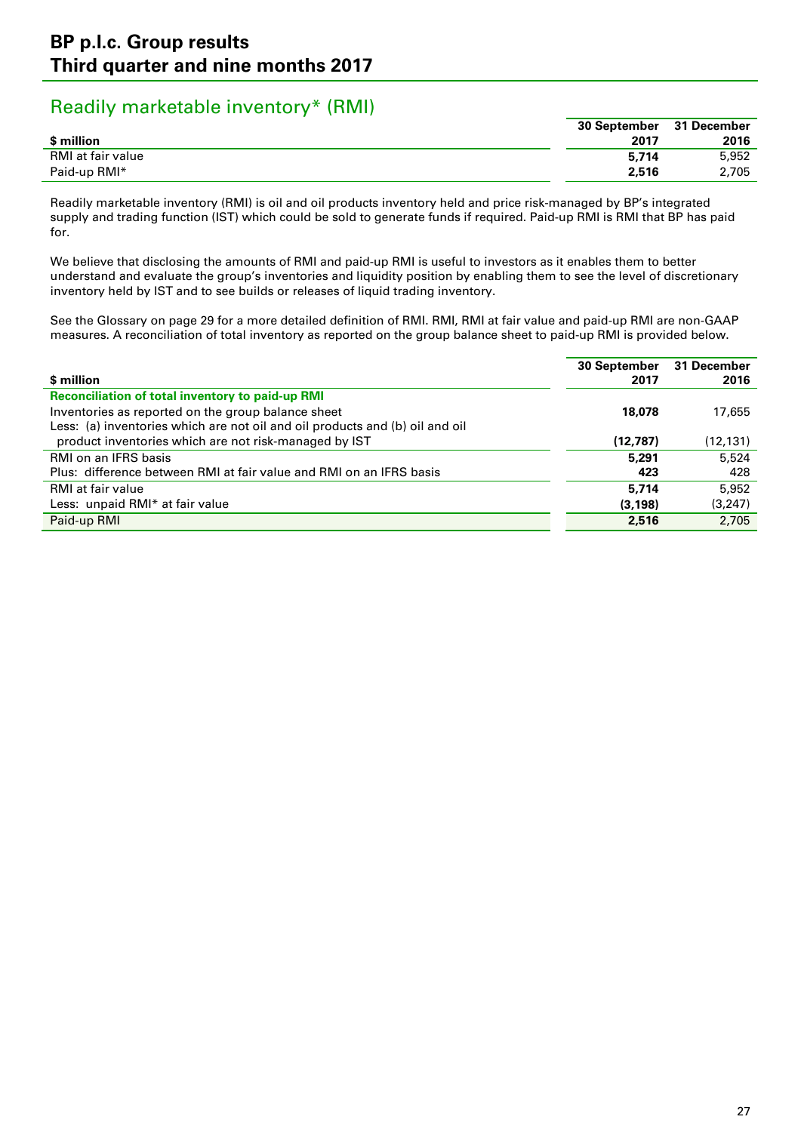### Readily marketable inventory\* (RMI)

|                   | 30 September 31 December |       |
|-------------------|--------------------------|-------|
| \$ million        | 2017                     | 2016  |
| RMI at fair value | 5,714                    | 5.952 |
| Paid-up RMI*      | 2,516                    | 2.705 |

Readily marketable inventory (RMI) is oil and oil products inventory held and price risk-managed by BP's integrated supply and trading function (IST) which could be sold to generate funds if required. Paid-up RMI is RMI that BP has paid for.

We believe that disclosing the amounts of RMI and paid-up RMI is useful to investors as it enables them to better understand and evaluate the group's inventories and liquidity position by enabling them to see the level of discretionary inventory held by IST and to see builds or releases of liquid trading inventory.

See the Glossary on page 29 for a more detailed definition of RMI. RMI, RMI at fair value and paid-up RMI are non-GAAP measures. A reconciliation of total inventory as reported on the group balance sheet to paid-up RMI is provided below.

| \$ million                                                                   | <b>30 September</b><br>2017 | 31 December<br>2016 |
|------------------------------------------------------------------------------|-----------------------------|---------------------|
| <b>Reconciliation of total inventory to paid-up RMI</b>                      |                             |                     |
| Inventories as reported on the group balance sheet                           | 18,078                      | 17,655              |
| Less: (a) inventories which are not oil and oil products and (b) oil and oil |                             |                     |
| product inventories which are not risk-managed by IST                        | (12,787)                    | (12, 131)           |
| RMI on an IFRS basis                                                         | 5,291                       | 5.524               |
| Plus: difference between RMI at fair value and RMI on an IFRS basis          | 423                         | 428                 |
| RMI at fair value                                                            | 5,714                       | 5,952               |
| Less: unpaid RMI* at fair value                                              | (3, 198)                    | (3,247)             |
| Paid-up RMI                                                                  | 2,516                       | 2,705               |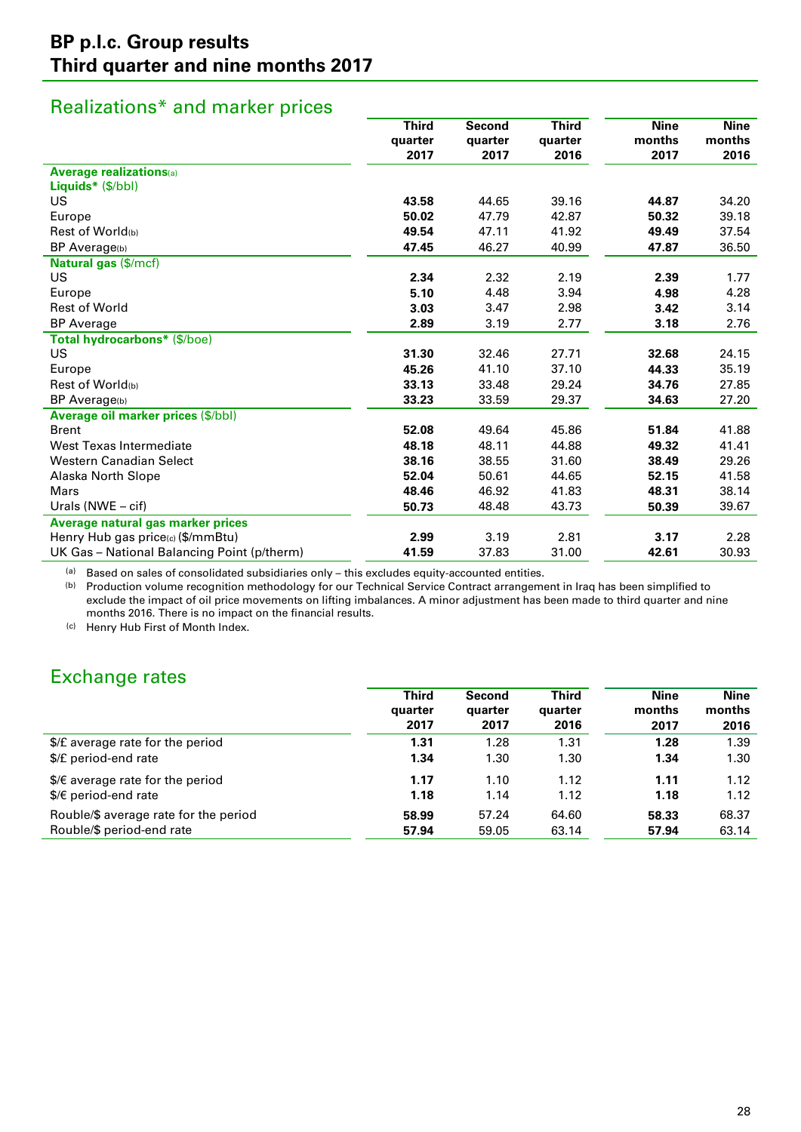## Realizations\* and marker prices

|                                                        | <b>Third</b><br>quarter | <b>Second</b><br>quarter | <b>Third</b><br>quarter | <b>Nine</b><br>months | <b>Nine</b><br>months |
|--------------------------------------------------------|-------------------------|--------------------------|-------------------------|-----------------------|-----------------------|
|                                                        | 2017                    | 2017                     | 2016                    | 2017                  | 2016                  |
| <b>Average realizations(a)</b>                         |                         |                          |                         |                       |                       |
| Liquids $*(\frac{\xi}{b})$                             |                         |                          |                         |                       |                       |
| US                                                     | 43.58                   | 44.65                    | 39.16                   | 44.87                 | 34.20                 |
| Europe                                                 | 50.02                   | 47.79                    | 42.87                   | 50.32                 | 39.18                 |
| Rest of World(b)                                       | 49.54                   | 47.11                    | 41.92                   | 49.49                 | 37.54                 |
| BP Average(b)                                          | 47.45                   | 46.27                    | 40.99                   | 47.87                 | 36.50                 |
| Natural gas (\$/mcf)                                   |                         |                          |                         |                       |                       |
| US                                                     | 2.34                    | 2.32                     | 2.19                    | 2.39                  | 1.77                  |
| Europe                                                 | 5.10                    | 4.48                     | 3.94                    | 4.98                  | 4.28                  |
| <b>Rest of World</b>                                   | 3.03                    | 3.47                     | 2.98                    | 3.42                  | 3.14                  |
| <b>BP</b> Average                                      | 2.89                    | 3.19                     | 2.77                    | 3.18                  | 2.76                  |
| Total hydrocarbons* (\$/boe)                           |                         |                          |                         |                       |                       |
| US                                                     | 31.30                   | 32.46                    | 27.71                   | 32.68                 | 24.15                 |
| Europe                                                 | 45.26                   | 41.10                    | 37.10                   | 44.33                 | 35.19                 |
| Rest of World(b)                                       | 33.13                   | 33.48                    | 29.24                   | 34.76                 | 27.85                 |
| BP Average(b)                                          | 33.23                   | 33.59                    | 29.37                   | 34.63                 | 27.20                 |
| Average oil marker prices (\$/bbl)                     |                         |                          |                         |                       |                       |
| <b>Brent</b>                                           | 52.08                   | 49.64                    | 45.86                   | 51.84                 | 41.88                 |
| West Texas Intermediate                                | 48.18                   | 48.11                    | 44.88                   | 49.32                 | 41.41                 |
| <b>Western Canadian Select</b>                         | 38.16                   | 38.55                    | 31.60                   | 38.49                 | 29.26                 |
| Alaska North Slope                                     | 52.04                   | 50.61                    | 44.65                   | 52.15                 | 41.58                 |
| Mars                                                   | 48.46                   | 46.92                    | 41.83                   | 48.31                 | 38.14                 |
| Urals ( $NWE - cif$ )                                  | 50.73                   | 48.48                    | 43.73                   | 50.39                 | 39.67                 |
| Average natural gas marker prices                      |                         |                          |                         |                       |                       |
| Henry Hub gas price(c) $(\frac{2}{3} / m \cdot B)$ tu) | 2.99                    | 3.19                     | 2.81                    | 3.17                  | 2.28                  |
| UK Gas - National Balancing Point (p/therm)            | 41.59                   | 37.83                    | 31.00                   | 42.61                 | 30.93                 |

(a) Based on sales of consolidated subsidiaries only – this excludes equity-accounted entities.

(b) Production volume recognition methodology for our Technical Service Contract arrangement in Iraq has been simplified to exclude the impact of oil price movements on lifting imbalances. A minor adjustment has been made to third quarter and nine months 2016. There is no impact on the financial results.

(c) Henry Hub First of Month Index.

## Exchange rates

|                                           | <b>Third</b><br>quarter<br>2017 | Second<br>quarter<br>2017 | <b>Third</b><br>quarter<br>2016 | <b>Nine</b><br>months<br>2017 | <b>Nine</b><br>months<br>2016 |
|-------------------------------------------|---------------------------------|---------------------------|---------------------------------|-------------------------------|-------------------------------|
| \$/£ average rate for the period          | 1.31                            | 1.28                      | 1.31                            | 1.28                          | 1.39                          |
| \$/£ period-end rate                      | 1.34                            | 1.30                      | 1.30                            | 1.34                          | 1.30                          |
| $\frac{1}{2}$ average rate for the period | 1.17                            | 1.10                      | 1.12                            | 1.11                          | 1.12                          |
| $\frac{1}{2}$ period-end rate             | 1.18                            | 1.14                      | 1.12                            | 1.18                          | 1.12                          |
| Rouble/\$ average rate for the period     | 58.99                           | 57.24                     | 64.60                           | 58.33                         | 68.37                         |
| Rouble/\$ period-end rate                 | 57.94                           | 59.05                     | 63.14                           | 57.94                         | 63.14                         |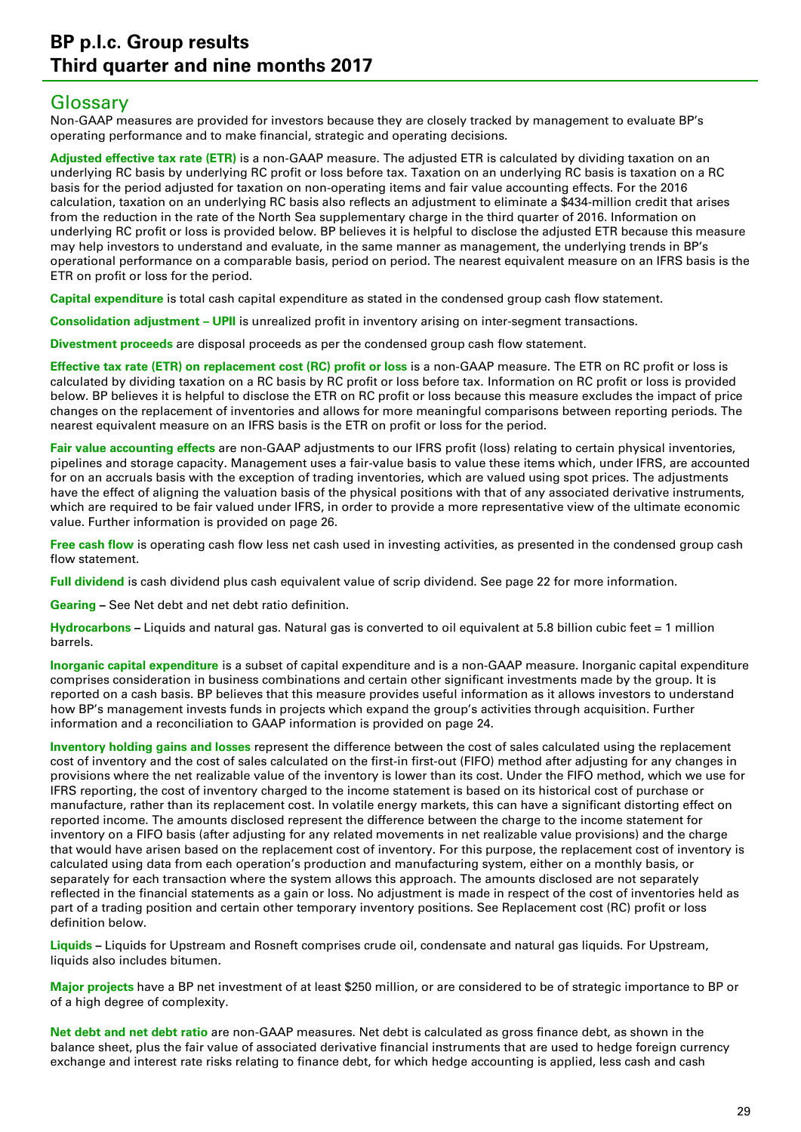### Glossary

Non-GAAP measures are provided for investors because they are closely tracked by management to evaluate BP's operating performance and to make financial, strategic and operating decisions.

**Adjusted effective tax rate (ETR)** is a non-GAAP measure. The adjusted ETR is calculated by dividing taxation on an underlying RC basis by underlying RC profit or loss before tax. Taxation on an underlying RC basis is taxation on a RC basis for the period adjusted for taxation on non-operating items and fair value accounting effects. For the 2016 calculation, taxation on an underlying RC basis also reflects an adjustment to eliminate a \$434-million credit that arises from the reduction in the rate of the North Sea supplementary charge in the third quarter of 2016. Information on underlying RC profit or loss is provided below. BP believes it is helpful to disclose the adjusted ETR because this measure may help investors to understand and evaluate, in the same manner as management, the underlying trends in BP's operational performance on a comparable basis, period on period. The nearest equivalent measure on an IFRS basis is the ETR on profit or loss for the period.

**Capital expenditure** is total cash capital expenditure as stated in the condensed group cash flow statement.

**Consolidation adjustment – UPII** is unrealized profit in inventory arising on inter-segment transactions.

**Divestment proceeds** are disposal proceeds as per the condensed group cash flow statement.

**Effective tax rate (ETR) on replacement cost (RC) profit or loss** is a non-GAAP measure. The ETR on RC profit or loss is calculated by dividing taxation on a RC basis by RC profit or loss before tax. Information on RC profit or loss is provided below. BP believes it is helpful to disclose the ETR on RC profit or loss because this measure excludes the impact of price changes on the replacement of inventories and allows for more meaningful comparisons between reporting periods. The nearest equivalent measure on an IFRS basis is the ETR on profit or loss for the period.

**Fair value accounting effects** are non-GAAP adjustments to our IFRS profit (loss) relating to certain physical inventories, pipelines and storage capacity. Management uses a fair-value basis to value these items which, under IFRS, are accounted for on an accruals basis with the exception of trading inventories, which are valued using spot prices. The adjustments have the effect of aligning the valuation basis of the physical positions with that of any associated derivative instruments, which are required to be fair valued under IFRS, in order to provide a more representative view of the ultimate economic value. Further information is provided on page 26.

**Free cash flow** is operating cash flow less net cash used in investing activities, as presented in the condensed group cash flow statement.

**Full dividend** is cash dividend plus cash equivalent value of scrip dividend. See page 22 for more information.

**Gearing –** See Net debt and net debt ratio definition.

**Hydrocarbons –** Liquids and natural gas. Natural gas is converted to oil equivalent at 5.8 billion cubic feet = 1 million barrels.

**Inorganic capital expenditure** is a subset of capital expenditure and is a non-GAAP measure. Inorganic capital expenditure comprises consideration in business combinations and certain other significant investments made by the group. It is reported on a cash basis. BP believes that this measure provides useful information as it allows investors to understand how BP's management invests funds in projects which expand the group's activities through acquisition. Further information and a reconciliation to GAAP information is provided on page 24.

**Inventory holding gains and losses** represent the difference between the cost of sales calculated using the replacement cost of inventory and the cost of sales calculated on the first-in first-out (FIFO) method after adjusting for any changes in provisions where the net realizable value of the inventory is lower than its cost. Under the FIFO method, which we use for IFRS reporting, the cost of inventory charged to the income statement is based on its historical cost of purchase or manufacture, rather than its replacement cost. In volatile energy markets, this can have a significant distorting effect on reported income. The amounts disclosed represent the difference between the charge to the income statement for inventory on a FIFO basis (after adjusting for any related movements in net realizable value provisions) and the charge that would have arisen based on the replacement cost of inventory. For this purpose, the replacement cost of inventory is calculated using data from each operation's production and manufacturing system, either on a monthly basis, or separately for each transaction where the system allows this approach. The amounts disclosed are not separately reflected in the financial statements as a gain or loss. No adjustment is made in respect of the cost of inventories held as part of a trading position and certain other temporary inventory positions. See Replacement cost (RC) profit or loss definition below.

**Liquids –** Liquids for Upstream and Rosneft comprises crude oil, condensate and natural gas liquids. For Upstream, liquids also includes bitumen.

**Major projects** have a BP net investment of at least \$250 million, or are considered to be of strategic importance to BP or of a high degree of complexity.

**Net debt and net debt ratio** are non-GAAP measures. Net debt is calculated as gross finance debt, as shown in the balance sheet, plus the fair value of associated derivative financial instruments that are used to hedge foreign currency exchange and interest rate risks relating to finance debt, for which hedge accounting is applied, less cash and cash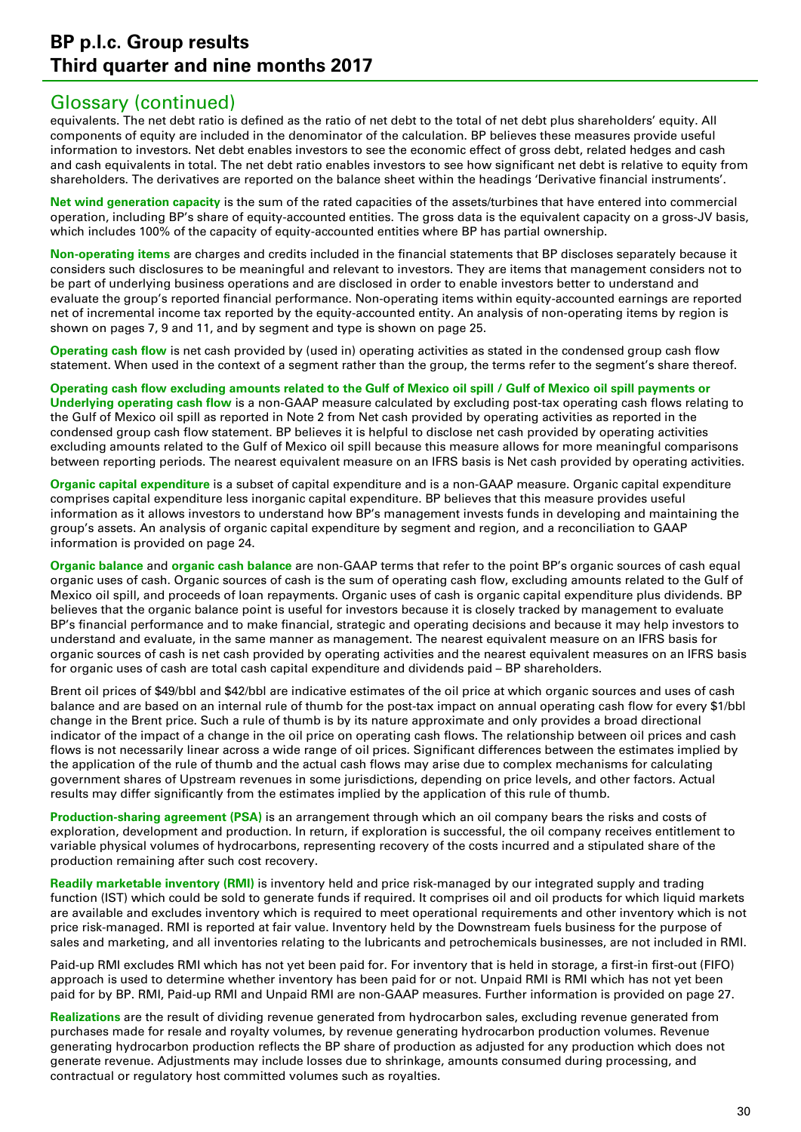### Glossary (continued)

equivalents. The net debt ratio is defined as the ratio of net debt to the total of net debt plus shareholders' equity. All components of equity are included in the denominator of the calculation. BP believes these measures provide useful information to investors. Net debt enables investors to see the economic effect of gross debt, related hedges and cash and cash equivalents in total. The net debt ratio enables investors to see how significant net debt is relative to equity from shareholders. The derivatives are reported on the balance sheet within the headings 'Derivative financial instruments'.

**Net wind generation capacity** is the sum of the rated capacities of the assets/turbines that have entered into commercial operation, including BP's share of equity-accounted entities. The gross data is the equivalent capacity on a gross-JV basis, which includes 100% of the capacity of equity-accounted entities where BP has partial ownership.

**Non-operating items** are charges and credits included in the financial statements that BP discloses separately because it considers such disclosures to be meaningful and relevant to investors. They are items that management considers not to be part of underlying business operations and are disclosed in order to enable investors better to understand and evaluate the group's reported financial performance. Non-operating items within equity-accounted earnings are reported net of incremental income tax reported by the equity-accounted entity. An analysis of non-operating items by region is shown on pages 7, 9 and 11, and by segment and type is shown on page 25.

**Operating cash flow** is net cash provided by (used in) operating activities as stated in the condensed group cash flow statement. When used in the context of a segment rather than the group, the terms refer to the segment's share thereof.

**Operating cash flow excluding amounts related to the Gulf of Mexico oil spill / Gulf of Mexico oil spill payments or Underlying operating cash flow** is a non-GAAP measure calculated by excluding post-tax operating cash flows relating to the Gulf of Mexico oil spill as reported in Note 2 from Net cash provided by operating activities as reported in the condensed group cash flow statement. BP believes it is helpful to disclose net cash provided by operating activities excluding amounts related to the Gulf of Mexico oil spill because this measure allows for more meaningful comparisons between reporting periods. The nearest equivalent measure on an IFRS basis is Net cash provided by operating activities.

**Organic capital expenditure** is a subset of capital expenditure and is a non-GAAP measure. Organic capital expenditure comprises capital expenditure less inorganic capital expenditure. BP believes that this measure provides useful information as it allows investors to understand how BP's management invests funds in developing and maintaining the group's assets. An analysis of organic capital expenditure by segment and region, and a reconciliation to GAAP information is provided on page 24.

**Organic balance** and **organic cash balance** are non-GAAP terms that refer to the point BP's organic sources of cash equal organic uses of cash. Organic sources of cash is the sum of operating cash flow, excluding amounts related to the Gulf of Mexico oil spill, and proceeds of loan repayments. Organic uses of cash is organic capital expenditure plus dividends. BP believes that the organic balance point is useful for investors because it is closely tracked by management to evaluate BP's financial performance and to make financial, strategic and operating decisions and because it may help investors to understand and evaluate, in the same manner as management. The nearest equivalent measure on an IFRS basis for organic sources of cash is net cash provided by operating activities and the nearest equivalent measures on an IFRS basis for organic uses of cash are total cash capital expenditure and dividends paid – BP shareholders.

Brent oil prices of \$49/bbl and \$42/bbl are indicative estimates of the oil price at which organic sources and uses of cash balance and are based on an internal rule of thumb for the post-tax impact on annual operating cash flow for every \$1/bbl change in the Brent price. Such a rule of thumb is by its nature approximate and only provides a broad directional indicator of the impact of a change in the oil price on operating cash flows. The relationship between oil prices and cash flows is not necessarily linear across a wide range of oil prices. Significant differences between the estimates implied by the application of the rule of thumb and the actual cash flows may arise due to complex mechanisms for calculating government shares of Upstream revenues in some jurisdictions, depending on price levels, and other factors. Actual results may differ significantly from the estimates implied by the application of this rule of thumb.

**Production-sharing agreement (PSA)** is an arrangement through which an oil company bears the risks and costs of exploration, development and production. In return, if exploration is successful, the oil company receives entitlement to variable physical volumes of hydrocarbons, representing recovery of the costs incurred and a stipulated share of the production remaining after such cost recovery.

**Readily marketable inventory (RMI)** is inventory held and price risk-managed by our integrated supply and trading function (IST) which could be sold to generate funds if required. It comprises oil and oil products for which liquid markets are available and excludes inventory which is required to meet operational requirements and other inventory which is not price risk-managed. RMI is reported at fair value. Inventory held by the Downstream fuels business for the purpose of sales and marketing, and all inventories relating to the lubricants and petrochemicals businesses, are not included in RMI.

Paid-up RMI excludes RMI which has not yet been paid for. For inventory that is held in storage, a first-in first-out (FIFO) approach is used to determine whether inventory has been paid for or not. Unpaid RMI is RMI which has not yet been paid for by BP. RMI, Paid-up RMI and Unpaid RMI are non-GAAP measures. Further information is provided on page 27.

**Realizations** are the result of dividing revenue generated from hydrocarbon sales, excluding revenue generated from purchases made for resale and royalty volumes, by revenue generating hydrocarbon production volumes. Revenue generating hydrocarbon production reflects the BP share of production as adjusted for any production which does not generate revenue. Adjustments may include losses due to shrinkage, amounts consumed during processing, and contractual or regulatory host committed volumes such as royalties.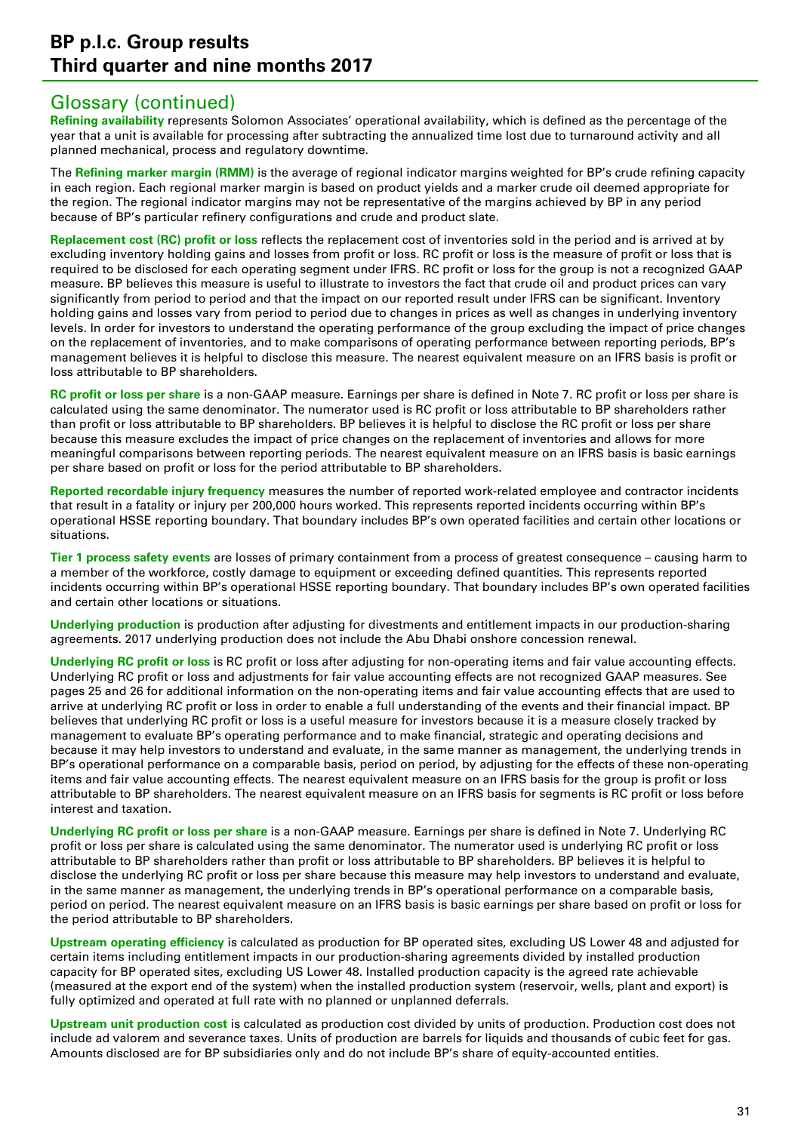### Glossary (continued)

**Refining availability** represents Solomon Associates' operational availability, which is defined as the percentage of the year that a unit is available for processing after subtracting the annualized time lost due to turnaround activity and all planned mechanical, process and regulatory downtime.

The **Refining marker margin (RMM)** is the average of regional indicator margins weighted for BP's crude refining capacity in each region. Each regional marker margin is based on product yields and a marker crude oil deemed appropriate for the region. The regional indicator margins may not be representative of the margins achieved by BP in any period because of BP's particular refinery configurations and crude and product slate.

**Replacement cost (RC) profit or loss** reflects the replacement cost of inventories sold in the period and is arrived at by excluding inventory holding gains and losses from profit or loss. RC profit or loss is the measure of profit or loss that is required to be disclosed for each operating segment under IFRS. RC profit or loss for the group is not a recognized GAAP measure. BP believes this measure is useful to illustrate to investors the fact that crude oil and product prices can vary significantly from period to period and that the impact on our reported result under IFRS can be significant. Inventory holding gains and losses vary from period to period due to changes in prices as well as changes in underlying inventory levels. In order for investors to understand the operating performance of the group excluding the impact of price changes on the replacement of inventories, and to make comparisons of operating performance between reporting periods, BP's management believes it is helpful to disclose this measure. The nearest equivalent measure on an IFRS basis is profit or loss attributable to BP shareholders.

**RC profit or loss per share** is a non-GAAP measure. Earnings per share is defined in Note 7. RC profit or loss per share is calculated using the same denominator. The numerator used is RC profit or loss attributable to BP shareholders rather than profit or loss attributable to BP shareholders. BP believes it is helpful to disclose the RC profit or loss per share because this measure excludes the impact of price changes on the replacement of inventories and allows for more meaningful comparisons between reporting periods. The nearest equivalent measure on an IFRS basis is basic earnings per share based on profit or loss for the period attributable to BP shareholders.

**Reported recordable injury frequency** measures the number of reported work-related employee and contractor incidents that result in a fatality or injury per 200,000 hours worked. This represents reported incidents occurring within BP's operational HSSE reporting boundary. That boundary includes BP's own operated facilities and certain other locations or situations.

**Tier 1 process safety events** are losses of primary containment from a process of greatest consequence – causing harm to a member of the workforce, costly damage to equipment or exceeding defined quantities. This represents reported incidents occurring within BP's operational HSSE reporting boundary. That boundary includes BP's own operated facilities and certain other locations or situations.

**Underlying production** is production after adjusting for divestments and entitlement impacts in our production-sharing agreements. 2017 underlying production does not include the Abu Dhabi onshore concession renewal.

**Underlying RC profit or loss** is RC profit or loss after adjusting for non-operating items and fair value accounting effects. Underlying RC profit or loss and adjustments for fair value accounting effects are not recognized GAAP measures. See pages 25 and 26 for additional information on the non-operating items and fair value accounting effects that are used to arrive at underlying RC profit or loss in order to enable a full understanding of the events and their financial impact. BP believes that underlying RC profit or loss is a useful measure for investors because it is a measure closely tracked by management to evaluate BP's operating performance and to make financial, strategic and operating decisions and because it may help investors to understand and evaluate, in the same manner as management, the underlying trends in BP's operational performance on a comparable basis, period on period, by adjusting for the effects of these non-operating items and fair value accounting effects. The nearest equivalent measure on an IFRS basis for the group is profit or loss attributable to BP shareholders. The nearest equivalent measure on an IFRS basis for segments is RC profit or loss before interest and taxation.

**Underlying RC profit or loss per share** is a non-GAAP measure. Earnings per share is defined in Note 7. Underlying RC profit or loss per share is calculated using the same denominator. The numerator used is underlying RC profit or loss attributable to BP shareholders rather than profit or loss attributable to BP shareholders. BP believes it is helpful to disclose the underlying RC profit or loss per share because this measure may help investors to understand and evaluate, in the same manner as management, the underlying trends in BP's operational performance on a comparable basis, period on period. The nearest equivalent measure on an IFRS basis is basic earnings per share based on profit or loss for the period attributable to BP shareholders.

**Upstream operating efficiency** is calculated as production for BP operated sites, excluding US Lower 48 and adjusted for certain items including entitlement impacts in our production-sharing agreements divided by installed production capacity for BP operated sites, excluding US Lower 48. Installed production capacity is the agreed rate achievable (measured at the export end of the system) when the installed production system (reservoir, wells, plant and export) is fully optimized and operated at full rate with no planned or unplanned deferrals.

**Upstream unit production cost** is calculated as production cost divided by units of production. Production cost does not include ad valorem and severance taxes. Units of production are barrels for liquids and thousands of cubic feet for gas. Amounts disclosed are for BP subsidiaries only and do not include BP's share of equity-accounted entities.